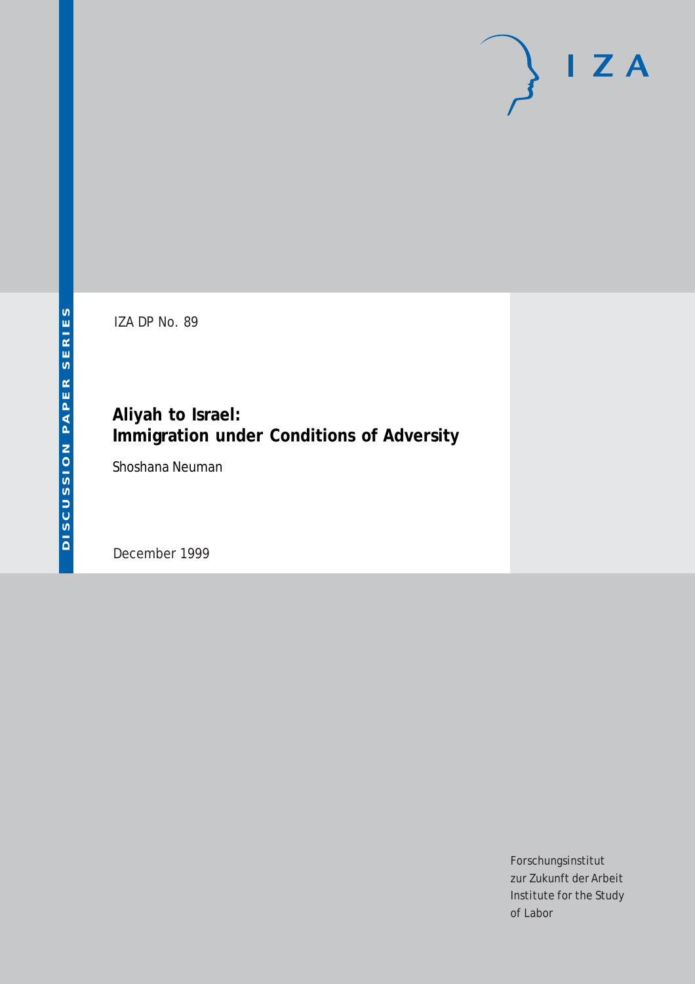# $I Z A$

IZA DP No. 89

# **Aliyah to Israel: Immigration under Conditions of Adversity**

Shoshana Neuman

December 1999

Forschungsinstitut zur Zukunft der Arbeit Institute for the Study of Labor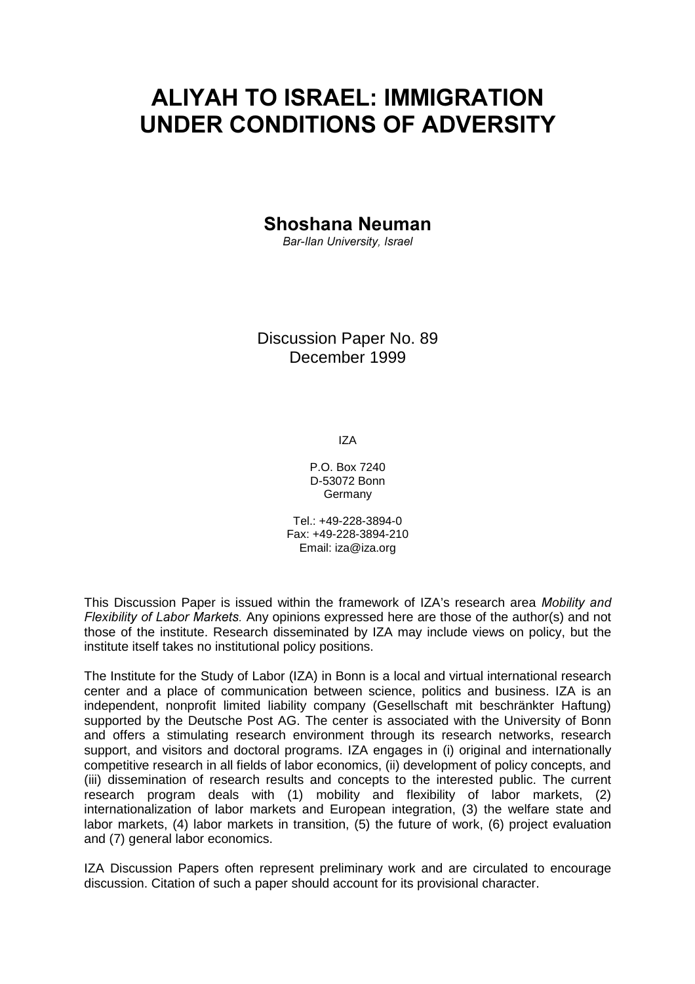# ALIYAH TO ISRAEL: IMMIGRATION UNDER CONDITIONS OF ADVERSITY

# Shoshana Neuman

Bar-llan University, Israel

Discussion Paper No. 89 December 1999

IZA

P.O. Box 7240 D-53072 Bonn Germany

Tel.: +49-228-3894-0 Fax: +49-228-3894-210 Email: iza@iza.org

This Discussion Paper is issued within the framework of IZA's research area Mobility and Flexibility of Labor Markets. Any opinions expressed here are those of the author(s) and not those of the institute. Research disseminated by IZA may include views on policy, but the institute itself takes no institutional policy positions.

The Institute for the Study of Labor (IZA) in Bonn is a local and virtual international research center and a place of communication between science, politics and business. IZA is an independent, nonprofit limited liability company (Gesellschaft mit beschränkter Haftung) supported by the Deutsche Post AG. The center is associated with the University of Bonn and offers a stimulating research environment through its research networks, research support, and visitors and doctoral programs. IZA engages in (i) original and internationally competitive research in all fields of labor economics, (ii) development of policy concepts, and (iii) dissemination of research results and concepts to the interested public. The current research program deals with (1) mobility and flexibility of labor markets, (2) internationalization of labor markets and European integration, (3) the welfare state and labor markets, (4) labor markets in transition, (5) the future of work, (6) project evaluation and (7) general labor economics.

IZA Discussion Papers often represent preliminary work and are circulated to encourage discussion. Citation of such a paper should account for its provisional character.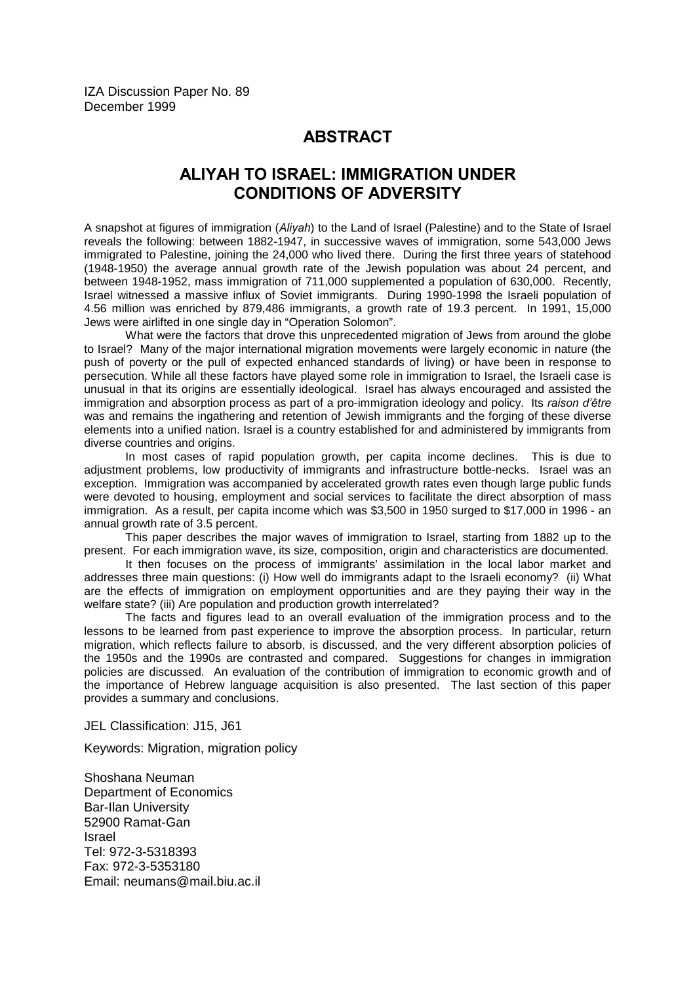## ABSTRACT

## ALIYAH TO ISRAEL: IMMIGRATION UNDER **CONDITIONS OF ADVERSITY**

A snapshot at figures of immigration (Aliyah) to the Land of Israel (Palestine) and to the State of Israel reveals the following: between 1882-1947, in successive waves of immigration, some 543,000 Jews immigrated to Palestine, joining the 24,000 who lived there. During the first three years of statehood (1948-1950) the average annual growth rate of the Jewish population was about 24 percent, and between 1948-1952, mass immigration of 711,000 supplemented a population of 630,000. Recently, Israel witnessed a massive influx of Soviet immigrants. During 1990-1998 the Israeli population of 4.56 million was enriched by 879,486 immigrants, a growth rate of 19.3 percent. In 1991, 15,000 Jews were airlifted in one single day in "Operation Solomon".

What were the factors that drove this unprecedented migration of Jews from around the globe to Israel? Many of the major international migration movements were largely economic in nature (the push of poverty or the pull of expected enhanced standards of living) or have been in response to persecution. While all these factors have played some role in immigration to Israel, the Israeli case is unusual in that its origins are essentially ideological. Israel has always encouraged and assisted the immigration and absorption process as part of a pro-immigration ideology and policy. Its raison d'être was and remains the ingathering and retention of Jewish immigrants and the forging of these diverse elements into a unified nation. Israel is a country established for and administered by immigrants from diverse countries and origins.

In most cases of rapid population growth, per capita income declines. This is due to adjustment problems, low productivity of immigrants and infrastructure bottle-necks. Israel was an exception. Immigration was accompanied by accelerated growth rates even though large public funds were devoted to housing, employment and social services to facilitate the direct absorption of mass immigration. As a result, per capita income which was \$3,500 in 1950 surged to \$17,000 in 1996 - an annual growth rate of 3.5 percent.

This paper describes the major waves of immigration to Israel, starting from 1882 up to the present. For each immigration wave, its size, composition, origin and characteristics are documented.

It then focuses on the process of immigrants' assimilation in the local labor market and addresses three main questions: (i) How well do immigrants adapt to the Israeli economy? (ii) What are the effects of immigration on employment opportunities and are they paying their way in the welfare state? (iii) Are population and production growth interrelated?

 The facts and figures lead to an overall evaluation of the immigration process and to the lessons to be learned from past experience to improve the absorption process. In particular, return migration, which reflects failure to absorb, is discussed, and the very different absorption policies of the 1950s and the 1990s are contrasted and compared. Suggestions for changes in immigration policies are discussed. An evaluation of the contribution of immigration to economic growth and of the importance of Hebrew language acquisition is also presented. The last section of this paper provides a summary and conclusions.

JEL Classification: J15, J61

Keywords: Migration, migration policy

Shoshana Neuman Department of Economics Bar-Ilan University 52900 Ramat-Gan Israel Tel: 972-3-5318393 Fax: 972-3-5353180 Email: neumans@mail.biu.ac.il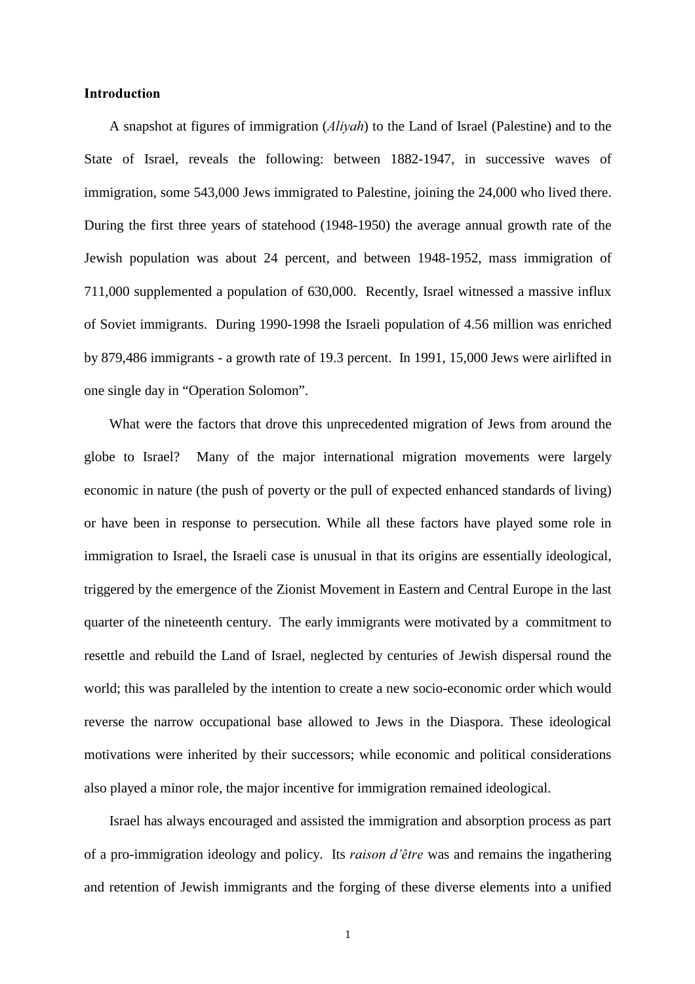#### Introduction

A snapshot at figures of immigration (*Aliyah*) to the Land of Israel (Palestine) and to the State of Israel, reveals the following: between 1882-1947, in successive waves of immigration, some 543,000 Jews immigrated to Palestine, joining the 24,000 who lived there. During the first three years of statehood (1948-1950) the average annual growth rate of the Jewish population was about 24 percent, and between 1948-1952, mass immigration of 711,000 supplemented a population of 630,000. Recently, Israel witnessed a massive influx of Soviet immigrants. During 1990-1998 the Israeli population of 4.56 million was enriched by 879,486 immigrants - a growth rate of 19.3 percent. In 1991, 15,000 Jews were airlifted in one single day in "Operation Solomon".

 What were the factors that drove this unprecedented migration of Jews from around the globe to Israel? Many of the major international migration movements were largely economic in nature (the push of poverty or the pull of expected enhanced standards of living) or have been in response to persecution. While all these factors have played some role in immigration to Israel, the Israeli case is unusual in that its origins are essentially ideological, triggered by the emergence of the Zionist Movement in Eastern and Central Europe in the last quarter of the nineteenth century. The early immigrants were motivated by a commitment to resettle and rebuild the Land of Israel, neglected by centuries of Jewish dispersal round the world; this was paralleled by the intention to create a new socio-economic order which would reverse the narrow occupational base allowed to Jews in the Diaspora. These ideological motivations were inherited by their successors; while economic and political considerations also played a minor role, the major incentive for immigration remained ideological.

Israel has always encouraged and assisted the immigration and absorption process as part of a pro-immigration ideology and policy. Its *raison d'être* was and remains the ingathering and retention of Jewish immigrants and the forging of these diverse elements into a unified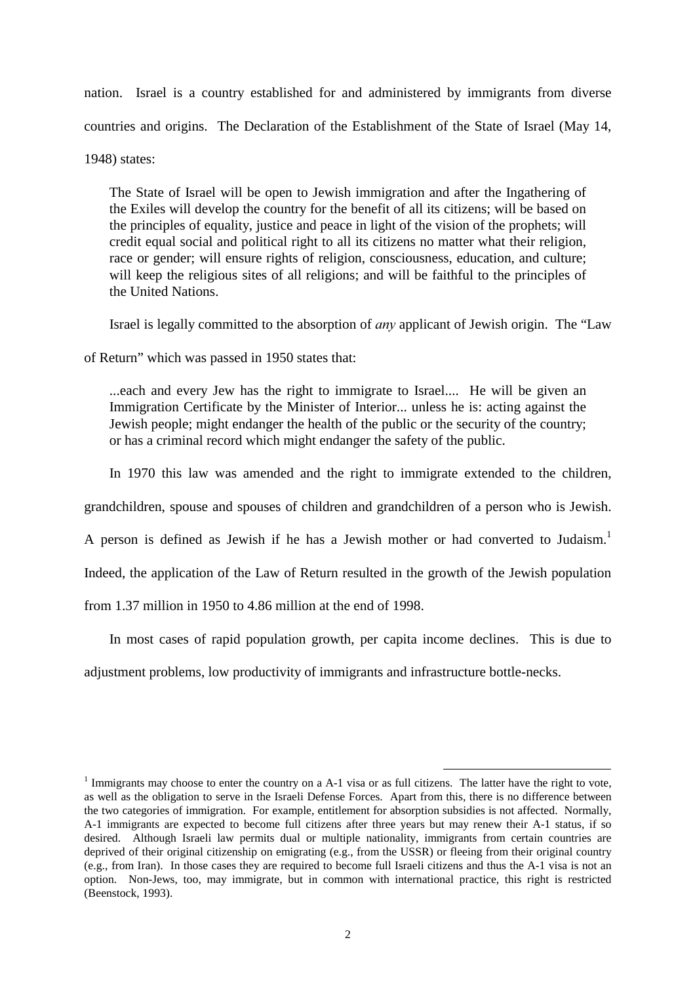nation. Israel is a country established for and administered by immigrants from diverse countries and origins. The Declaration of the Establishment of the State of Israel (May 14, 1948) states:

The State of Israel will be open to Jewish immigration and after the Ingathering of the Exiles will develop the country for the benefit of all its citizens; will be based on the principles of equality, justice and peace in light of the vision of the prophets; will credit equal social and political right to all its citizens no matter what their religion, race or gender; will ensure rights of religion, consciousness, education, and culture; will keep the religious sites of all religions; and will be faithful to the principles of the United Nations.

Israel is legally committed to the absorption of *any* applicant of Jewish origin. The "Law

of Return" which was passed in 1950 states that:

...each and every Jew has the right to immigrate to Israel.... He will be given an Immigration Certificate by the Minister of Interior... unless he is: acting against the Jewish people; might endanger the health of the public or the security of the country; or has a criminal record which might endanger the safety of the public.

In 1970 this law was amended and the right to immigrate extended to the children,

grandchildren, spouse and spouses of children and grandchildren of a person who is Jewish.

A person is defined as Jewish if he has a Jewish mother or had converted to Judaism.<sup>1</sup>

Indeed, the application of the Law of Return resulted in the growth of the Jewish population

from 1.37 million in 1950 to 4.86 million at the end of 1998.

In most cases of rapid population growth, per capita income declines. This is due to

adjustment problems, low productivity of immigrants and infrastructure bottle-necks.

<sup>&</sup>lt;sup>1</sup> Immigrants may choose to enter the country on a A-1 visa or as full citizens. The latter have the right to vote, as well as the obligation to serve in the Israeli Defense Forces. Apart from this, there is no difference between the two categories of immigration. For example, entitlement for absorption subsidies is not affected. Normally, A-1 immigrants are expected to become full citizens after three years but may renew their A-1 status, if so desired. Although Israeli law permits dual or multiple nationality, immigrants from certain countries are deprived of their original citizenship on emigrating (e.g., from the USSR) or fleeing from their original country (e.g., from Iran). In those cases they are required to become full Israeli citizens and thus the A-1 visa is not an option. Non-Jews, too, may immigrate, but in common with international practice, this right is restricted (Beenstock, 1993).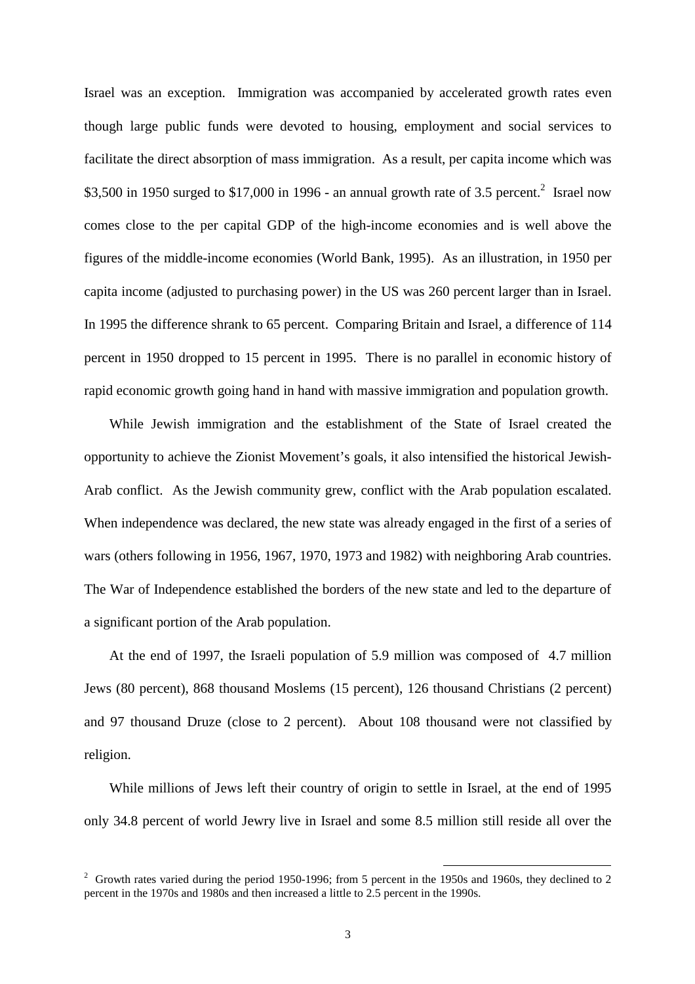Israel was an exception. Immigration was accompanied by accelerated growth rates even though large public funds were devoted to housing, employment and social services to facilitate the direct absorption of mass immigration. As a result, per capita income which was \$3,500 in 1950 surged to \$17,000 in 1996 - an annual growth rate of 3.5 percent.<sup>2</sup> Israel now comes close to the per capital GDP of the high-income economies and is well above the figures of the middle-income economies (World Bank, 1995). As an illustration, in 1950 per capita income (adjusted to purchasing power) in the US was 260 percent larger than in Israel. In 1995 the difference shrank to 65 percent. Comparing Britain and Israel, a difference of 114 percent in 1950 dropped to 15 percent in 1995. There is no parallel in economic history of rapid economic growth going hand in hand with massive immigration and population growth.

 While Jewish immigration and the establishment of the State of Israel created the opportunity to achieve the Zionist Movement's goals, it also intensified the historical Jewish-Arab conflict. As the Jewish community grew, conflict with the Arab population escalated. When independence was declared, the new state was already engaged in the first of a series of wars (others following in 1956, 1967, 1970, 1973 and 1982) with neighboring Arab countries. The War of Independence established the borders of the new state and led to the departure of a significant portion of the Arab population.

 At the end of 1997, the Israeli population of 5.9 million was composed of 4.7 million Jews (80 percent), 868 thousand Moslems (15 percent), 126 thousand Christians (2 percent) and 97 thousand Druze (close to 2 percent). About 108 thousand were not classified by religion.

While millions of Jews left their country of origin to settle in Israel, at the end of 1995 only 34.8 percent of world Jewry live in Israel and some 8.5 million still reside all over the

<sup>&</sup>lt;sup>2</sup> Growth rates varied during the period 1950-1996; from 5 percent in the 1950s and 1960s, they declined to 2 percent in the 1970s and 1980s and then increased a little to 2.5 percent in the 1990s.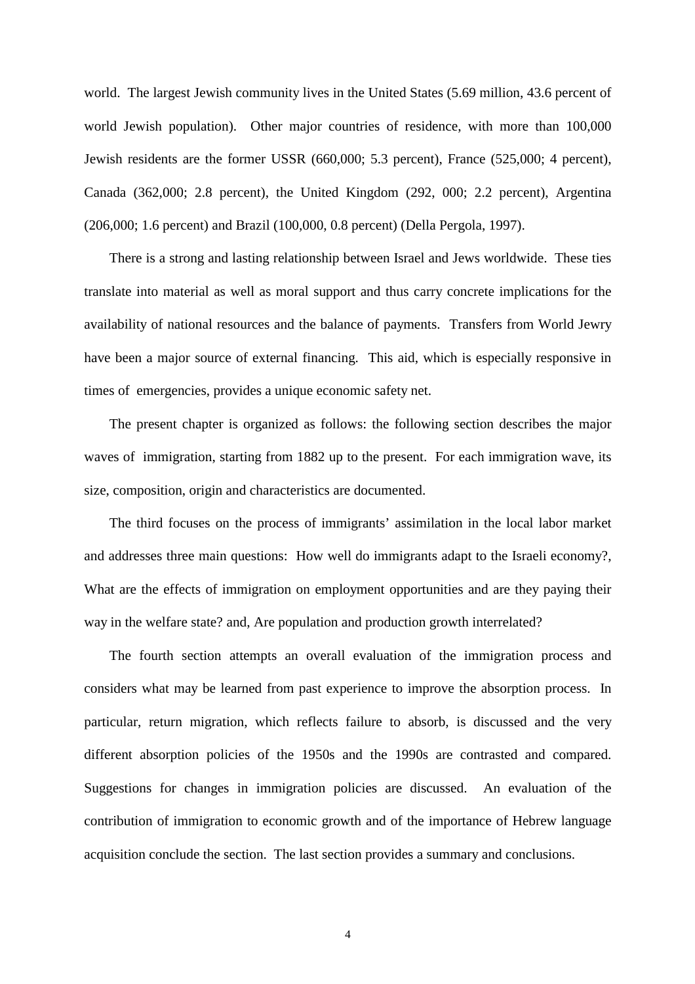world. The largest Jewish community lives in the United States (5.69 million, 43.6 percent of world Jewish population). Other major countries of residence, with more than 100,000 Jewish residents are the former USSR (660,000; 5.3 percent), France (525,000; 4 percent), Canada (362,000; 2.8 percent), the United Kingdom (292, 000; 2.2 percent), Argentina (206,000; 1.6 percent) and Brazil (100,000, 0.8 percent) (Della Pergola, 1997).

 There is a strong and lasting relationship between Israel and Jews worldwide. These ties translate into material as well as moral support and thus carry concrete implications for the availability of national resources and the balance of payments. Transfers from World Jewry have been a major source of external financing. This aid, which is especially responsive in times of emergencies, provides a unique economic safety net.

 The present chapter is organized as follows: the following section describes the major waves of immigration, starting from 1882 up to the present. For each immigration wave, its size, composition, origin and characteristics are documented.

 The third focuses on the process of immigrants' assimilation in the local labor market and addresses three main questions: How well do immigrants adapt to the Israeli economy?, What are the effects of immigration on employment opportunities and are they paying their way in the welfare state? and, Are population and production growth interrelated?

 The fourth section attempts an overall evaluation of the immigration process and considers what may be learned from past experience to improve the absorption process. In particular, return migration, which reflects failure to absorb, is discussed and the very different absorption policies of the 1950s and the 1990s are contrasted and compared. Suggestions for changes in immigration policies are discussed. An evaluation of the contribution of immigration to economic growth and of the importance of Hebrew language acquisition conclude the section. The last section provides a summary and conclusions.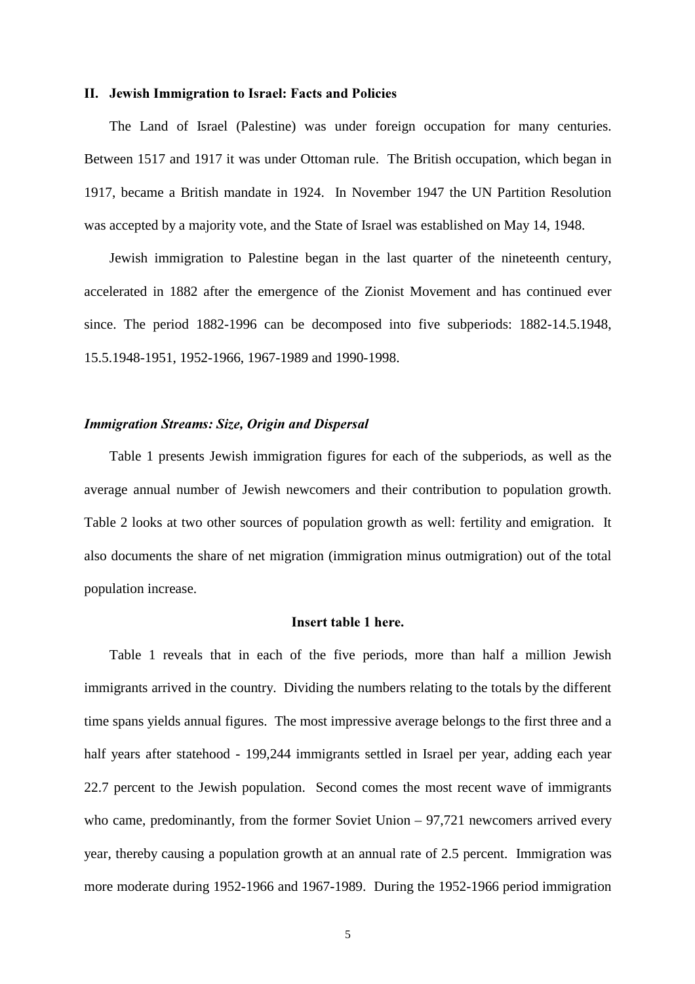#### II. Jewish Immigration to Israel: Facts and Policies

 The Land of Israel (Palestine) was under foreign occupation for many centuries. Between 1517 and 1917 it was under Ottoman rule. The British occupation, which began in 1917, became a British mandate in 1924. In November 1947 the UN Partition Resolution was accepted by a majority vote, and the State of Israel was established on May 14, 1948.

 Jewish immigration to Palestine began in the last quarter of the nineteenth century, accelerated in 1882 after the emergence of the Zionist Movement and has continued ever since. The period 1882-1996 can be decomposed into five subperiods: 1882-14.5.1948, 15.5.1948-1951, 1952-1966, 1967-1989 and 1990-1998.

#### **Immigration Streams: Size, Origin and Dispersal**

 Table 1 presents Jewish immigration figures for each of the subperiods, as well as the average annual number of Jewish newcomers and their contribution to population growth. Table 2 looks at two other sources of population growth as well: fertility and emigration. It also documents the share of net migration (immigration minus outmigration) out of the total population increase.

#### Insert table 1 here.

 Table 1 reveals that in each of the five periods, more than half a million Jewish immigrants arrived in the country. Dividing the numbers relating to the totals by the different time spans yields annual figures. The most impressive average belongs to the first three and a half years after statehood - 199,244 immigrants settled in Israel per year, adding each year 22.7 percent to the Jewish population. Second comes the most recent wave of immigrants who came, predominantly, from the former Soviet Union – 97,721 newcomers arrived every year, thereby causing a population growth at an annual rate of 2.5 percent. Immigration was more moderate during 1952-1966 and 1967-1989. During the 1952-1966 period immigration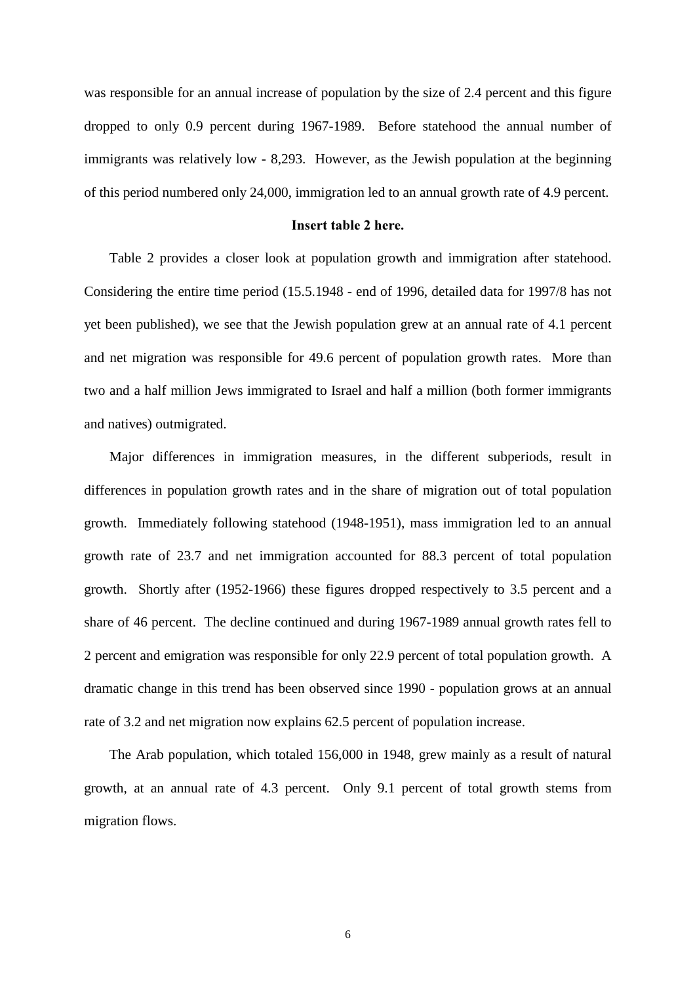was responsible for an annual increase of population by the size of 2.4 percent and this figure dropped to only 0.9 percent during 1967-1989. Before statehood the annual number of immigrants was relatively low - 8,293. However, as the Jewish population at the beginning of this period numbered only 24,000, immigration led to an annual growth rate of 4.9 percent.

#### Insert table 2 here.

 Table 2 provides a closer look at population growth and immigration after statehood. Considering the entire time period (15.5.1948 - end of 1996, detailed data for 1997/8 has not yet been published), we see that the Jewish population grew at an annual rate of 4.1 percent and net migration was responsible for 49.6 percent of population growth rates. More than two and a half million Jews immigrated to Israel and half a million (both former immigrants and natives) outmigrated.

 Major differences in immigration measures, in the different subperiods, result in differences in population growth rates and in the share of migration out of total population growth. Immediately following statehood (1948-1951), mass immigration led to an annual growth rate of 23.7 and net immigration accounted for 88.3 percent of total population growth. Shortly after (1952-1966) these figures dropped respectively to 3.5 percent and a share of 46 percent. The decline continued and during 1967-1989 annual growth rates fell to 2 percent and emigration was responsible for only 22.9 percent of total population growth. A dramatic change in this trend has been observed since 1990 - population grows at an annual rate of 3.2 and net migration now explains 62.5 percent of population increase.

 The Arab population, which totaled 156,000 in 1948, grew mainly as a result of natural growth, at an annual rate of 4.3 percent. Only 9.1 percent of total growth stems from migration flows.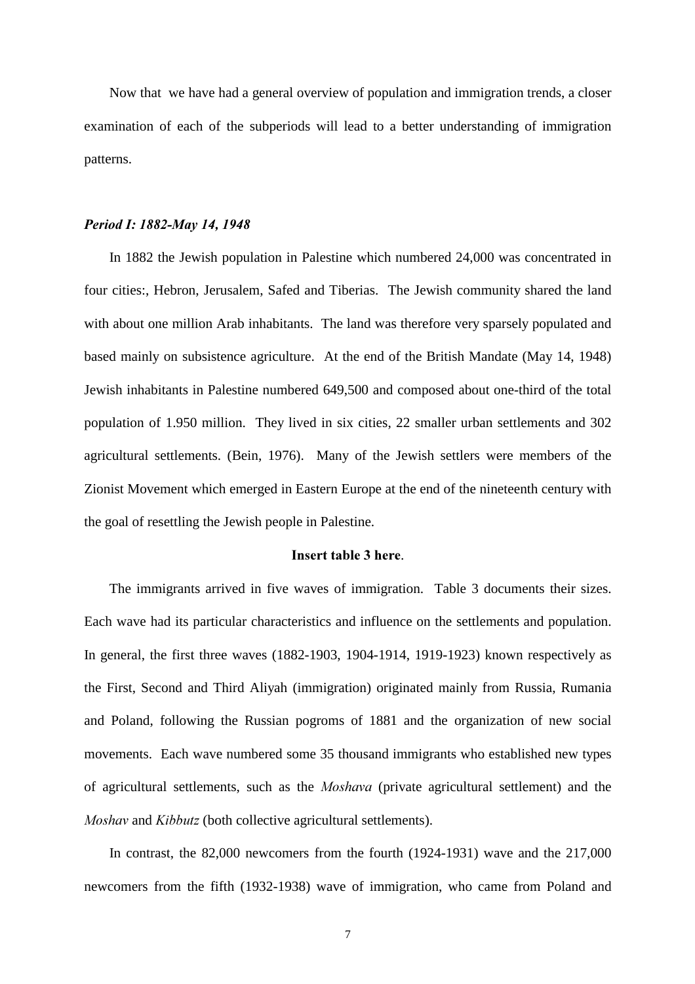Now that we have had a general overview of population and immigration trends, a closer examination of each of the subperiods will lead to a better understanding of immigration patterns.

#### Period I: 1882-May 14, 1948

 In 1882 the Jewish population in Palestine which numbered 24,000 was concentrated in four cities:, Hebron, Jerusalem, Safed and Tiberias. The Jewish community shared the land with about one million Arab inhabitants. The land was therefore very sparsely populated and based mainly on subsistence agriculture. At the end of the British Mandate (May 14, 1948) Jewish inhabitants in Palestine numbered 649,500 and composed about one-third of the total population of 1.950 million. They lived in six cities, 22 smaller urban settlements and 302 agricultural settlements. (Bein, 1976). Many of the Jewish settlers were members of the Zionist Movement which emerged in Eastern Europe at the end of the nineteenth century with the goal of resettling the Jewish people in Palestine.

#### Insert table 3 here.

 The immigrants arrived in five waves of immigration. Table 3 documents their sizes. Each wave had its particular characteristics and influence on the settlements and population. In general, the first three waves (1882-1903, 1904-1914, 1919-1923) known respectively as the First, Second and Third Aliyah (immigration) originated mainly from Russia, Rumania and Poland, following the Russian pogroms of 1881 and the organization of new social movements. Each wave numbered some 35 thousand immigrants who established new types of agricultural settlements, such as the Moshava (private agricultural settlement) and the Moshav and Kibbutz (both collective agricultural settlements).

 In contrast, the 82,000 newcomers from the fourth (1924-1931) wave and the 217,000 newcomers from the fifth (1932-1938) wave of immigration, who came from Poland and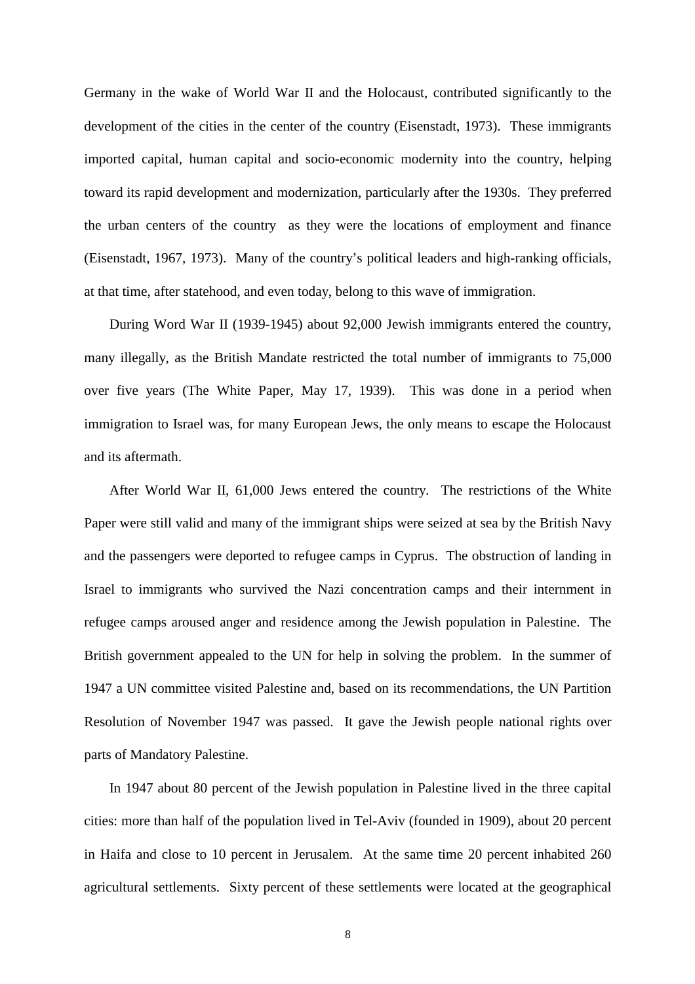Germany in the wake of World War II and the Holocaust, contributed significantly to the development of the cities in the center of the country (Eisenstadt, 1973). These immigrants imported capital, human capital and socio-economic modernity into the country, helping toward its rapid development and modernization, particularly after the 1930s. They preferred the urban centers of the country as they were the locations of employment and finance (Eisenstadt, 1967, 1973). Many of the country's political leaders and high-ranking officials, at that time, after statehood, and even today, belong to this wave of immigration.

 During Word War II (1939-1945) about 92,000 Jewish immigrants entered the country, many illegally, as the British Mandate restricted the total number of immigrants to 75,000 over five years (The White Paper, May 17, 1939). This was done in a period when immigration to Israel was, for many European Jews, the only means to escape the Holocaust and its aftermath.

 After World War II, 61,000 Jews entered the country. The restrictions of the White Paper were still valid and many of the immigrant ships were seized at sea by the British Navy and the passengers were deported to refugee camps in Cyprus. The obstruction of landing in Israel to immigrants who survived the Nazi concentration camps and their internment in refugee camps aroused anger and residence among the Jewish population in Palestine. The British government appealed to the UN for help in solving the problem. In the summer of 1947 a UN committee visited Palestine and, based on its recommendations, the UN Partition Resolution of November 1947 was passed. It gave the Jewish people national rights over parts of Mandatory Palestine.

 In 1947 about 80 percent of the Jewish population in Palestine lived in the three capital cities: more than half of the population lived in Tel-Aviv (founded in 1909), about 20 percent in Haifa and close to 10 percent in Jerusalem. At the same time 20 percent inhabited 260 agricultural settlements. Sixty percent of these settlements were located at the geographical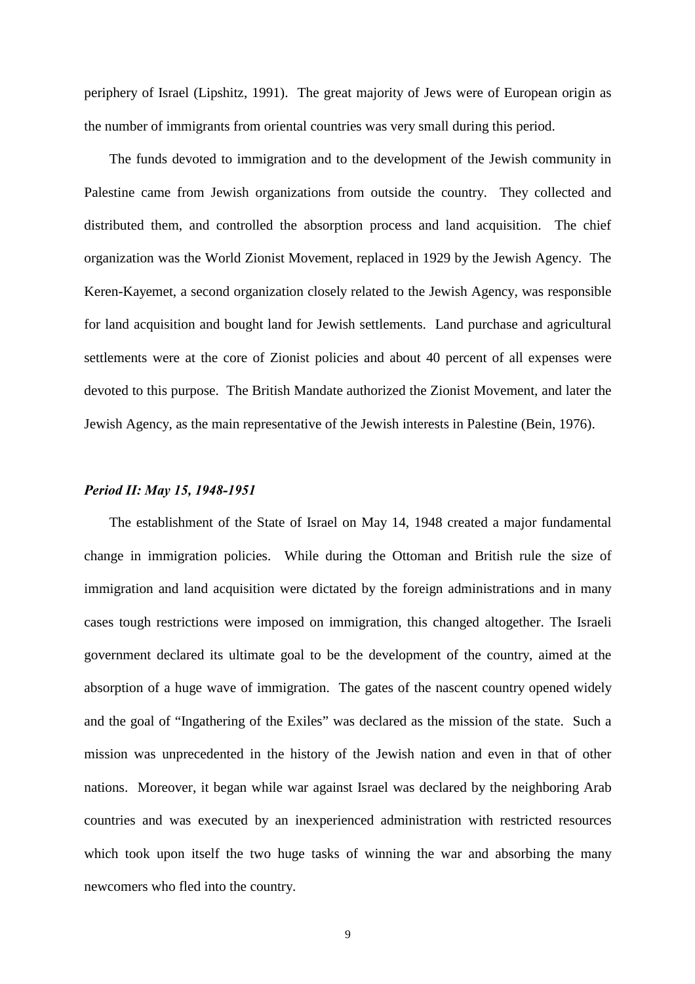periphery of Israel (Lipshitz, 1991). The great majority of Jews were of European origin as the number of immigrants from oriental countries was very small during this period.

 The funds devoted to immigration and to the development of the Jewish community in Palestine came from Jewish organizations from outside the country. They collected and distributed them, and controlled the absorption process and land acquisition. The chief organization was the World Zionist Movement, replaced in 1929 by the Jewish Agency. The Keren-Kayemet, a second organization closely related to the Jewish Agency, was responsible for land acquisition and bought land for Jewish settlements. Land purchase and agricultural settlements were at the core of Zionist policies and about 40 percent of all expenses were devoted to this purpose. The British Mandate authorized the Zionist Movement, and later the Jewish Agency, as the main representative of the Jewish interests in Palestine (Bein, 1976).

#### Period II: May 15, 1948-1951

 The establishment of the State of Israel on May 14, 1948 created a major fundamental change in immigration policies. While during the Ottoman and British rule the size of immigration and land acquisition were dictated by the foreign administrations and in many cases tough restrictions were imposed on immigration, this changed altogether. The Israeli government declared its ultimate goal to be the development of the country, aimed at the absorption of a huge wave of immigration. The gates of the nascent country opened widely and the goal of "Ingathering of the Exiles" was declared as the mission of the state. Such a mission was unprecedented in the history of the Jewish nation and even in that of other nations. Moreover, it began while war against Israel was declared by the neighboring Arab countries and was executed by an inexperienced administration with restricted resources which took upon itself the two huge tasks of winning the war and absorbing the many newcomers who fled into the country.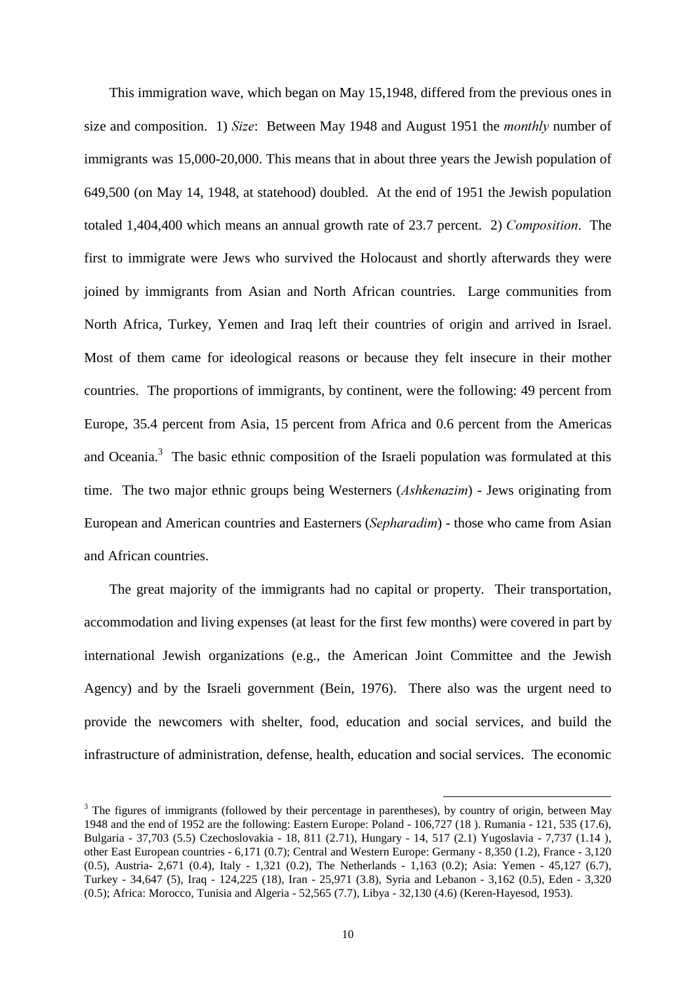This immigration wave, which began on May 15,1948, differed from the previous ones in size and composition. 1) Size: Between May 1948 and August 1951 the *monthly* number of immigrants was 15,000-20,000. This means that in about three years the Jewish population of 649,500 (on May 14, 1948, at statehood) doubled. At the end of 1951 the Jewish population totaled 1,404,400 which means an annual growth rate of 23.7 percent. 2) Composition. The first to immigrate were Jews who survived the Holocaust and shortly afterwards they were joined by immigrants from Asian and North African countries. Large communities from North Africa, Turkey, Yemen and Iraq left their countries of origin and arrived in Israel. Most of them came for ideological reasons or because they felt insecure in their mother countries. The proportions of immigrants, by continent, were the following: 49 percent from Europe, 35.4 percent from Asia, 15 percent from Africa and 0.6 percent from the Americas and Oceania.<sup>3</sup> The basic ethnic composition of the Israeli population was formulated at this time. The two major ethnic groups being Westerners (Ashkenazim) - Jews originating from European and American countries and Easterners (Sepharadim) - those who came from Asian and African countries.

 The great majority of the immigrants had no capital or property. Their transportation, accommodation and living expenses (at least for the first few months) were covered in part by international Jewish organizations (e.g., the American Joint Committee and the Jewish Agency) and by the Israeli government (Bein, 1976). There also was the urgent need to provide the newcomers with shelter, food, education and social services, and build the infrastructure of administration, defense, health, education and social services. The economic

<sup>&</sup>lt;sup>3</sup> The figures of immigrants (followed by their percentage in parentheses), by country of origin, between May 1948 and the end of 1952 are the following: Eastern Europe: Poland - 106,727 (18 ). Rumania - 121, 535 (17.6), Bulgaria - 37,703 (5.5) Czechoslovakia - 18, 811 (2.71), Hungary - 14, 517 (2.1) Yugoslavia - 7,737 (1.14 ), other East European countries - 6,171 (0.7); Central and Western Europe: Germany - 8,350 (1.2), France - 3,120 (0.5), Austria- 2,671 (0.4), Italy - 1,321 (0.2), The Netherlands - 1,163 (0.2); Asia: Yemen - 45,127 (6.7), Turkey - 34,647 (5), Iraq - 124,225 (18), Iran - 25,971 (3.8), Syria and Lebanon - 3,162 (0.5), Eden - 3,320 (0.5); Africa: Morocco, Tunisia and Algeria - 52,565 (7.7), Libya - 32,130 (4.6) (Keren-Hayesod, 1953).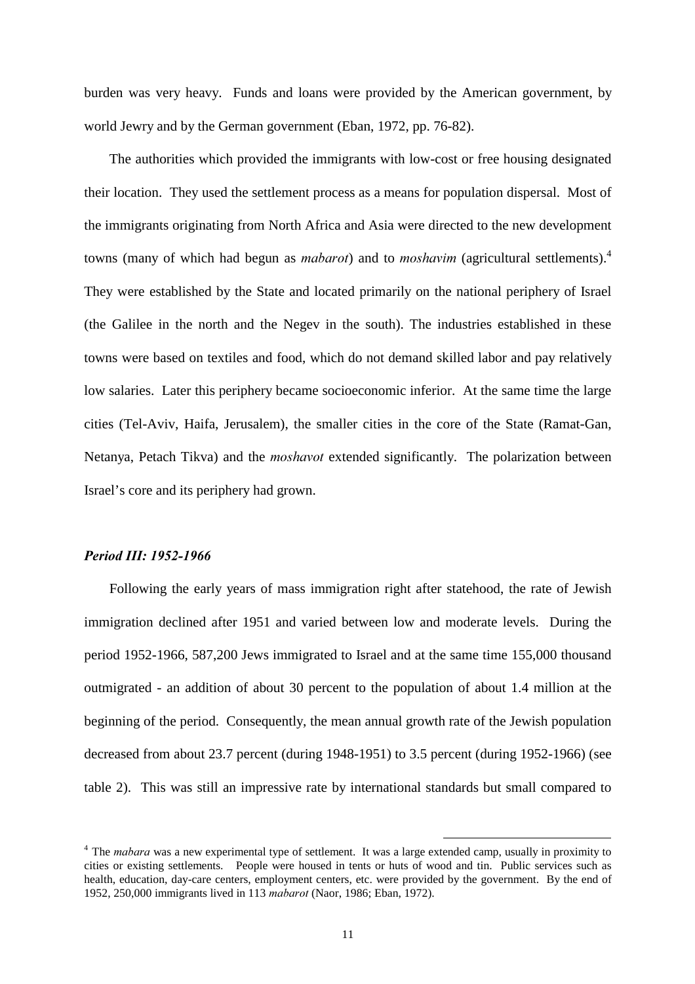burden was very heavy. Funds and loans were provided by the American government, by world Jewry and by the German government (Eban, 1972, pp. 76-82).

 The authorities which provided the immigrants with low-cost or free housing designated their location. They used the settlement process as a means for population dispersal. Most of the immigrants originating from North Africa and Asia were directed to the new development towns (many of which had begun as *mabarot*) and to *moshavim* (agricultural settlements).<sup>4</sup> They were established by the State and located primarily on the national periphery of Israel (the Galilee in the north and the Negev in the south). The industries established in these towns were based on textiles and food, which do not demand skilled labor and pay relatively low salaries. Later this periphery became socioeconomic inferior. At the same time the large cities (Tel-Aviv, Haifa, Jerusalem), the smaller cities in the core of the State (Ramat-Gan, Netanya, Petach Tikva) and the *moshavot* extended significantly. The polarization between Israel's core and its periphery had grown.

#### Period III: 1952-1966

 Following the early years of mass immigration right after statehood, the rate of Jewish immigration declined after 1951 and varied between low and moderate levels. During the period 1952-1966, 587,200 Jews immigrated to Israel and at the same time 155,000 thousand outmigrated - an addition of about 30 percent to the population of about 1.4 million at the beginning of the period. Consequently, the mean annual growth rate of the Jewish population decreased from about 23.7 percent (during 1948-1951) to 3.5 percent (during 1952-1966) (see table 2). This was still an impressive rate by international standards but small compared to

 $4$  The *mabara* was a new experimental type of settlement. It was a large extended camp, usually in proximity to cities or existing settlements. People were housed in tents or huts of wood and tin. Public services such as health, education, day-care centers, employment centers, etc. were provided by the government. By the end of 1952, 250,000 immigrants lived in 113 mabarot (Naor, 1986; Eban, 1972).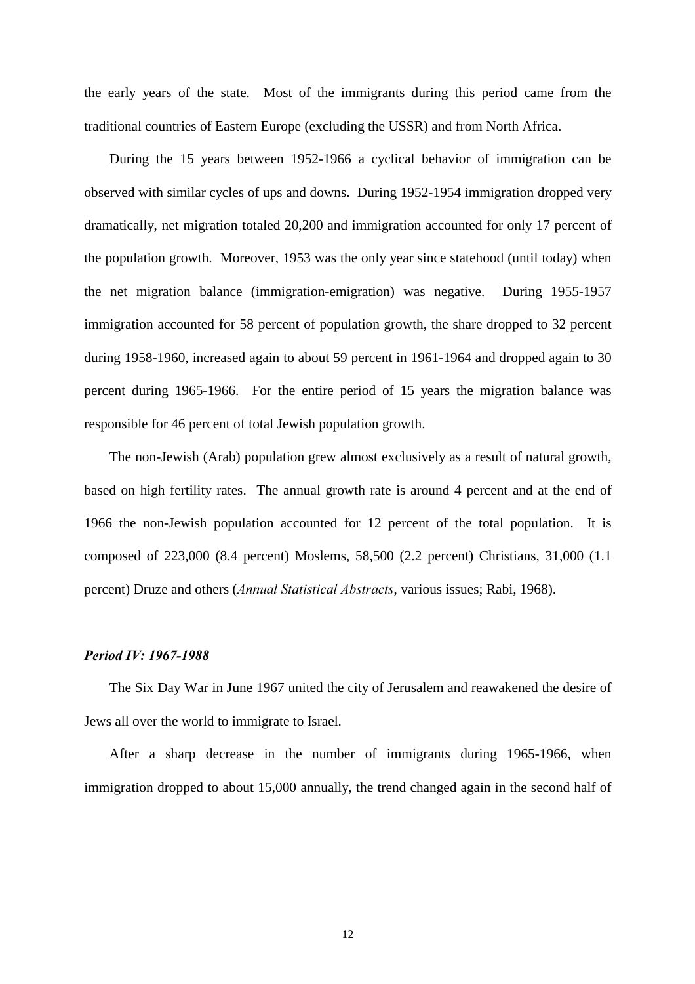the early years of the state. Most of the immigrants during this period came from the traditional countries of Eastern Europe (excluding the USSR) and from North Africa.

 During the 15 years between 1952-1966 a cyclical behavior of immigration can be observed with similar cycles of ups and downs. During 1952-1954 immigration dropped very dramatically, net migration totaled 20,200 and immigration accounted for only 17 percent of the population growth. Moreover, 1953 was the only year since statehood (until today) when the net migration balance (immigration-emigration) was negative. During 1955-1957 immigration accounted for 58 percent of population growth, the share dropped to 32 percent during 1958-1960, increased again to about 59 percent in 1961-1964 and dropped again to 30 percent during 1965-1966. For the entire period of 15 years the migration balance was responsible for 46 percent of total Jewish population growth.

 The non-Jewish (Arab) population grew almost exclusively as a result of natural growth, based on high fertility rates. The annual growth rate is around 4 percent and at the end of 1966 the non-Jewish population accounted for 12 percent of the total population. It is composed of 223,000 (8.4 percent) Moslems, 58,500 (2.2 percent) Christians, 31,000 (1.1 percent) Druze and others (Annual Statistical Abstracts, various issues; Rabi, 1968).

#### Period IV: 1967-1988

 The Six Day War in June 1967 united the city of Jerusalem and reawakened the desire of Jews all over the world to immigrate to Israel.

 After a sharp decrease in the number of immigrants during 1965-1966, when immigration dropped to about 15,000 annually, the trend changed again in the second half of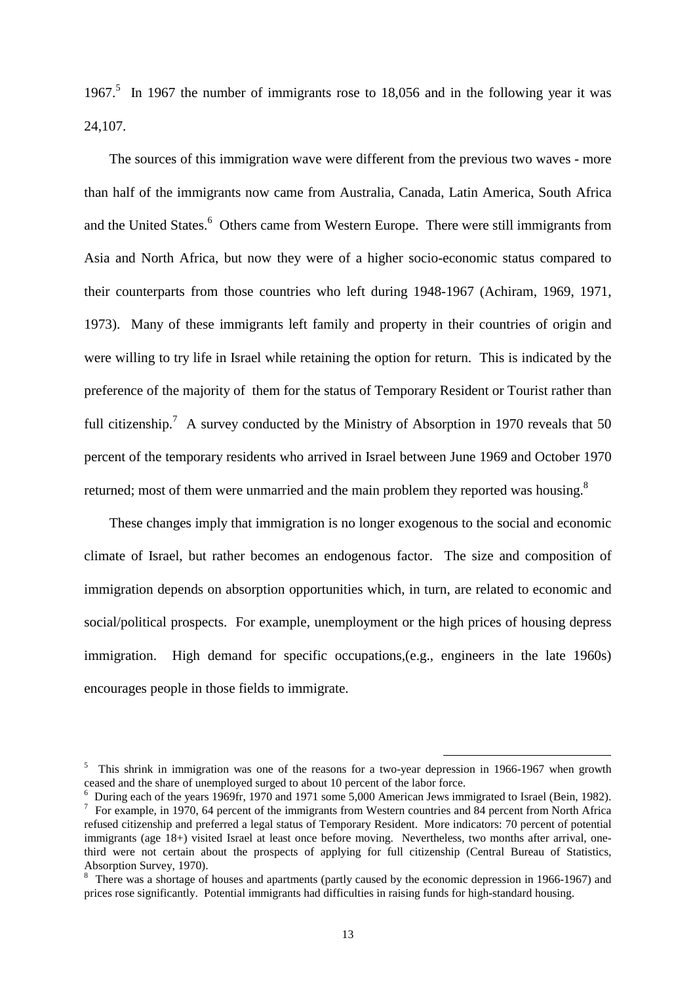1967.<sup>5</sup> In 1967 the number of immigrants rose to 18,056 and in the following year it was 24,107.

 The sources of this immigration wave were different from the previous two waves - more than half of the immigrants now came from Australia, Canada, Latin America, South Africa and the United States.<sup>6</sup> Others came from Western Europe. There were still immigrants from Asia and North Africa, but now they were of a higher socio-economic status compared to their counterparts from those countries who left during 1948-1967 (Achiram, 1969, 1971, 1973). Many of these immigrants left family and property in their countries of origin and were willing to try life in Israel while retaining the option for return. This is indicated by the preference of the majority of them for the status of Temporary Resident or Tourist rather than full citizenship.<sup>7</sup> A survey conducted by the Ministry of Absorption in 1970 reveals that 50 percent of the temporary residents who arrived in Israel between June 1969 and October 1970 returned; most of them were unmarried and the main problem they reported was housing. $8$ 

 These changes imply that immigration is no longer exogenous to the social and economic climate of Israel, but rather becomes an endogenous factor. The size and composition of immigration depends on absorption opportunities which, in turn, are related to economic and social/political prospects. For example, unemployment or the high prices of housing depress immigration. High demand for specific occupations,(e.g., engineers in the late 1960s) encourages people in those fields to immigrate.

<sup>&</sup>lt;sup>5</sup> This shrink in immigration was one of the reasons for a two-year depression in 1966-1967 when growth ceased and the share of unemployed surged to about 10 percent of the labor force.

 $6$  During each of the years 1969fr, 1970 and 1971 some 5,000 American Jews immigrated to Israel (Bein, 1982). <sup>7</sup> For example, in 1970, 64 percent of the immigrants from Western countries and 84 percent from North Africa refused citizenship and preferred a legal status of Temporary Resident. More indicators: 70 percent of potential immigrants (age 18+) visited Israel at least once before moving. Nevertheless, two months after arrival, onethird were not certain about the prospects of applying for full citizenship (Central Bureau of Statistics, Absorption Survey, 1970).

<sup>&</sup>lt;sup>8</sup> There was a shortage of houses and apartments (partly caused by the economic depression in 1966-1967) and prices rose significantly. Potential immigrants had difficulties in raising funds for high-standard housing.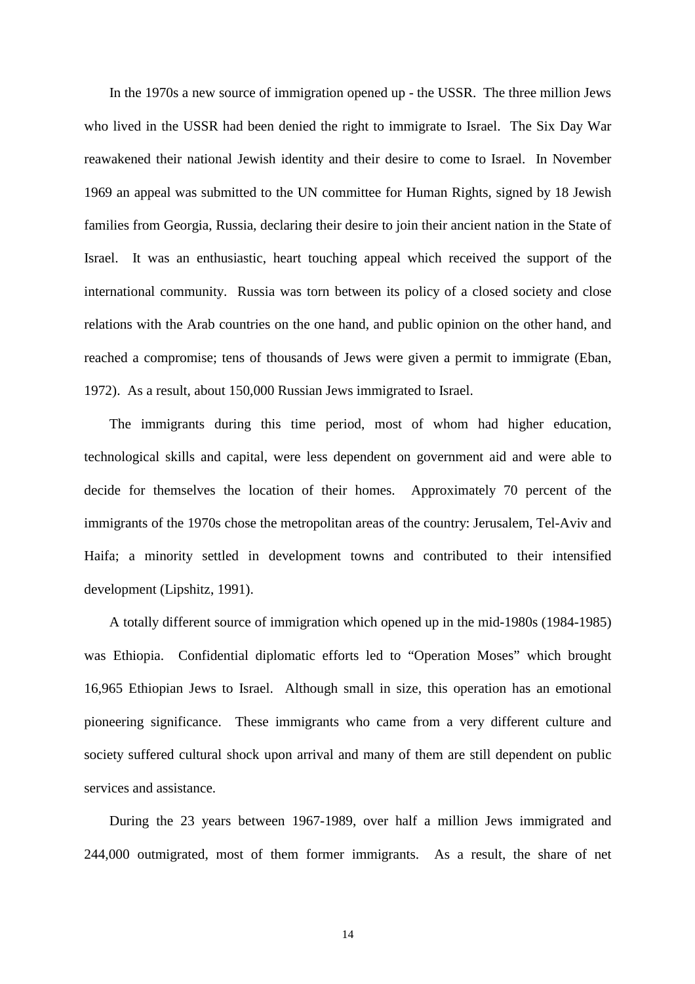In the 1970s a new source of immigration opened up - the USSR. The three million Jews who lived in the USSR had been denied the right to immigrate to Israel. The Six Day War reawakened their national Jewish identity and their desire to come to Israel. In November 1969 an appeal was submitted to the UN committee for Human Rights, signed by 18 Jewish families from Georgia, Russia, declaring their desire to join their ancient nation in the State of Israel. It was an enthusiastic, heart touching appeal which received the support of the international community. Russia was torn between its policy of a closed society and close relations with the Arab countries on the one hand, and public opinion on the other hand, and reached a compromise; tens of thousands of Jews were given a permit to immigrate (Eban, 1972). As a result, about 150,000 Russian Jews immigrated to Israel.

 The immigrants during this time period, most of whom had higher education, technological skills and capital, were less dependent on government aid and were able to decide for themselves the location of their homes. Approximately 70 percent of the immigrants of the 1970s chose the metropolitan areas of the country: Jerusalem, Tel-Aviv and Haifa; a minority settled in development towns and contributed to their intensified development (Lipshitz, 1991).

 A totally different source of immigration which opened up in the mid-1980s (1984-1985) was Ethiopia. Confidential diplomatic efforts led to "Operation Moses" which brought 16,965 Ethiopian Jews to Israel. Although small in size, this operation has an emotional pioneering significance. These immigrants who came from a very different culture and society suffered cultural shock upon arrival and many of them are still dependent on public services and assistance.

 During the 23 years between 1967-1989, over half a million Jews immigrated and 244,000 outmigrated, most of them former immigrants. As a result, the share of net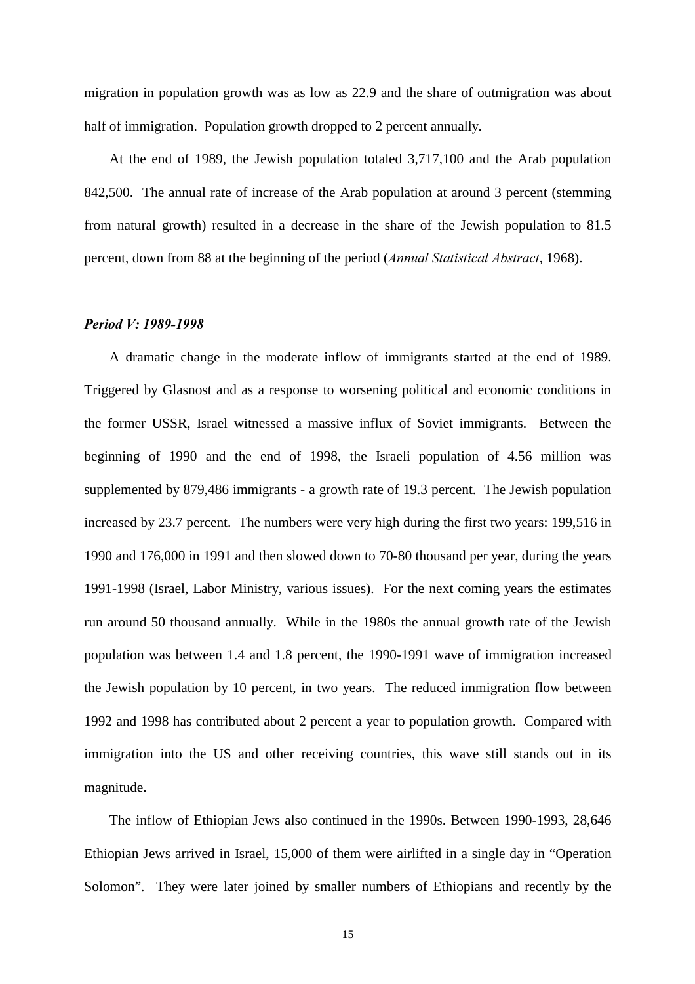migration in population growth was as low as 22.9 and the share of outmigration was about half of immigration. Population growth dropped to 2 percent annually.

 At the end of 1989, the Jewish population totaled 3,717,100 and the Arab population 842,500. The annual rate of increase of the Arab population at around 3 percent (stemming from natural growth) resulted in a decrease in the share of the Jewish population to 81.5 percent, down from 88 at the beginning of the period (Annual Statistical Abstract, 1968).

#### Period V: 1989-1998

 A dramatic change in the moderate inflow of immigrants started at the end of 1989. Triggered by Glasnost and as a response to worsening political and economic conditions in the former USSR, Israel witnessed a massive influx of Soviet immigrants. Between the beginning of 1990 and the end of 1998, the Israeli population of 4.56 million was supplemented by 879,486 immigrants - a growth rate of 19.3 percent. The Jewish population increased by 23.7 percent. The numbers were very high during the first two years: 199,516 in 1990 and 176,000 in 1991 and then slowed down to 70-80 thousand per year, during the years 1991-1998 (Israel, Labor Ministry, various issues). For the next coming years the estimates run around 50 thousand annually. While in the 1980s the annual growth rate of the Jewish population was between 1.4 and 1.8 percent, the 1990-1991 wave of immigration increased the Jewish population by 10 percent, in two years. The reduced immigration flow between 1992 and 1998 has contributed about 2 percent a year to population growth. Compared with immigration into the US and other receiving countries, this wave still stands out in its magnitude.

 The inflow of Ethiopian Jews also continued in the 1990s. Between 1990-1993, 28,646 Ethiopian Jews arrived in Israel, 15,000 of them were airlifted in a single day in "Operation Solomon". They were later joined by smaller numbers of Ethiopians and recently by the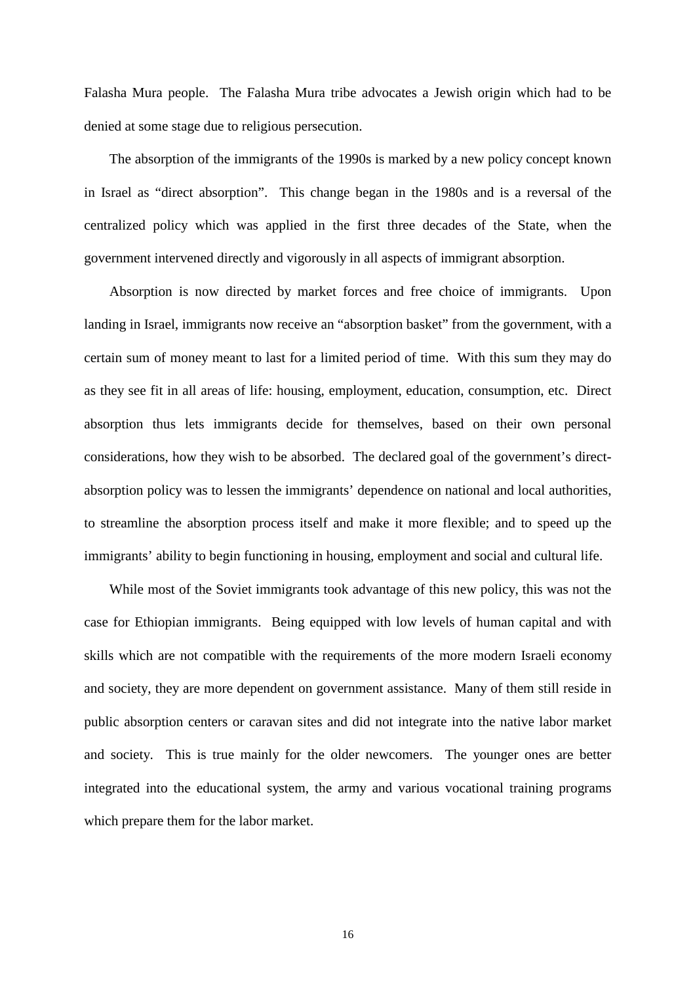Falasha Mura people. The Falasha Mura tribe advocates a Jewish origin which had to be denied at some stage due to religious persecution.

The absorption of the immigrants of the 1990s is marked by a new policy concept known in Israel as "direct absorption". This change began in the 1980s and is a reversal of the centralized policy which was applied in the first three decades of the State, when the government intervened directly and vigorously in all aspects of immigrant absorption.

 Absorption is now directed by market forces and free choice of immigrants. Upon landing in Israel, immigrants now receive an "absorption basket" from the government, with a certain sum of money meant to last for a limited period of time. With this sum they may do as they see fit in all areas of life: housing, employment, education, consumption, etc. Direct absorption thus lets immigrants decide for themselves, based on their own personal considerations, how they wish to be absorbed. The declared goal of the government's directabsorption policy was to lessen the immigrants' dependence on national and local authorities, to streamline the absorption process itself and make it more flexible; and to speed up the immigrants' ability to begin functioning in housing, employment and social and cultural life.

 While most of the Soviet immigrants took advantage of this new policy, this was not the case for Ethiopian immigrants. Being equipped with low levels of human capital and with skills which are not compatible with the requirements of the more modern Israeli economy and society, they are more dependent on government assistance. Many of them still reside in public absorption centers or caravan sites and did not integrate into the native labor market and society. This is true mainly for the older newcomers. The younger ones are better integrated into the educational system, the army and various vocational training programs which prepare them for the labor market.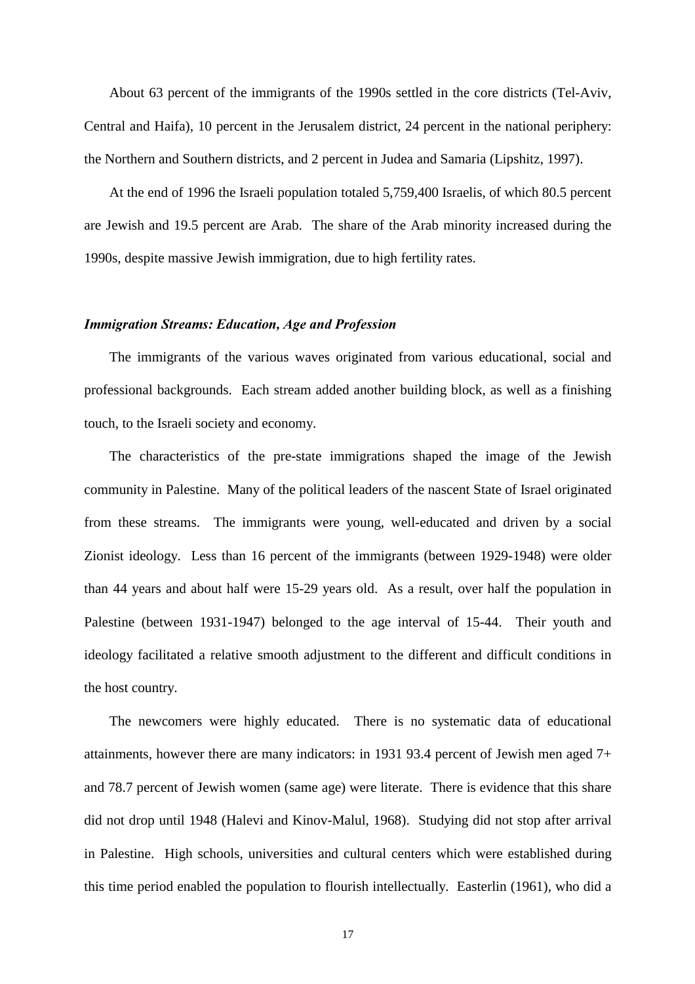About 63 percent of the immigrants of the 1990s settled in the core districts (Tel-Aviv, Central and Haifa), 10 percent in the Jerusalem district, 24 percent in the national periphery: the Northern and Southern districts, and 2 percent in Judea and Samaria (Lipshitz, 1997).

 At the end of 1996 the Israeli population totaled 5,759,400 Israelis, of which 80.5 percent are Jewish and 19.5 percent are Arab. The share of the Arab minority increased during the 1990s, despite massive Jewish immigration, due to high fertility rates.

#### **Immigration Streams: Education, Age and Profession**

 The immigrants of the various waves originated from various educational, social and professional backgrounds. Each stream added another building block, as well as a finishing touch, to the Israeli society and economy.

 The characteristics of the pre-state immigrations shaped the image of the Jewish community in Palestine. Many of the political leaders of the nascent State of Israel originated from these streams. The immigrants were young, well-educated and driven by a social Zionist ideology. Less than 16 percent of the immigrants (between 1929-1948) were older than 44 years and about half were 15-29 years old. As a result, over half the population in Palestine (between 1931-1947) belonged to the age interval of 15-44. Their youth and ideology facilitated a relative smooth adjustment to the different and difficult conditions in the host country.

 The newcomers were highly educated. There is no systematic data of educational attainments, however there are many indicators: in 1931 93.4 percent of Jewish men aged 7+ and 78.7 percent of Jewish women (same age) were literate. There is evidence that this share did not drop until 1948 (Halevi and Kinov-Malul, 1968). Studying did not stop after arrival in Palestine. High schools, universities and cultural centers which were established during this time period enabled the population to flourish intellectually. Easterlin (1961), who did a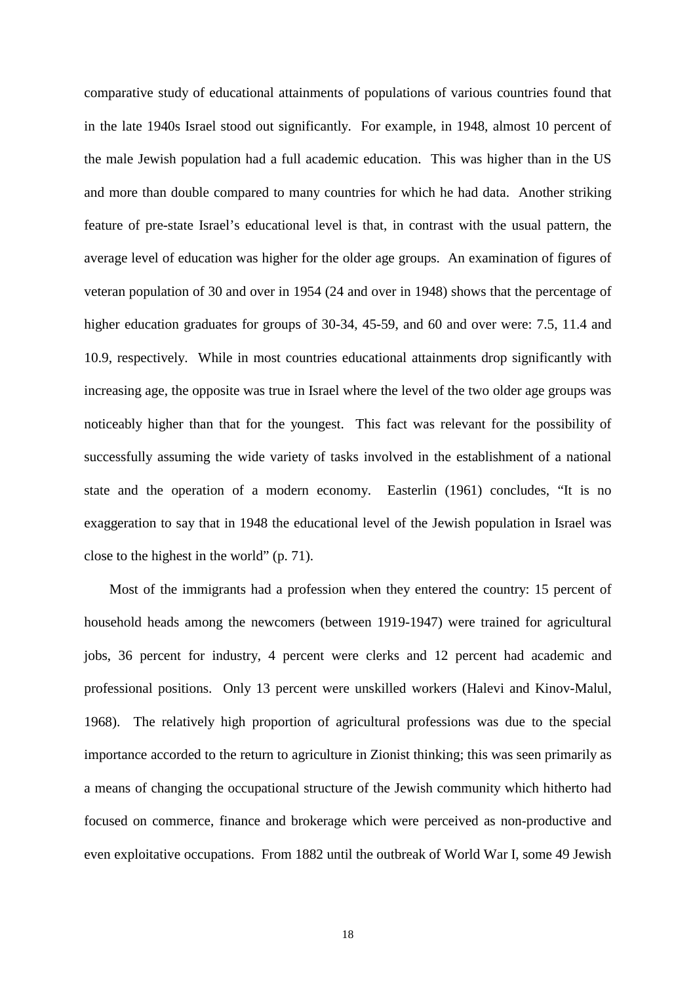comparative study of educational attainments of populations of various countries found that in the late 1940s Israel stood out significantly. For example, in 1948, almost 10 percent of the male Jewish population had a full academic education. This was higher than in the US and more than double compared to many countries for which he had data. Another striking feature of pre-state Israel's educational level is that, in contrast with the usual pattern, the average level of education was higher for the older age groups. An examination of figures of veteran population of 30 and over in 1954 (24 and over in 1948) shows that the percentage of higher education graduates for groups of 30-34, 45-59, and 60 and over were: 7.5, 11.4 and 10.9, respectively. While in most countries educational attainments drop significantly with increasing age, the opposite was true in Israel where the level of the two older age groups was noticeably higher than that for the youngest. This fact was relevant for the possibility of successfully assuming the wide variety of tasks involved in the establishment of a national state and the operation of a modern economy. Easterlin (1961) concludes, "It is no exaggeration to say that in 1948 the educational level of the Jewish population in Israel was close to the highest in the world" (p. 71).

 Most of the immigrants had a profession when they entered the country: 15 percent of household heads among the newcomers (between 1919-1947) were trained for agricultural jobs, 36 percent for industry, 4 percent were clerks and 12 percent had academic and professional positions. Only 13 percent were unskilled workers (Halevi and Kinov-Malul, 1968). The relatively high proportion of agricultural professions was due to the special importance accorded to the return to agriculture in Zionist thinking; this was seen primarily as a means of changing the occupational structure of the Jewish community which hitherto had focused on commerce, finance and brokerage which were perceived as non-productive and even exploitative occupations. From 1882 until the outbreak of World War I, some 49 Jewish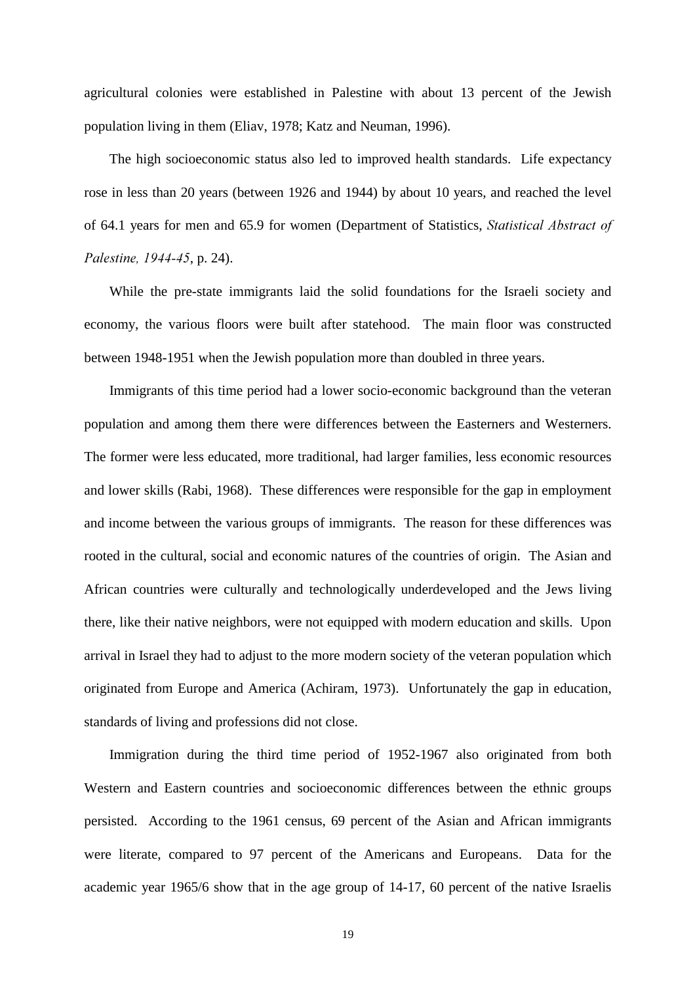agricultural colonies were established in Palestine with about 13 percent of the Jewish population living in them (Eliav, 1978; Katz and Neuman, 1996).

 The high socioeconomic status also led to improved health standards. Life expectancy rose in less than 20 years (between 1926 and 1944) by about 10 years, and reached the level of 64.1 years for men and 65.9 for women (Department of Statistics, Statistical Abstract of Palestine, 1944-45, p. 24).

 While the pre-state immigrants laid the solid foundations for the Israeli society and economy, the various floors were built after statehood. The main floor was constructed between 1948-1951 when the Jewish population more than doubled in three years.

 Immigrants of this time period had a lower socio-economic background than the veteran population and among them there were differences between the Easterners and Westerners. The former were less educated, more traditional, had larger families, less economic resources and lower skills (Rabi, 1968). These differences were responsible for the gap in employment and income between the various groups of immigrants. The reason for these differences was rooted in the cultural, social and economic natures of the countries of origin. The Asian and African countries were culturally and technologically underdeveloped and the Jews living there, like their native neighbors, were not equipped with modern education and skills. Upon arrival in Israel they had to adjust to the more modern society of the veteran population which originated from Europe and America (Achiram, 1973). Unfortunately the gap in education, standards of living and professions did not close.

 Immigration during the third time period of 1952-1967 also originated from both Western and Eastern countries and socioeconomic differences between the ethnic groups persisted. According to the 1961 census, 69 percent of the Asian and African immigrants were literate, compared to 97 percent of the Americans and Europeans. Data for the academic year 1965/6 show that in the age group of 14-17, 60 percent of the native Israelis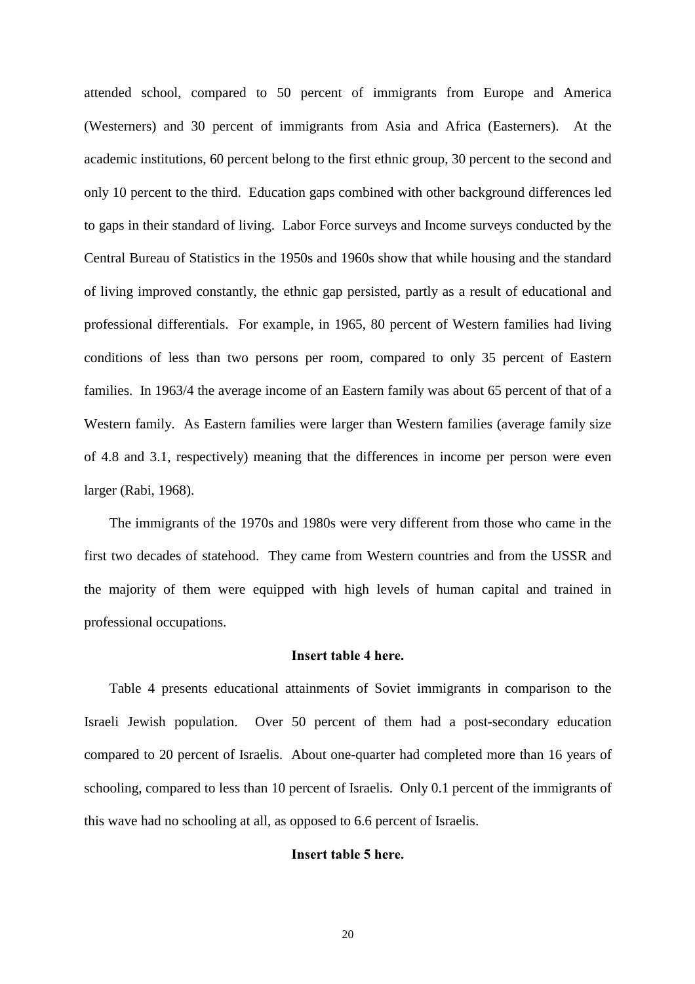attended school, compared to 50 percent of immigrants from Europe and America (Westerners) and 30 percent of immigrants from Asia and Africa (Easterners). At the academic institutions, 60 percent belong to the first ethnic group, 30 percent to the second and only 10 percent to the third. Education gaps combined with other background differences led to gaps in their standard of living. Labor Force surveys and Income surveys conducted by the Central Bureau of Statistics in the 1950s and 1960s show that while housing and the standard of living improved constantly, the ethnic gap persisted, partly as a result of educational and professional differentials. For example, in 1965, 80 percent of Western families had living conditions of less than two persons per room, compared to only 35 percent of Eastern families. In 1963/4 the average income of an Eastern family was about 65 percent of that of a Western family. As Eastern families were larger than Western families (average family size of 4.8 and 3.1, respectively) meaning that the differences in income per person were even larger (Rabi, 1968).

 The immigrants of the 1970s and 1980s were very different from those who came in the first two decades of statehood. They came from Western countries and from the USSR and the majority of them were equipped with high levels of human capital and trained in professional occupations.

#### Insert table 4 here.

 Table 4 presents educational attainments of Soviet immigrants in comparison to the Israeli Jewish population. Over 50 percent of them had a post-secondary education compared to 20 percent of Israelis. About one-quarter had completed more than 16 years of schooling, compared to less than 10 percent of Israelis. Only 0.1 percent of the immigrants of this wave had no schooling at all, as opposed to 6.6 percent of Israelis.

#### Insert table 5 here.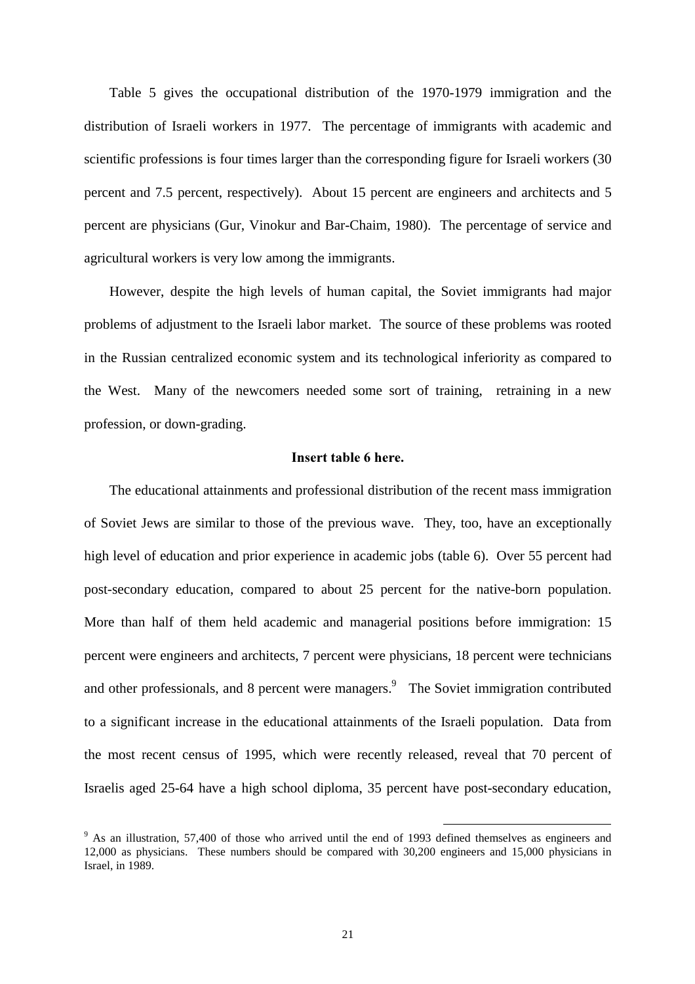Table 5 gives the occupational distribution of the 1970-1979 immigration and the distribution of Israeli workers in 1977. The percentage of immigrants with academic and scientific professions is four times larger than the corresponding figure for Israeli workers (30 percent and 7.5 percent, respectively). About 15 percent are engineers and architects and 5 percent are physicians (Gur, Vinokur and Bar-Chaim, 1980). The percentage of service and agricultural workers is very low among the immigrants.

 However, despite the high levels of human capital, the Soviet immigrants had major problems of adjustment to the Israeli labor market. The source of these problems was rooted in the Russian centralized economic system and its technological inferiority as compared to the West. Many of the newcomers needed some sort of training, retraining in a new profession, or down-grading.

#### Insert table 6 here.

 The educational attainments and professional distribution of the recent mass immigration of Soviet Jews are similar to those of the previous wave. They, too, have an exceptionally high level of education and prior experience in academic jobs (table 6). Over 55 percent had post-secondary education, compared to about 25 percent for the native-born population. More than half of them held academic and managerial positions before immigration: 15 percent were engineers and architects, 7 percent were physicians, 18 percent were technicians and other professionals, and 8 percent were managers. $9$  The Soviet immigration contributed to a significant increase in the educational attainments of the Israeli population. Data from the most recent census of 1995, which were recently released, reveal that 70 percent of Israelis aged 25-64 have a high school diploma, 35 percent have post-secondary education,

<sup>&</sup>lt;sup>9</sup> As an illustration, 57,400 of those who arrived until the end of 1993 defined themselves as engineers and 12,000 as physicians. These numbers should be compared with 30,200 engineers and 15,000 physicians in Israel, in 1989.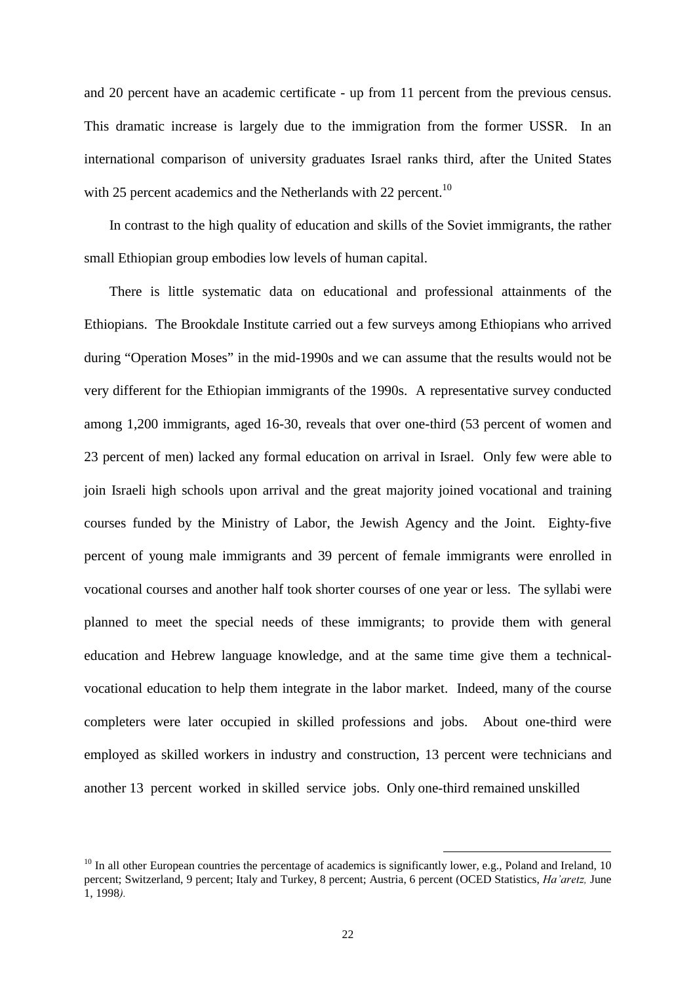and 20 percent have an academic certificate - up from 11 percent from the previous census. This dramatic increase is largely due to the immigration from the former USSR. In an international comparison of university graduates Israel ranks third, after the United States with 25 percent academics and the Netherlands with 22 percent.<sup>10</sup>

 In contrast to the high quality of education and skills of the Soviet immigrants, the rather small Ethiopian group embodies low levels of human capital.

 There is little systematic data on educational and professional attainments of the Ethiopians. The Brookdale Institute carried out a few surveys among Ethiopians who arrived during "Operation Moses" in the mid-1990s and we can assume that the results would not be very different for the Ethiopian immigrants of the 1990s. A representative survey conducted among 1,200 immigrants, aged 16-30, reveals that over one-third (53 percent of women and 23 percent of men) lacked any formal education on arrival in Israel. Only few were able to join Israeli high schools upon arrival and the great majority joined vocational and training courses funded by the Ministry of Labor, the Jewish Agency and the Joint. Eighty-five percent of young male immigrants and 39 percent of female immigrants were enrolled in vocational courses and another half took shorter courses of one year or less. The syllabi were planned to meet the special needs of these immigrants; to provide them with general education and Hebrew language knowledge, and at the same time give them a technicalvocational education to help them integrate in the labor market. Indeed, many of the course completers were later occupied in skilled professions and jobs. About one-third were employed as skilled workers in industry and construction, 13 percent were technicians and another 13 percent worked in skilled service jobs. Only one-third remained unskilled

 $10$  In all other European countries the percentage of academics is significantly lower, e.g., Poland and Ireland, 10 percent; Switzerland, 9 percent; Italy and Turkey, 8 percent; Austria, 6 percent (OCED Statistics, *Ha'aretz*, June 1, 1998).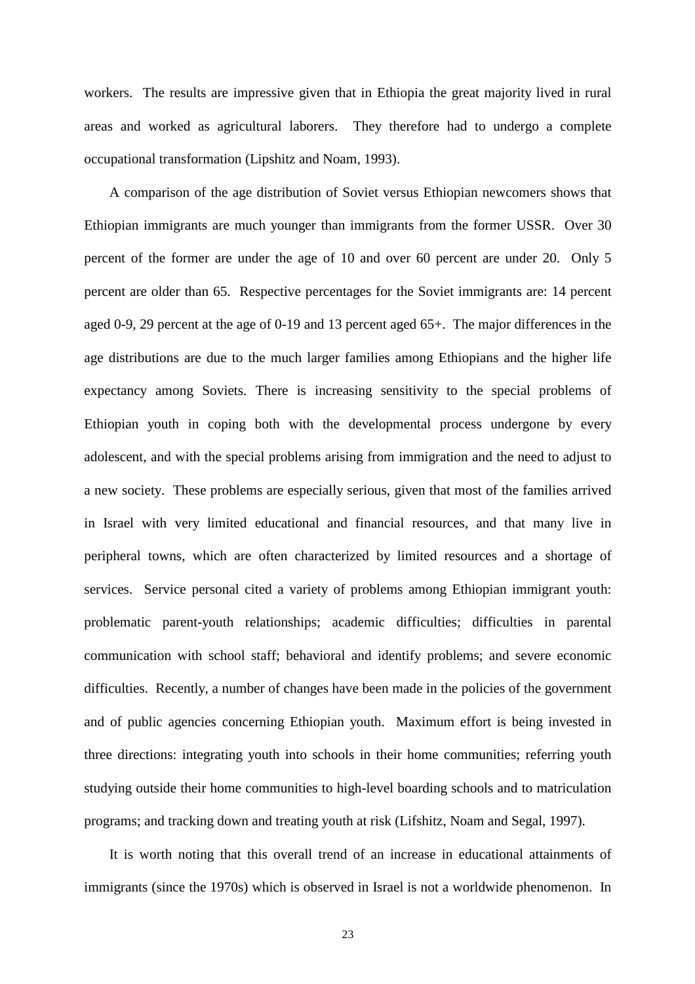workers. The results are impressive given that in Ethiopia the great majority lived in rural areas and worked as agricultural laborers. They therefore had to undergo a complete occupational transformation (Lipshitz and Noam, 1993).

 A comparison of the age distribution of Soviet versus Ethiopian newcomers shows that Ethiopian immigrants are much younger than immigrants from the former USSR. Over 30 percent of the former are under the age of 10 and over 60 percent are under 20. Only 5 percent are older than 65. Respective percentages for the Soviet immigrants are: 14 percent aged 0-9, 29 percent at the age of 0-19 and 13 percent aged 65+. The major differences in the age distributions are due to the much larger families among Ethiopians and the higher life expectancy among Soviets. There is increasing sensitivity to the special problems of Ethiopian youth in coping both with the developmental process undergone by every adolescent, and with the special problems arising from immigration and the need to adjust to a new society. These problems are especially serious, given that most of the families arrived in Israel with very limited educational and financial resources, and that many live in peripheral towns, which are often characterized by limited resources and a shortage of services. Service personal cited a variety of problems among Ethiopian immigrant youth: problematic parent-youth relationships; academic difficulties; difficulties in parental communication with school staff; behavioral and identify problems; and severe economic difficulties. Recently, a number of changes have been made in the policies of the government and of public agencies concerning Ethiopian youth. Maximum effort is being invested in three directions: integrating youth into schools in their home communities; referring youth studying outside their home communities to high-level boarding schools and to matriculation programs; and tracking down and treating youth at risk (Lifshitz, Noam and Segal, 1997).

 It is worth noting that this overall trend of an increase in educational attainments of immigrants (since the 1970s) which is observed in Israel is not a worldwide phenomenon. In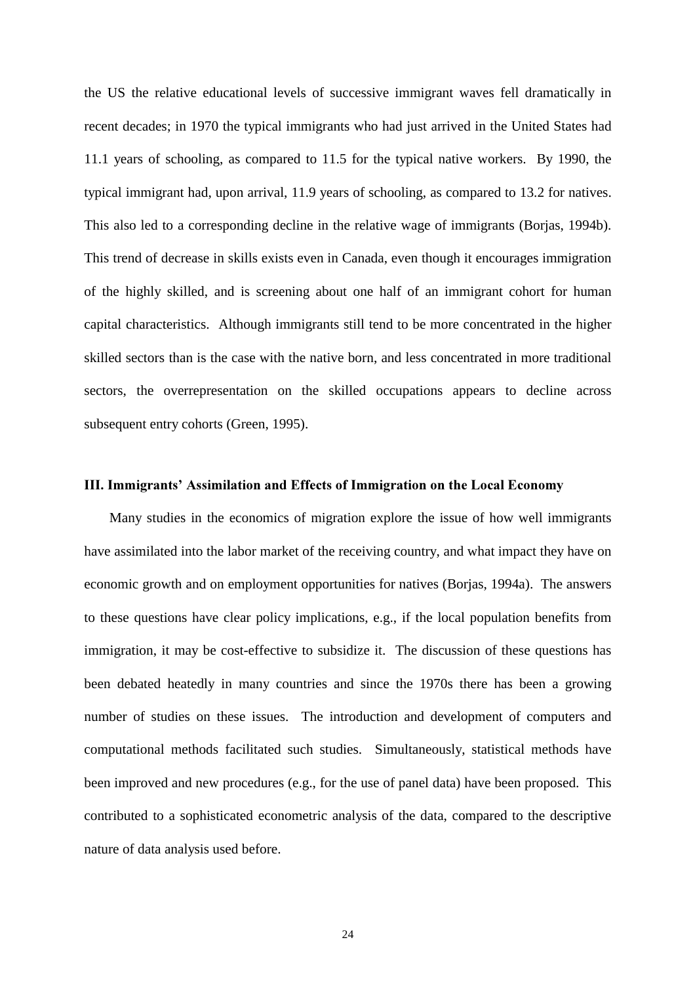the US the relative educational levels of successive immigrant waves fell dramatically in recent decades; in 1970 the typical immigrants who had just arrived in the United States had 11.1 years of schooling, as compared to 11.5 for the typical native workers. By 1990, the typical immigrant had, upon arrival, 11.9 years of schooling, as compared to 13.2 for natives. This also led to a corresponding decline in the relative wage of immigrants (Borjas, 1994b). This trend of decrease in skills exists even in Canada, even though it encourages immigration of the highly skilled, and is screening about one half of an immigrant cohort for human capital characteristics. Although immigrants still tend to be more concentrated in the higher skilled sectors than is the case with the native born, and less concentrated in more traditional sectors, the overrepresentation on the skilled occupations appears to decline across subsequent entry cohorts (Green, 1995).

#### III. Immigrants' Assimilation and Effects of Immigration on the Local Economy

 Many studies in the economics of migration explore the issue of how well immigrants have assimilated into the labor market of the receiving country, and what impact they have on economic growth and on employment opportunities for natives (Borjas, 1994a). The answers to these questions have clear policy implications, e.g., if the local population benefits from immigration, it may be cost-effective to subsidize it. The discussion of these questions has been debated heatedly in many countries and since the 1970s there has been a growing number of studies on these issues. The introduction and development of computers and computational methods facilitated such studies. Simultaneously, statistical methods have been improved and new procedures (e.g., for the use of panel data) have been proposed. This contributed to a sophisticated econometric analysis of the data, compared to the descriptive nature of data analysis used before.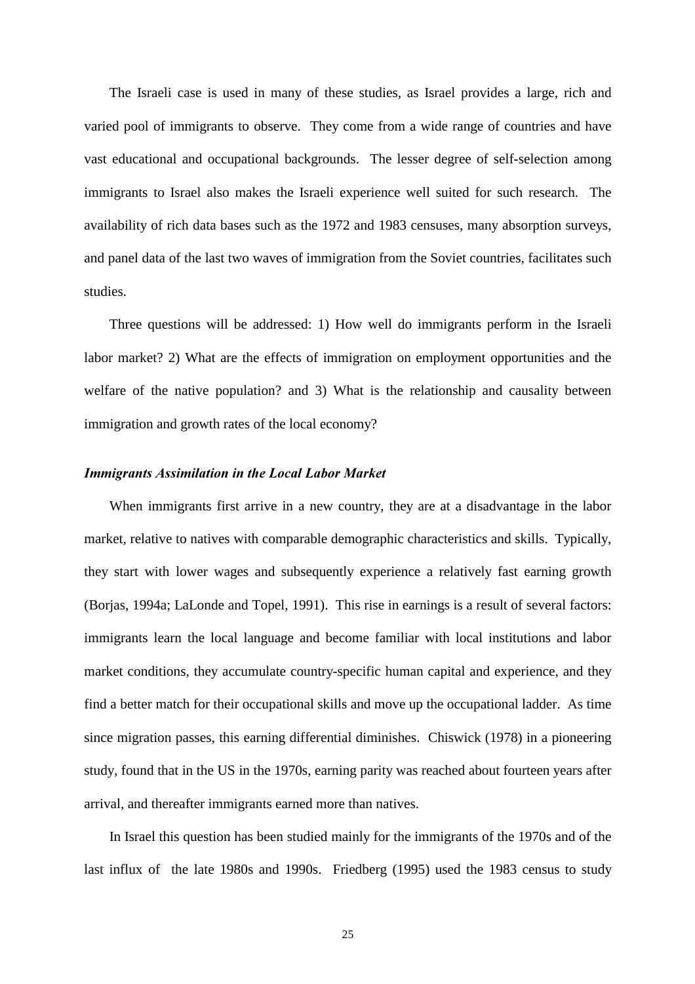The Israeli case is used in many of these studies, as Israel provides a large, rich and varied pool of immigrants to observe. They come from a wide range of countries and have vast educational and occupational backgrounds. The lesser degree of self-selection among immigrants to Israel also makes the Israeli experience well suited for such research. The availability of rich data bases such as the 1972 and 1983 censuses, many absorption surveys, and panel data of the last two waves of immigration from the Soviet countries, facilitates such studies.

 Three questions will be addressed: 1) How well do immigrants perform in the Israeli labor market? 2) What are the effects of immigration on employment opportunities and the welfare of the native population? and 3) What is the relationship and causality between immigration and growth rates of the local economy?

#### **Immigrants Assimilation in the Local Labor Market**

 When immigrants first arrive in a new country, they are at a disadvantage in the labor market, relative to natives with comparable demographic characteristics and skills. Typically, they start with lower wages and subsequently experience a relatively fast earning growth (Borjas, 1994a; LaLonde and Topel, 1991). This rise in earnings is a result of several factors: immigrants learn the local language and become familiar with local institutions and labor market conditions, they accumulate country-specific human capital and experience, and they find a better match for their occupational skills and move up the occupational ladder. As time since migration passes, this earning differential diminishes. Chiswick (1978) in a pioneering study, found that in the US in the 1970s, earning parity was reached about fourteen years after arrival, and thereafter immigrants earned more than natives.

 In Israel this question has been studied mainly for the immigrants of the 1970s and of the last influx of the late 1980s and 1990s. Friedberg (1995) used the 1983 census to study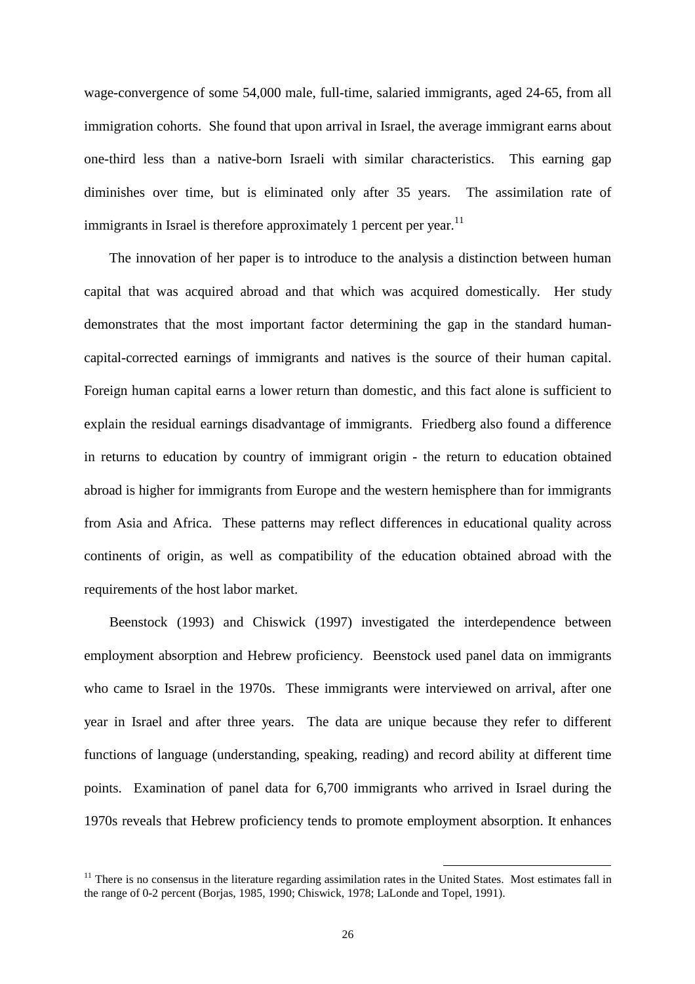wage-convergence of some 54,000 male, full-time, salaried immigrants, aged 24-65, from all immigration cohorts. She found that upon arrival in Israel, the average immigrant earns about one-third less than a native-born Israeli with similar characteristics. This earning gap diminishes over time, but is eliminated only after 35 years. The assimilation rate of immigrants in Israel is therefore approximately 1 percent per year.<sup>11</sup>

 The innovation of her paper is to introduce to the analysis a distinction between human capital that was acquired abroad and that which was acquired domestically. Her study demonstrates that the most important factor determining the gap in the standard humancapital-corrected earnings of immigrants and natives is the source of their human capital. Foreign human capital earns a lower return than domestic, and this fact alone is sufficient to explain the residual earnings disadvantage of immigrants. Friedberg also found a difference in returns to education by country of immigrant origin - the return to education obtained abroad is higher for immigrants from Europe and the western hemisphere than for immigrants from Asia and Africa. These patterns may reflect differences in educational quality across continents of origin, as well as compatibility of the education obtained abroad with the requirements of the host labor market.

 Beenstock (1993) and Chiswick (1997) investigated the interdependence between employment absorption and Hebrew proficiency. Beenstock used panel data on immigrants who came to Israel in the 1970s. These immigrants were interviewed on arrival, after one year in Israel and after three years. The data are unique because they refer to different functions of language (understanding, speaking, reading) and record ability at different time points. Examination of panel data for 6,700 immigrants who arrived in Israel during the 1970s reveals that Hebrew proficiency tends to promote employment absorption. It enhances

 $11$  There is no consensus in the literature regarding assimilation rates in the United States. Most estimates fall in the range of 0-2 percent (Borjas, 1985, 1990; Chiswick, 1978; LaLonde and Topel, 1991).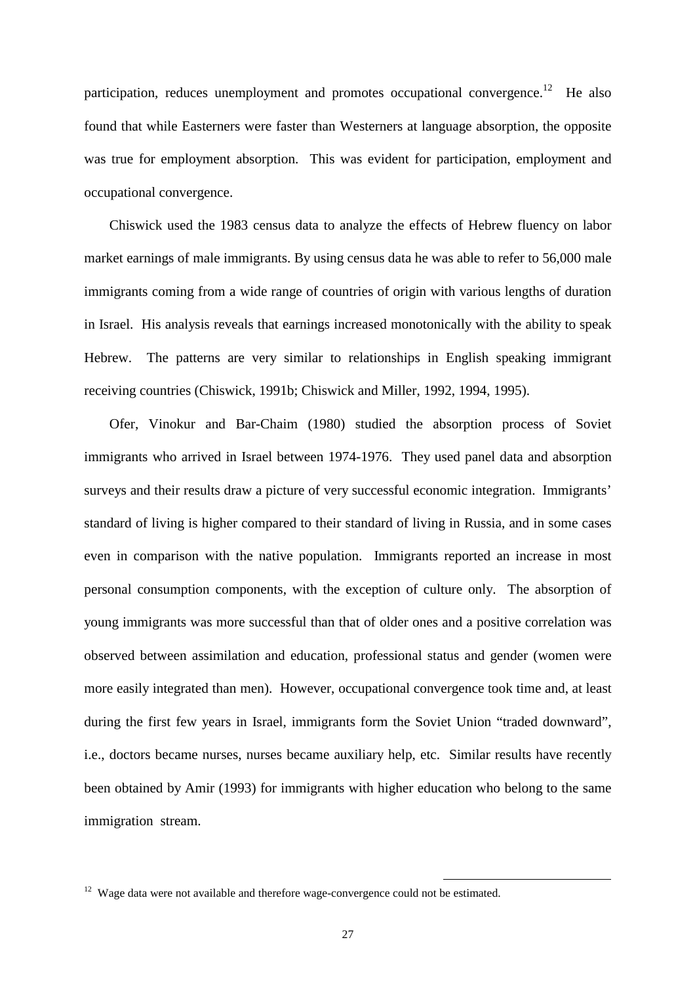participation, reduces unemployment and promotes occupational convergence.<sup>12</sup> He also found that while Easterners were faster than Westerners at language absorption, the opposite was true for employment absorption. This was evident for participation, employment and occupational convergence.

 Chiswick used the 1983 census data to analyze the effects of Hebrew fluency on labor market earnings of male immigrants. By using census data he was able to refer to 56,000 male immigrants coming from a wide range of countries of origin with various lengths of duration in Israel. His analysis reveals that earnings increased monotonically with the ability to speak Hebrew. The patterns are very similar to relationships in English speaking immigrant receiving countries (Chiswick, 1991b; Chiswick and Miller, 1992, 1994, 1995).

 Ofer, Vinokur and Bar-Chaim (1980) studied the absorption process of Soviet immigrants who arrived in Israel between 1974-1976. They used panel data and absorption surveys and their results draw a picture of very successful economic integration. Immigrants' standard of living is higher compared to their standard of living in Russia, and in some cases even in comparison with the native population. Immigrants reported an increase in most personal consumption components, with the exception of culture only. The absorption of young immigrants was more successful than that of older ones and a positive correlation was observed between assimilation and education, professional status and gender (women were more easily integrated than men). However, occupational convergence took time and, at least during the first few years in Israel, immigrants form the Soviet Union "traded downward", i.e., doctors became nurses, nurses became auxiliary help, etc. Similar results have recently been obtained by Amir (1993) for immigrants with higher education who belong to the same immigration stream.

 $12$  Wage data were not available and therefore wage-convergence could not be estimated.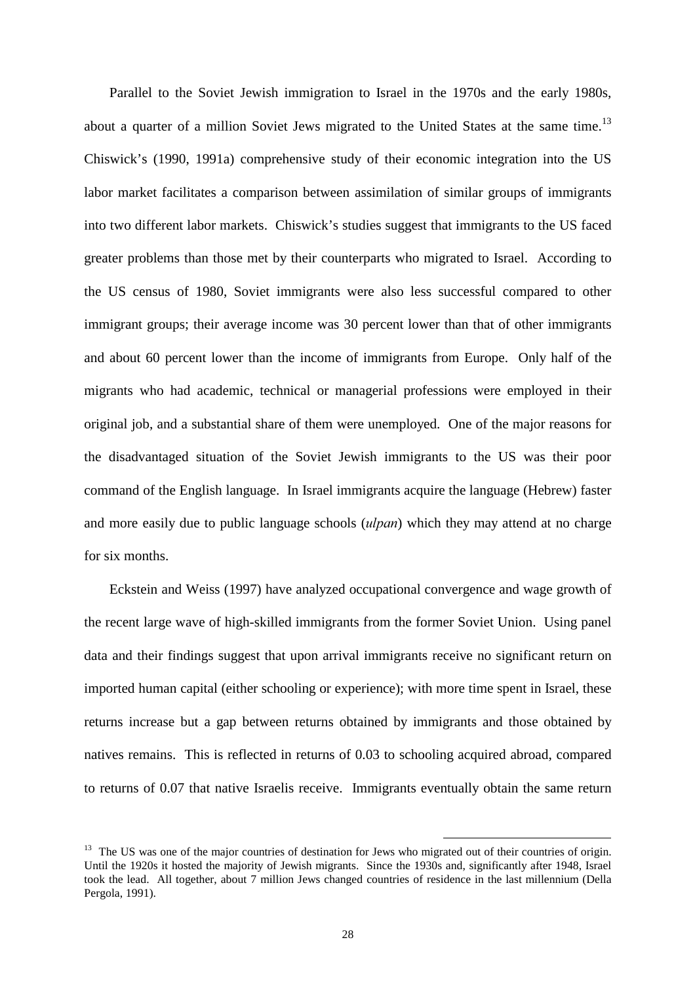Parallel to the Soviet Jewish immigration to Israel in the 1970s and the early 1980s, about a quarter of a million Soviet Jews migrated to the United States at the same time.<sup>13</sup> Chiswick's (1990, 1991a) comprehensive study of their economic integration into the US labor market facilitates a comparison between assimilation of similar groups of immigrants into two different labor markets. Chiswick's studies suggest that immigrants to the US faced greater problems than those met by their counterparts who migrated to Israel. According to the US census of 1980, Soviet immigrants were also less successful compared to other immigrant groups; their average income was 30 percent lower than that of other immigrants and about 60 percent lower than the income of immigrants from Europe. Only half of the migrants who had academic, technical or managerial professions were employed in their original job, and a substantial share of them were unemployed. One of the major reasons for the disadvantaged situation of the Soviet Jewish immigrants to the US was their poor command of the English language. In Israel immigrants acquire the language (Hebrew) faster and more easily due to public language schools (ulpan) which they may attend at no charge for six months.

 Eckstein and Weiss (1997) have analyzed occupational convergence and wage growth of the recent large wave of high-skilled immigrants from the former Soviet Union. Using panel data and their findings suggest that upon arrival immigrants receive no significant return on imported human capital (either schooling or experience); with more time spent in Israel, these returns increase but a gap between returns obtained by immigrants and those obtained by natives remains. This is reflected in returns of 0.03 to schooling acquired abroad, compared to returns of 0.07 that native Israelis receive. Immigrants eventually obtain the same return

<sup>&</sup>lt;sup>13</sup> The US was one of the major countries of destination for Jews who migrated out of their countries of origin. Until the 1920s it hosted the majority of Jewish migrants. Since the 1930s and, significantly after 1948, Israel took the lead. All together, about 7 million Jews changed countries of residence in the last millennium (Della Pergola, 1991).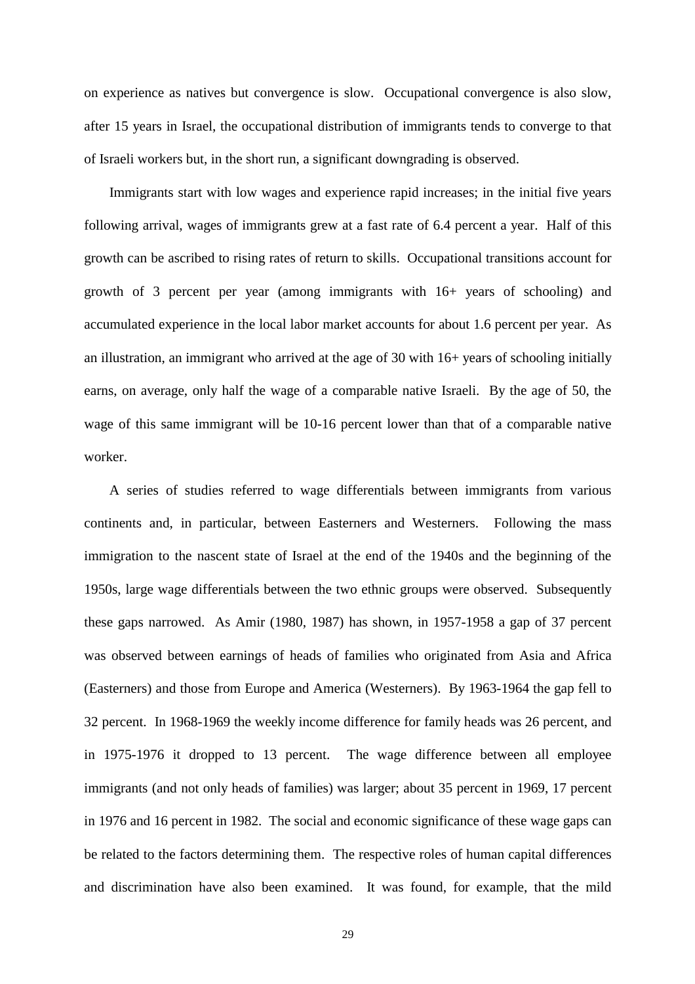on experience as natives but convergence is slow. Occupational convergence is also slow, after 15 years in Israel, the occupational distribution of immigrants tends to converge to that of Israeli workers but, in the short run, a significant downgrading is observed.

 Immigrants start with low wages and experience rapid increases; in the initial five years following arrival, wages of immigrants grew at a fast rate of 6.4 percent a year. Half of this growth can be ascribed to rising rates of return to skills. Occupational transitions account for growth of 3 percent per year (among immigrants with 16+ years of schooling) and accumulated experience in the local labor market accounts for about 1.6 percent per year. As an illustration, an immigrant who arrived at the age of 30 with 16+ years of schooling initially earns, on average, only half the wage of a comparable native Israeli. By the age of 50, the wage of this same immigrant will be 10-16 percent lower than that of a comparable native worker.

 A series of studies referred to wage differentials between immigrants from various continents and, in particular, between Easterners and Westerners. Following the mass immigration to the nascent state of Israel at the end of the 1940s and the beginning of the 1950s, large wage differentials between the two ethnic groups were observed. Subsequently these gaps narrowed. As Amir (1980, 1987) has shown, in 1957-1958 a gap of 37 percent was observed between earnings of heads of families who originated from Asia and Africa (Easterners) and those from Europe and America (Westerners). By 1963-1964 the gap fell to 32 percent. In 1968-1969 the weekly income difference for family heads was 26 percent, and in 1975-1976 it dropped to 13 percent. The wage difference between all employee immigrants (and not only heads of families) was larger; about 35 percent in 1969, 17 percent in 1976 and 16 percent in 1982. The social and economic significance of these wage gaps can be related to the factors determining them. The respective roles of human capital differences and discrimination have also been examined. It was found, for example, that the mild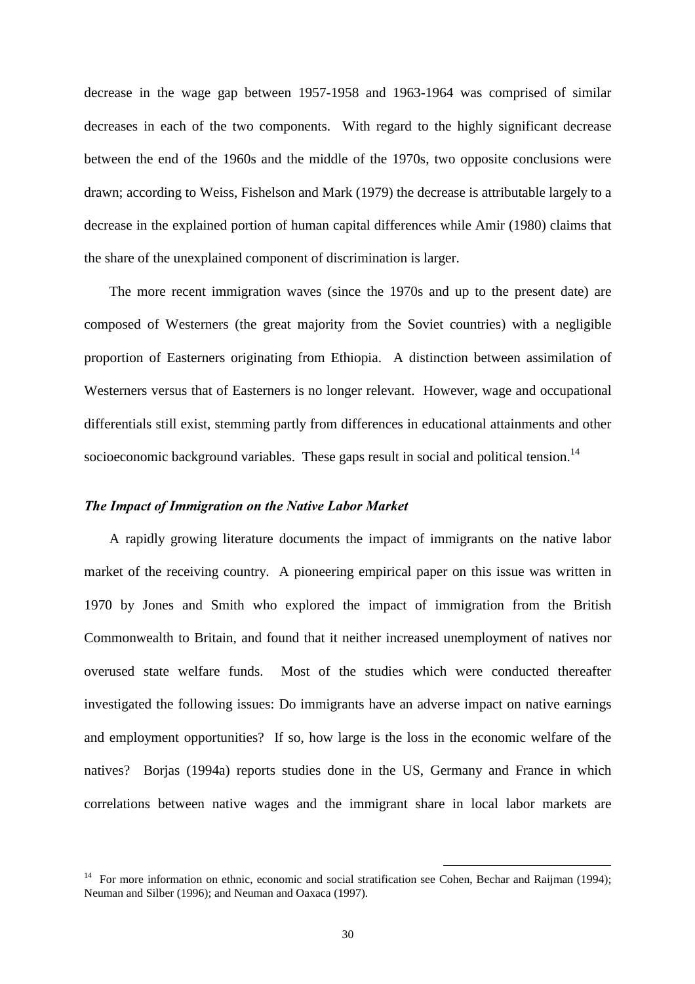decrease in the wage gap between 1957-1958 and 1963-1964 was comprised of similar decreases in each of the two components. With regard to the highly significant decrease between the end of the 1960s and the middle of the 1970s, two opposite conclusions were drawn; according to Weiss, Fishelson and Mark (1979) the decrease is attributable largely to a decrease in the explained portion of human capital differences while Amir (1980) claims that the share of the unexplained component of discrimination is larger.

 The more recent immigration waves (since the 1970s and up to the present date) are composed of Westerners (the great majority from the Soviet countries) with a negligible proportion of Easterners originating from Ethiopia. A distinction between assimilation of Westerners versus that of Easterners is no longer relevant. However, wage and occupational differentials still exist, stemming partly from differences in educational attainments and other socioeconomic background variables. These gaps result in social and political tension.<sup>14</sup>

#### The Impact of Immigration on the Native Labor Market

 A rapidly growing literature documents the impact of immigrants on the native labor market of the receiving country. A pioneering empirical paper on this issue was written in 1970 by Jones and Smith who explored the impact of immigration from the British Commonwealth to Britain, and found that it neither increased unemployment of natives nor overused state welfare funds. Most of the studies which were conducted thereafter investigated the following issues: Do immigrants have an adverse impact on native earnings and employment opportunities? If so, how large is the loss in the economic welfare of the natives? Borjas (1994a) reports studies done in the US, Germany and France in which correlations between native wages and the immigrant share in local labor markets are

<sup>&</sup>lt;sup>14</sup> For more information on ethnic, economic and social stratification see Cohen, Bechar and Raijman (1994); Neuman and Silber (1996); and Neuman and Oaxaca (1997).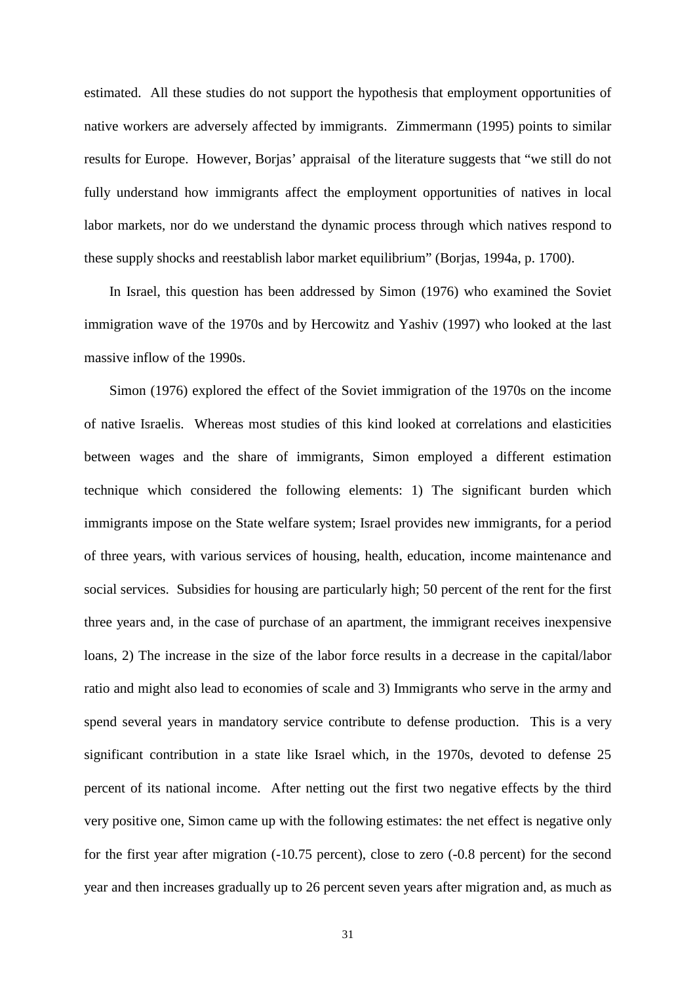estimated. All these studies do not support the hypothesis that employment opportunities of native workers are adversely affected by immigrants. Zimmermann (1995) points to similar results for Europe. However, Borjas' appraisal of the literature suggests that "we still do not fully understand how immigrants affect the employment opportunities of natives in local labor markets, nor do we understand the dynamic process through which natives respond to these supply shocks and reestablish labor market equilibrium" (Borjas, 1994a, p. 1700).

 In Israel, this question has been addressed by Simon (1976) who examined the Soviet immigration wave of the 1970s and by Hercowitz and Yashiv (1997) who looked at the last massive inflow of the 1990s.

 Simon (1976) explored the effect of the Soviet immigration of the 1970s on the income of native Israelis. Whereas most studies of this kind looked at correlations and elasticities between wages and the share of immigrants, Simon employed a different estimation technique which considered the following elements: 1) The significant burden which immigrants impose on the State welfare system; Israel provides new immigrants, for a period of three years, with various services of housing, health, education, income maintenance and social services. Subsidies for housing are particularly high; 50 percent of the rent for the first three years and, in the case of purchase of an apartment, the immigrant receives inexpensive loans, 2) The increase in the size of the labor force results in a decrease in the capital/labor ratio and might also lead to economies of scale and 3) Immigrants who serve in the army and spend several years in mandatory service contribute to defense production. This is a very significant contribution in a state like Israel which, in the 1970s, devoted to defense 25 percent of its national income. After netting out the first two negative effects by the third very positive one, Simon came up with the following estimates: the net effect is negative only for the first year after migration (-10.75 percent), close to zero (-0.8 percent) for the second year and then increases gradually up to 26 percent seven years after migration and, as much as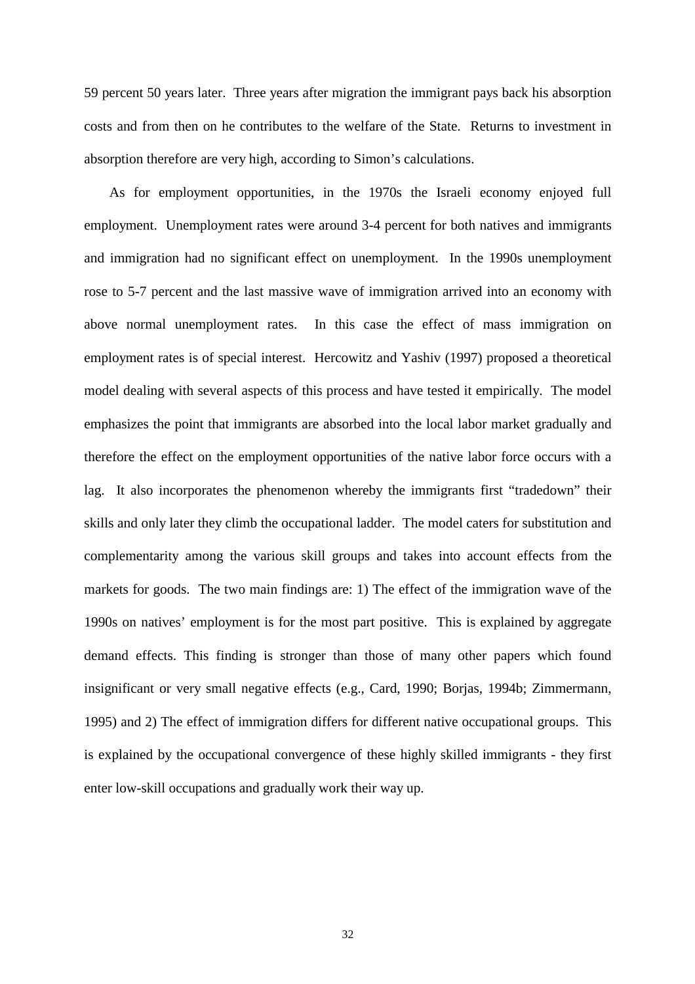59 percent 50 years later. Three years after migration the immigrant pays back his absorption costs and from then on he contributes to the welfare of the State. Returns to investment in absorption therefore are very high, according to Simon's calculations.

 As for employment opportunities, in the 1970s the Israeli economy enjoyed full employment. Unemployment rates were around 3-4 percent for both natives and immigrants and immigration had no significant effect on unemployment. In the 1990s unemployment rose to 5-7 percent and the last massive wave of immigration arrived into an economy with above normal unemployment rates. In this case the effect of mass immigration on employment rates is of special interest. Hercowitz and Yashiv (1997) proposed a theoretical model dealing with several aspects of this process and have tested it empirically. The model emphasizes the point that immigrants are absorbed into the local labor market gradually and therefore the effect on the employment opportunities of the native labor force occurs with a lag. It also incorporates the phenomenon whereby the immigrants first "tradedown" their skills and only later they climb the occupational ladder. The model caters for substitution and complementarity among the various skill groups and takes into account effects from the markets for goods. The two main findings are: 1) The effect of the immigration wave of the 1990s on natives' employment is for the most part positive. This is explained by aggregate demand effects. This finding is stronger than those of many other papers which found insignificant or very small negative effects (e.g., Card, 1990; Borjas, 1994b; Zimmermann, 1995) and 2) The effect of immigration differs for different native occupational groups. This is explained by the occupational convergence of these highly skilled immigrants - they first enter low-skill occupations and gradually work their way up.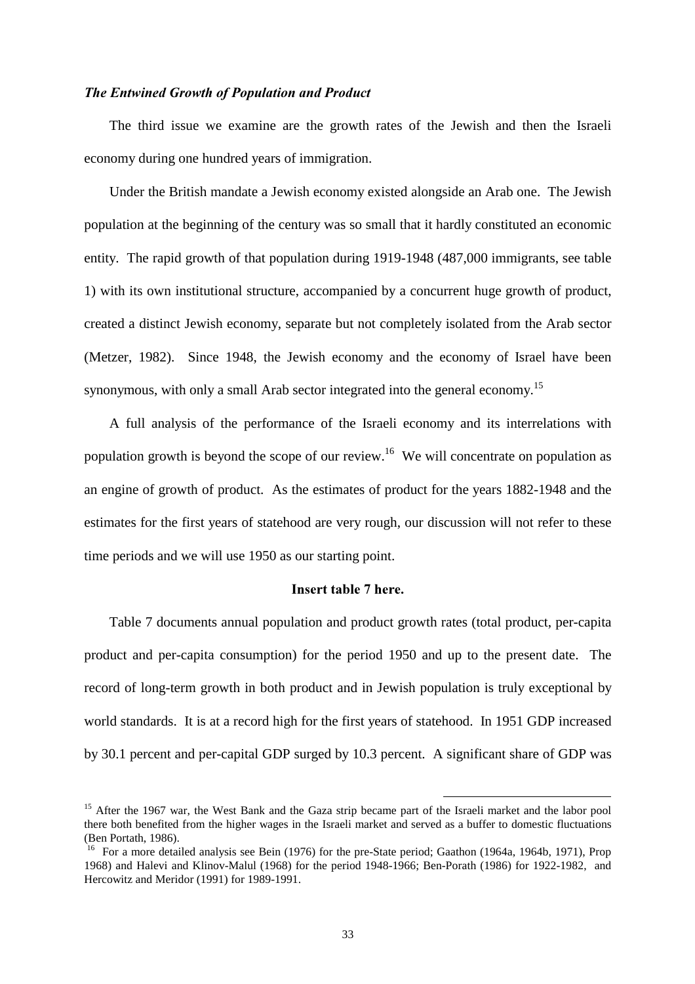#### The Entwined Growth of Population and Product

 The third issue we examine are the growth rates of the Jewish and then the Israeli economy during one hundred years of immigration.

 Under the British mandate a Jewish economy existed alongside an Arab one. The Jewish population at the beginning of the century was so small that it hardly constituted an economic entity. The rapid growth of that population during 1919-1948 (487,000 immigrants, see table 1) with its own institutional structure, accompanied by a concurrent huge growth of product, created a distinct Jewish economy, separate but not completely isolated from the Arab sector (Metzer, 1982). Since 1948, the Jewish economy and the economy of Israel have been synonymous, with only a small Arab sector integrated into the general economy.<sup>15</sup>

 A full analysis of the performance of the Israeli economy and its interrelations with population growth is beyond the scope of our review.16 We will concentrate on population as an engine of growth of product. As the estimates of product for the years 1882-1948 and the estimates for the first years of statehood are very rough, our discussion will not refer to these time periods and we will use 1950 as our starting point.

#### Insert table 7 here.

 Table 7 documents annual population and product growth rates (total product, per-capita product and per-capita consumption) for the period 1950 and up to the present date. The record of long-term growth in both product and in Jewish population is truly exceptional by world standards. It is at a record high for the first years of statehood. In 1951 GDP increased by 30.1 percent and per-capital GDP surged by 10.3 percent. A significant share of GDP was

<sup>&</sup>lt;sup>15</sup> After the 1967 war, the West Bank and the Gaza strip became part of the Israeli market and the labor pool there both benefited from the higher wages in the Israeli market and served as a buffer to domestic fluctuations (Ben Portath, 1986).

<sup>&</sup>lt;sup>16</sup> For a more detailed analysis see Bein (1976) for the pre-State period; Gaathon (1964a, 1964b, 1971), Prop 1968) and Halevi and Klinov-Malul (1968) for the period 1948-1966; Ben-Porath (1986) for 1922-1982, and Hercowitz and Meridor (1991) for 1989-1991.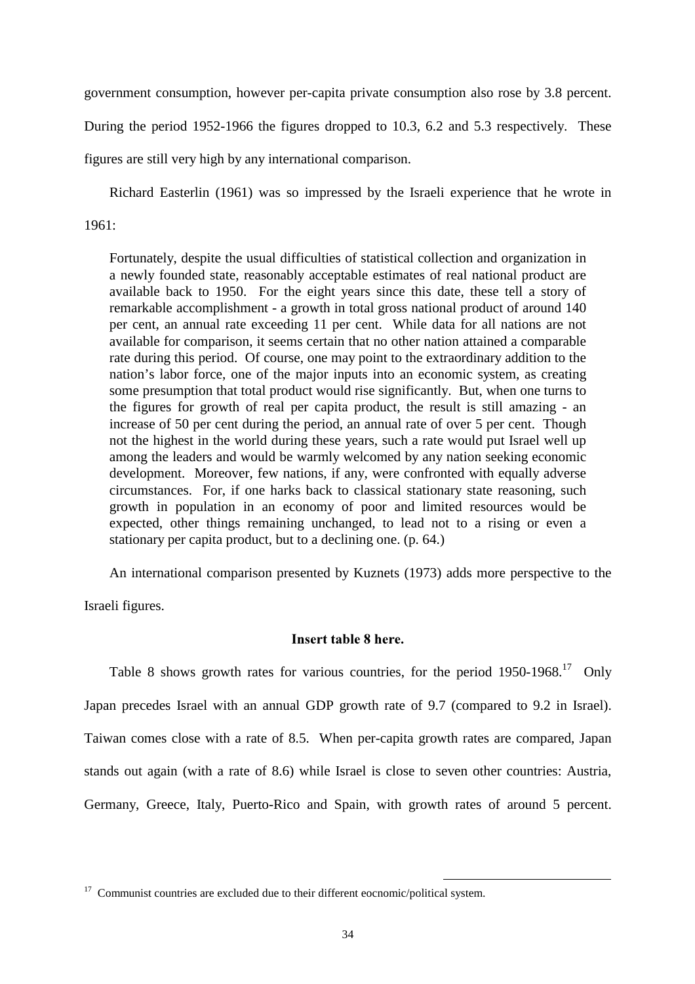government consumption, however per-capita private consumption also rose by 3.8 percent.

During the period 1952-1966 the figures dropped to 10.3, 6.2 and 5.3 respectively. These

figures are still very high by any international comparison.

Richard Easterlin (1961) was so impressed by the Israeli experience that he wrote in

1961:

Fortunately, despite the usual difficulties of statistical collection and organization in a newly founded state, reasonably acceptable estimates of real national product are available back to 1950. For the eight years since this date, these tell a story of remarkable accomplishment - a growth in total gross national product of around 140 per cent, an annual rate exceeding 11 per cent. While data for all nations are not available for comparison, it seems certain that no other nation attained a comparable rate during this period. Of course, one may point to the extraordinary addition to the nation's labor force, one of the major inputs into an economic system, as creating some presumption that total product would rise significantly. But, when one turns to the figures for growth of real per capita product, the result is still amazing - an increase of 50 per cent during the period, an annual rate of over 5 per cent. Though not the highest in the world during these years, such a rate would put Israel well up among the leaders and would be warmly welcomed by any nation seeking economic development. Moreover, few nations, if any, were confronted with equally adverse circumstances. For, if one harks back to classical stationary state reasoning, such growth in population in an economy of poor and limited resources would be expected, other things remaining unchanged, to lead not to a rising or even a stationary per capita product, but to a declining one. (p. 64.)

An international comparison presented by Kuznets (1973) adds more perspective to the

Israeli figures.

#### Insert table 8 here.

Table 8 shows growth rates for various countries, for the period 1950-1968.<sup>17</sup> Only Japan precedes Israel with an annual GDP growth rate of 9.7 (compared to 9.2 in Israel). Taiwan comes close with a rate of 8.5. When per-capita growth rates are compared, Japan stands out again (with a rate of 8.6) while Israel is close to seven other countries: Austria, Germany, Greece, Italy, Puerto-Rico and Spain, with growth rates of around 5 percent.

<sup>&</sup>lt;sup>17</sup> Communist countries are excluded due to their different eocnomic/political system.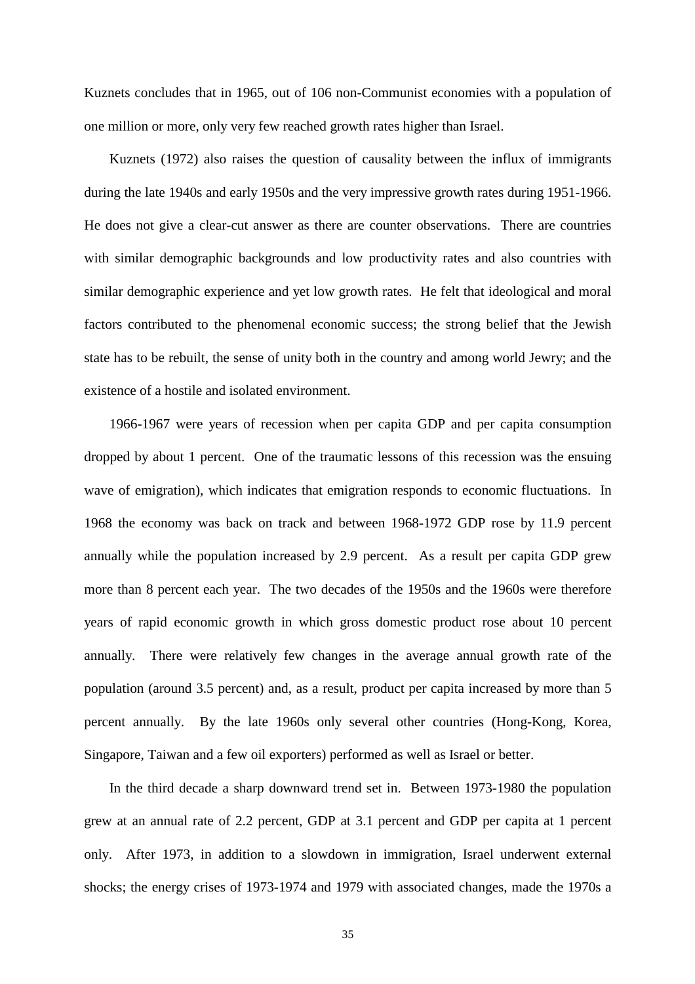Kuznets concludes that in 1965, out of 106 non-Communist economies with a population of one million or more, only very few reached growth rates higher than Israel.

 Kuznets (1972) also raises the question of causality between the influx of immigrants during the late 1940s and early 1950s and the very impressive growth rates during 1951-1966. He does not give a clear-cut answer as there are counter observations. There are countries with similar demographic backgrounds and low productivity rates and also countries with similar demographic experience and yet low growth rates. He felt that ideological and moral factors contributed to the phenomenal economic success; the strong belief that the Jewish state has to be rebuilt, the sense of unity both in the country and among world Jewry; and the existence of a hostile and isolated environment.

 1966-1967 were years of recession when per capita GDP and per capita consumption dropped by about 1 percent. One of the traumatic lessons of this recession was the ensuing wave of emigration), which indicates that emigration responds to economic fluctuations. In 1968 the economy was back on track and between 1968-1972 GDP rose by 11.9 percent annually while the population increased by 2.9 percent. As a result per capita GDP grew more than 8 percent each year. The two decades of the 1950s and the 1960s were therefore years of rapid economic growth in which gross domestic product rose about 10 percent annually. There were relatively few changes in the average annual growth rate of the population (around 3.5 percent) and, as a result, product per capita increased by more than 5 percent annually. By the late 1960s only several other countries (Hong-Kong, Korea, Singapore, Taiwan and a few oil exporters) performed as well as Israel or better.

 In the third decade a sharp downward trend set in. Between 1973-1980 the population grew at an annual rate of 2.2 percent, GDP at 3.1 percent and GDP per capita at 1 percent only. After 1973, in addition to a slowdown in immigration, Israel underwent external shocks; the energy crises of 1973-1974 and 1979 with associated changes, made the 1970s a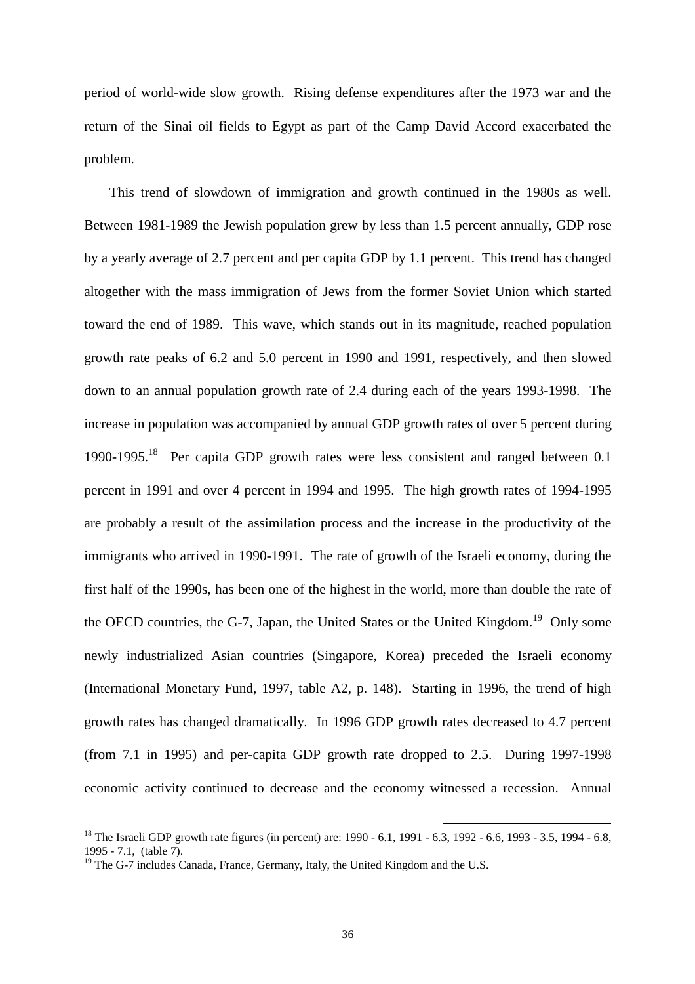period of world-wide slow growth. Rising defense expenditures after the 1973 war and the return of the Sinai oil fields to Egypt as part of the Camp David Accord exacerbated the problem.

 This trend of slowdown of immigration and growth continued in the 1980s as well. Between 1981-1989 the Jewish population grew by less than 1.5 percent annually, GDP rose by a yearly average of 2.7 percent and per capita GDP by 1.1 percent. This trend has changed altogether with the mass immigration of Jews from the former Soviet Union which started toward the end of 1989. This wave, which stands out in its magnitude, reached population growth rate peaks of 6.2 and 5.0 percent in 1990 and 1991, respectively, and then slowed down to an annual population growth rate of 2.4 during each of the years 1993-1998. The increase in population was accompanied by annual GDP growth rates of over 5 percent during 1990-1995.18 Per capita GDP growth rates were less consistent and ranged between 0.1 percent in 1991 and over 4 percent in 1994 and 1995. The high growth rates of 1994-1995 are probably a result of the assimilation process and the increase in the productivity of the immigrants who arrived in 1990-1991. The rate of growth of the Israeli economy, during the first half of the 1990s, has been one of the highest in the world, more than double the rate of the OECD countries, the G-7, Japan, the United States or the United Kingdom.<sup>19</sup> Only some newly industrialized Asian countries (Singapore, Korea) preceded the Israeli economy (International Monetary Fund, 1997, table A2, p. 148). Starting in 1996, the trend of high growth rates has changed dramatically. In 1996 GDP growth rates decreased to 4.7 percent (from 7.1 in 1995) and per-capita GDP growth rate dropped to 2.5. During 1997-1998 economic activity continued to decrease and the economy witnessed a recession. Annual

<sup>&</sup>lt;sup>18</sup> The Israeli GDP growth rate figures (in percent) are: 1990 - 6.1, 1991 - 6.3, 1992 - 6.6, 1993 - 3.5, 1994 - 6.8, 1995 - 7.1, (table 7).

<sup>&</sup>lt;sup>19</sup> The G-7 includes Canada, France, Germany, Italy, the United Kingdom and the U.S.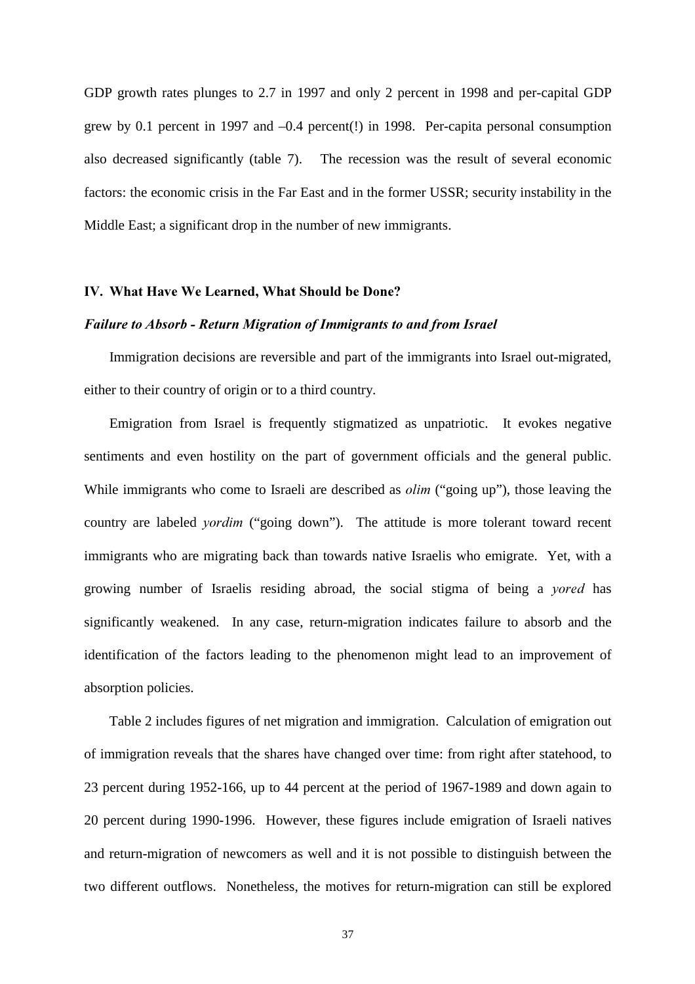GDP growth rates plunges to 2.7 in 1997 and only 2 percent in 1998 and per-capital GDP grew by 0.1 percent in 1997 and –0.4 percent(!) in 1998. Per-capita personal consumption also decreased significantly (table 7). The recession was the result of several economic factors: the economic crisis in the Far East and in the former USSR; security instability in the Middle East; a significant drop in the number of new immigrants.

#### IV. What Have We Learned, What Should be Done?

#### Failure to Absorb - Return Migration of Immigrants to and from Israel

 Immigration decisions are reversible and part of the immigrants into Israel out-migrated, either to their country of origin or to a third country.

 Emigration from Israel is frequently stigmatized as unpatriotic. It evokes negative sentiments and even hostility on the part of government officials and the general public. While immigrants who come to Israeli are described as *olim* ("going up"), those leaving the country are labeled *yordim* ("going down"). The attitude is more tolerant toward recent immigrants who are migrating back than towards native Israelis who emigrate. Yet, with a growing number of Israelis residing abroad, the social stigma of being a *yored* has significantly weakened. In any case, return-migration indicates failure to absorb and the identification of the factors leading to the phenomenon might lead to an improvement of absorption policies.

 Table 2 includes figures of net migration and immigration. Calculation of emigration out of immigration reveals that the shares have changed over time: from right after statehood, to 23 percent during 1952-166, up to 44 percent at the period of 1967-1989 and down again to 20 percent during 1990-1996. However, these figures include emigration of Israeli natives and return-migration of newcomers as well and it is not possible to distinguish between the two different outflows. Nonetheless, the motives for return-migration can still be explored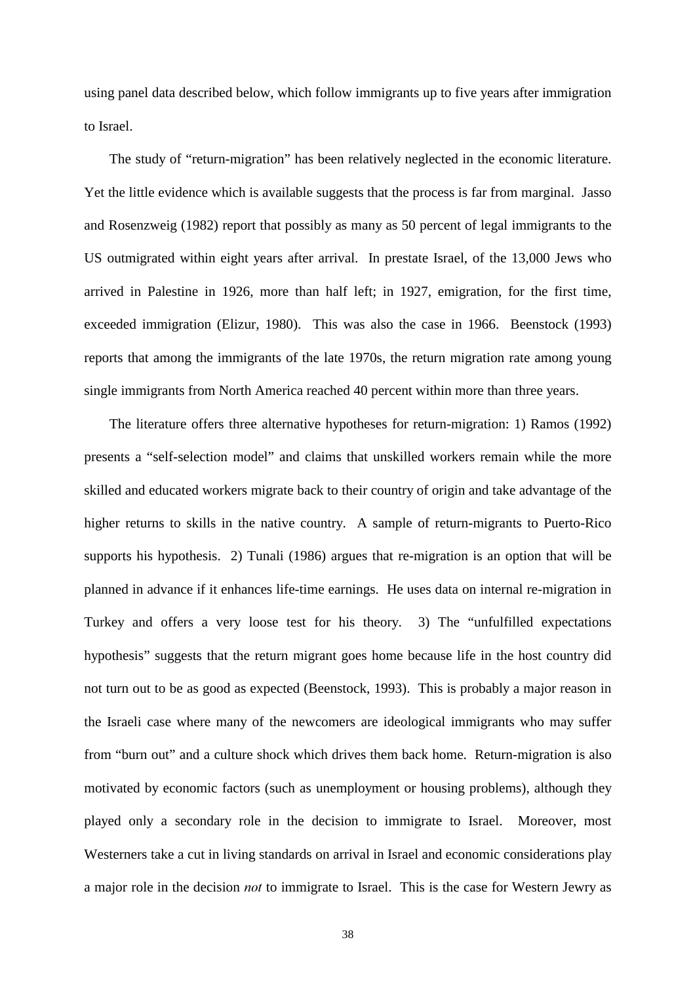using panel data described below, which follow immigrants up to five years after immigration to Israel.

 The study of "return-migration" has been relatively neglected in the economic literature. Yet the little evidence which is available suggests that the process is far from marginal. Jasso and Rosenzweig (1982) report that possibly as many as 50 percent of legal immigrants to the US outmigrated within eight years after arrival. In prestate Israel, of the 13,000 Jews who arrived in Palestine in 1926, more than half left; in 1927, emigration, for the first time, exceeded immigration (Elizur, 1980). This was also the case in 1966. Beenstock (1993) reports that among the immigrants of the late 1970s, the return migration rate among young single immigrants from North America reached 40 percent within more than three years.

 The literature offers three alternative hypotheses for return-migration: 1) Ramos (1992) presents a "self-selection model" and claims that unskilled workers remain while the more skilled and educated workers migrate back to their country of origin and take advantage of the higher returns to skills in the native country. A sample of return-migrants to Puerto-Rico supports his hypothesis. 2) Tunali (1986) argues that re-migration is an option that will be planned in advance if it enhances life-time earnings. He uses data on internal re-migration in Turkey and offers a very loose test for his theory. 3) The "unfulfilled expectations hypothesis" suggests that the return migrant goes home because life in the host country did not turn out to be as good as expected (Beenstock, 1993). This is probably a major reason in the Israeli case where many of the newcomers are ideological immigrants who may suffer from "burn out" and a culture shock which drives them back home. Return-migration is also motivated by economic factors (such as unemployment or housing problems), although they played only a secondary role in the decision to immigrate to Israel. Moreover, most Westerners take a cut in living standards on arrival in Israel and economic considerations play a major role in the decision not to immigrate to Israel. This is the case for Western Jewry as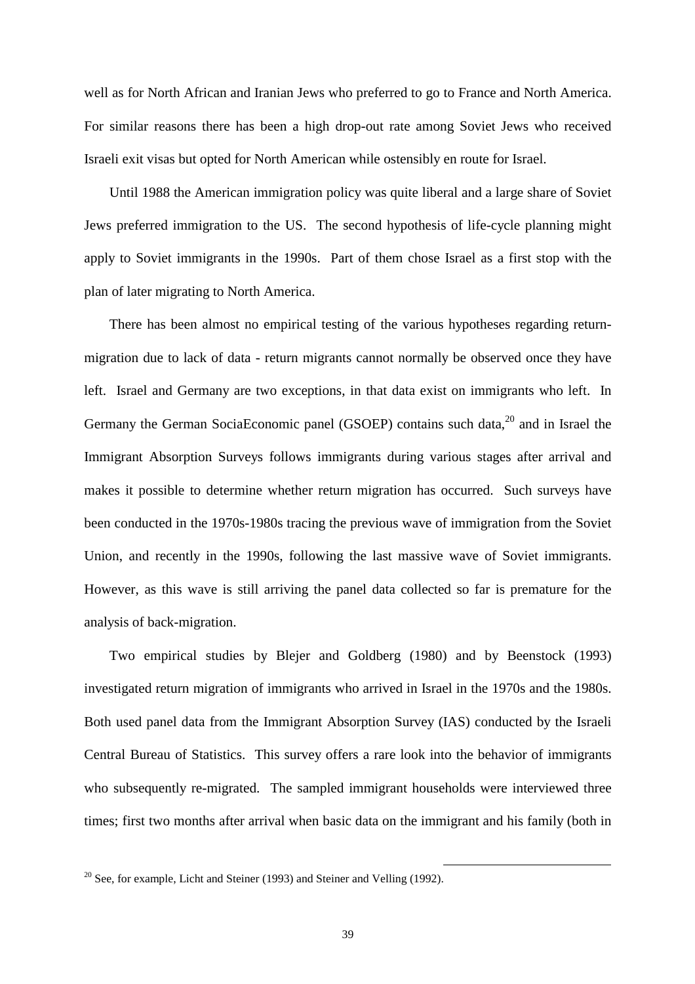well as for North African and Iranian Jews who preferred to go to France and North America. For similar reasons there has been a high drop-out rate among Soviet Jews who received Israeli exit visas but opted for North American while ostensibly en route for Israel.

 Until 1988 the American immigration policy was quite liberal and a large share of Soviet Jews preferred immigration to the US. The second hypothesis of life-cycle planning might apply to Soviet immigrants in the 1990s. Part of them chose Israel as a first stop with the plan of later migrating to North America.

 There has been almost no empirical testing of the various hypotheses regarding returnmigration due to lack of data - return migrants cannot normally be observed once they have left. Israel and Germany are two exceptions, in that data exist on immigrants who left. In Germany the German SociaEconomic panel (GSOEP) contains such data,<sup>20</sup> and in Israel the Immigrant Absorption Surveys follows immigrants during various stages after arrival and makes it possible to determine whether return migration has occurred. Such surveys have been conducted in the 1970s-1980s tracing the previous wave of immigration from the Soviet Union, and recently in the 1990s, following the last massive wave of Soviet immigrants. However, as this wave is still arriving the panel data collected so far is premature for the analysis of back-migration.

 Two empirical studies by Blejer and Goldberg (1980) and by Beenstock (1993) investigated return migration of immigrants who arrived in Israel in the 1970s and the 1980s. Both used panel data from the Immigrant Absorption Survey (IAS) conducted by the Israeli Central Bureau of Statistics. This survey offers a rare look into the behavior of immigrants who subsequently re-migrated. The sampled immigrant households were interviewed three times; first two months after arrival when basic data on the immigrant and his family (both in

<sup>&</sup>lt;sup>20</sup> See, for example, Licht and Steiner (1993) and Steiner and Velling (1992).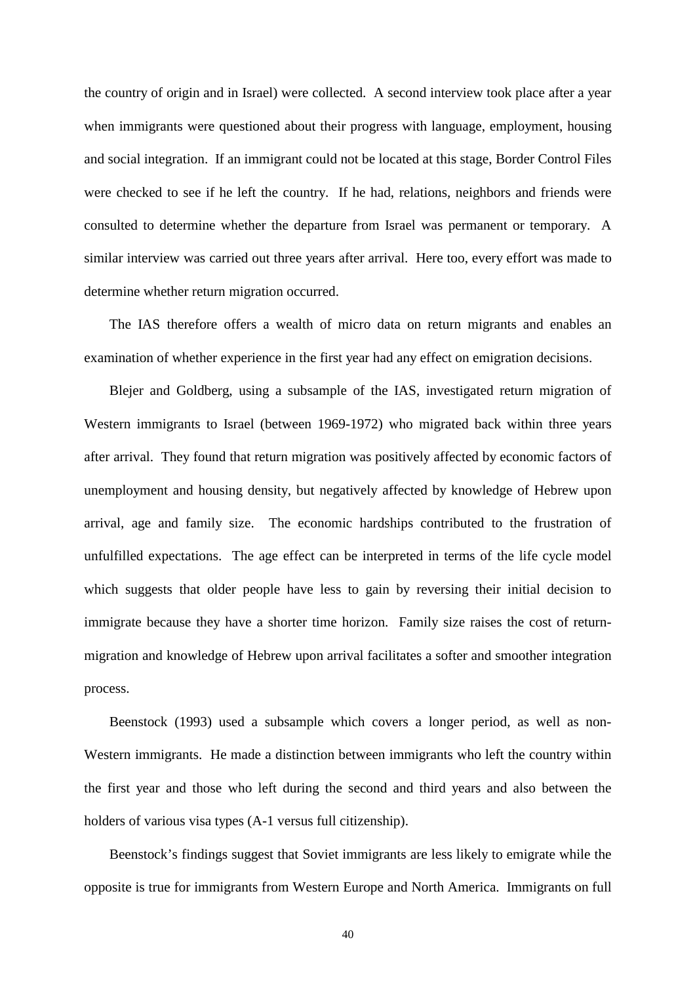the country of origin and in Israel) were collected. A second interview took place after a year when immigrants were questioned about their progress with language, employment, housing and social integration. If an immigrant could not be located at this stage, Border Control Files were checked to see if he left the country. If he had, relations, neighbors and friends were consulted to determine whether the departure from Israel was permanent or temporary. A similar interview was carried out three years after arrival. Here too, every effort was made to determine whether return migration occurred.

 The IAS therefore offers a wealth of micro data on return migrants and enables an examination of whether experience in the first year had any effect on emigration decisions.

 Blejer and Goldberg, using a subsample of the IAS, investigated return migration of Western immigrants to Israel (between 1969-1972) who migrated back within three years after arrival. They found that return migration was positively affected by economic factors of unemployment and housing density, but negatively affected by knowledge of Hebrew upon arrival, age and family size. The economic hardships contributed to the frustration of unfulfilled expectations. The age effect can be interpreted in terms of the life cycle model which suggests that older people have less to gain by reversing their initial decision to immigrate because they have a shorter time horizon. Family size raises the cost of returnmigration and knowledge of Hebrew upon arrival facilitates a softer and smoother integration process.

 Beenstock (1993) used a subsample which covers a longer period, as well as non-Western immigrants. He made a distinction between immigrants who left the country within the first year and those who left during the second and third years and also between the holders of various visa types (A-1 versus full citizenship).

 Beenstock's findings suggest that Soviet immigrants are less likely to emigrate while the opposite is true for immigrants from Western Europe and North America. Immigrants on full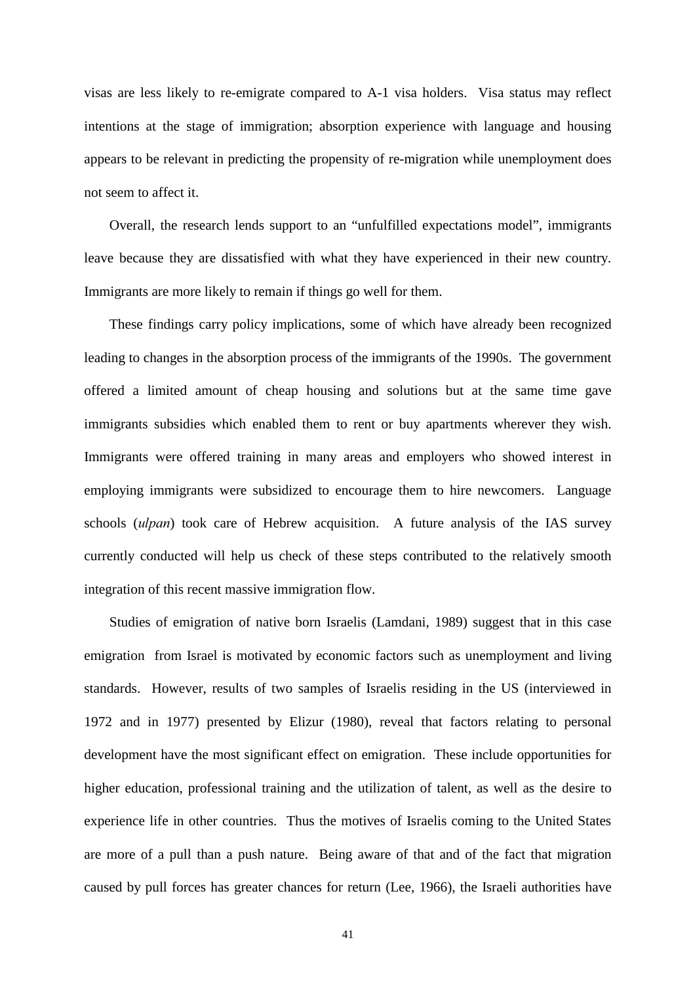visas are less likely to re-emigrate compared to A-1 visa holders. Visa status may reflect intentions at the stage of immigration; absorption experience with language and housing appears to be relevant in predicting the propensity of re-migration while unemployment does not seem to affect it.

 Overall, the research lends support to an "unfulfilled expectations model", immigrants leave because they are dissatisfied with what they have experienced in their new country. Immigrants are more likely to remain if things go well for them.

 These findings carry policy implications, some of which have already been recognized leading to changes in the absorption process of the immigrants of the 1990s. The government offered a limited amount of cheap housing and solutions but at the same time gave immigrants subsidies which enabled them to rent or buy apartments wherever they wish. Immigrants were offered training in many areas and employers who showed interest in employing immigrants were subsidized to encourage them to hire newcomers. Language schools (ulpan) took care of Hebrew acquisition. A future analysis of the IAS survey currently conducted will help us check of these steps contributed to the relatively smooth integration of this recent massive immigration flow.

 Studies of emigration of native born Israelis (Lamdani, 1989) suggest that in this case emigration from Israel is motivated by economic factors such as unemployment and living standards. However, results of two samples of Israelis residing in the US (interviewed in 1972 and in 1977) presented by Elizur (1980), reveal that factors relating to personal development have the most significant effect on emigration. These include opportunities for higher education, professional training and the utilization of talent, as well as the desire to experience life in other countries. Thus the motives of Israelis coming to the United States are more of a pull than a push nature. Being aware of that and of the fact that migration caused by pull forces has greater chances for return (Lee, 1966), the Israeli authorities have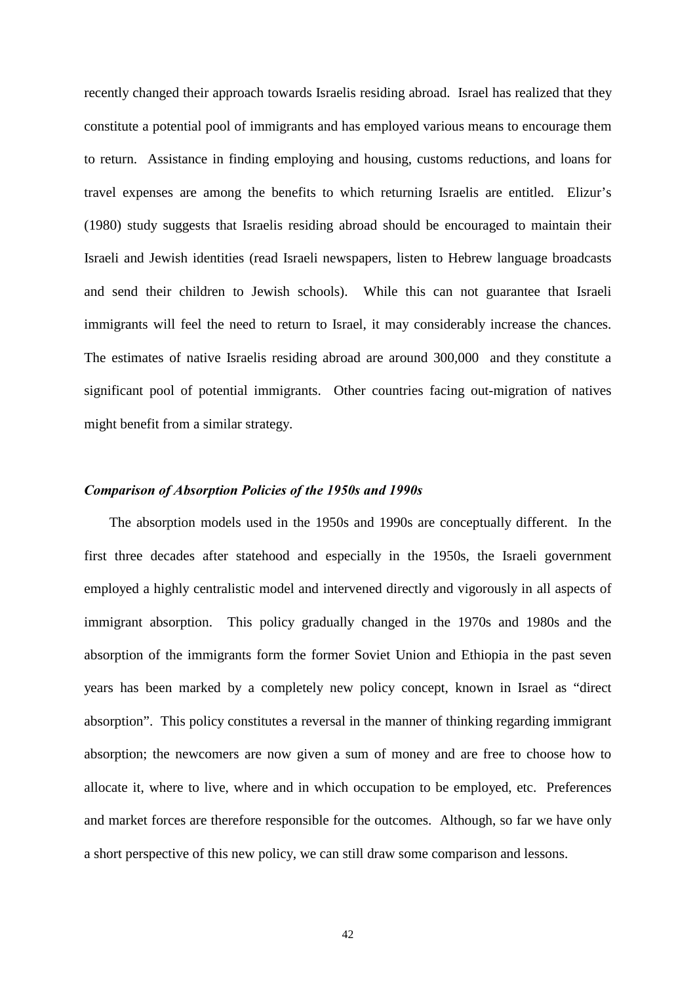recently changed their approach towards Israelis residing abroad. Israel has realized that they constitute a potential pool of immigrants and has employed various means to encourage them to return. Assistance in finding employing and housing, customs reductions, and loans for travel expenses are among the benefits to which returning Israelis are entitled. Elizur's (1980) study suggests that Israelis residing abroad should be encouraged to maintain their Israeli and Jewish identities (read Israeli newspapers, listen to Hebrew language broadcasts and send their children to Jewish schools). While this can not guarantee that Israeli immigrants will feel the need to return to Israel, it may considerably increase the chances. The estimates of native Israelis residing abroad are around 300,000 and they constitute a significant pool of potential immigrants. Other countries facing out-migration of natives might benefit from a similar strategy.

#### Comparison of Absorption Policies of the 1950s and 1990s

 The absorption models used in the 1950s and 1990s are conceptually different. In the first three decades after statehood and especially in the 1950s, the Israeli government employed a highly centralistic model and intervened directly and vigorously in all aspects of immigrant absorption. This policy gradually changed in the 1970s and 1980s and the absorption of the immigrants form the former Soviet Union and Ethiopia in the past seven years has been marked by a completely new policy concept, known in Israel as "direct absorption". This policy constitutes a reversal in the manner of thinking regarding immigrant absorption; the newcomers are now given a sum of money and are free to choose how to allocate it, where to live, where and in which occupation to be employed, etc. Preferences and market forces are therefore responsible for the outcomes. Although, so far we have only a short perspective of this new policy, we can still draw some comparison and lessons.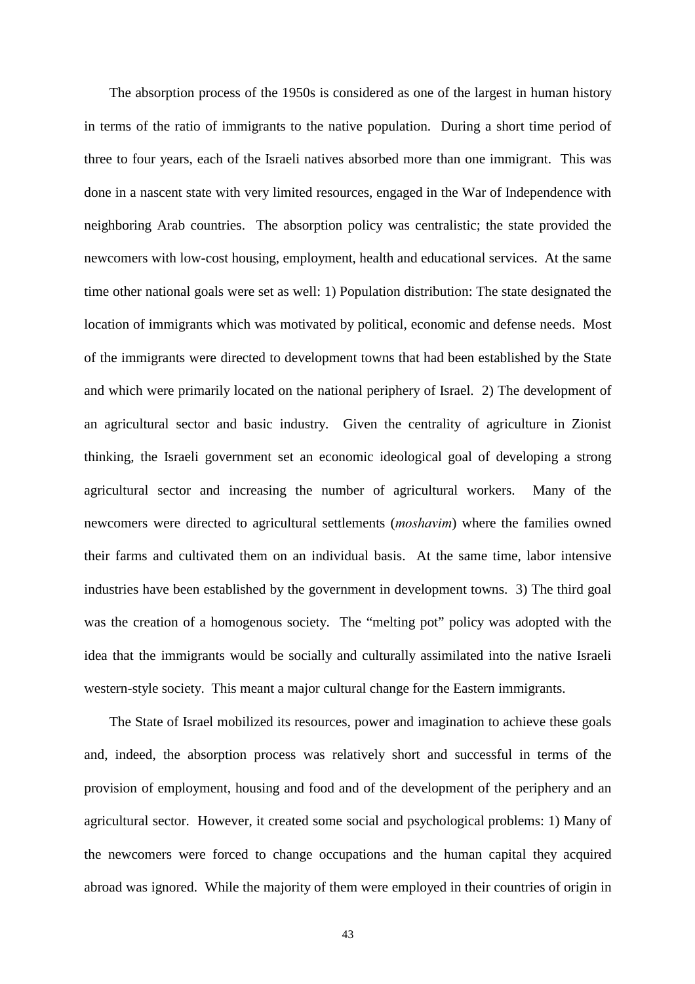The absorption process of the 1950s is considered as one of the largest in human history in terms of the ratio of immigrants to the native population. During a short time period of three to four years, each of the Israeli natives absorbed more than one immigrant. This was done in a nascent state with very limited resources, engaged in the War of Independence with neighboring Arab countries. The absorption policy was centralistic; the state provided the newcomers with low-cost housing, employment, health and educational services. At the same time other national goals were set as well: 1) Population distribution: The state designated the location of immigrants which was motivated by political, economic and defense needs. Most of the immigrants were directed to development towns that had been established by the State and which were primarily located on the national periphery of Israel. 2) The development of an agricultural sector and basic industry. Given the centrality of agriculture in Zionist thinking, the Israeli government set an economic ideological goal of developing a strong agricultural sector and increasing the number of agricultural workers. Many of the newcomers were directed to agricultural settlements (moshavim) where the families owned their farms and cultivated them on an individual basis. At the same time, labor intensive industries have been established by the government in development towns. 3) The third goal was the creation of a homogenous society. The "melting pot" policy was adopted with the idea that the immigrants would be socially and culturally assimilated into the native Israeli western-style society. This meant a major cultural change for the Eastern immigrants.

 The State of Israel mobilized its resources, power and imagination to achieve these goals and, indeed, the absorption process was relatively short and successful in terms of the provision of employment, housing and food and of the development of the periphery and an agricultural sector. However, it created some social and psychological problems: 1) Many of the newcomers were forced to change occupations and the human capital they acquired abroad was ignored. While the majority of them were employed in their countries of origin in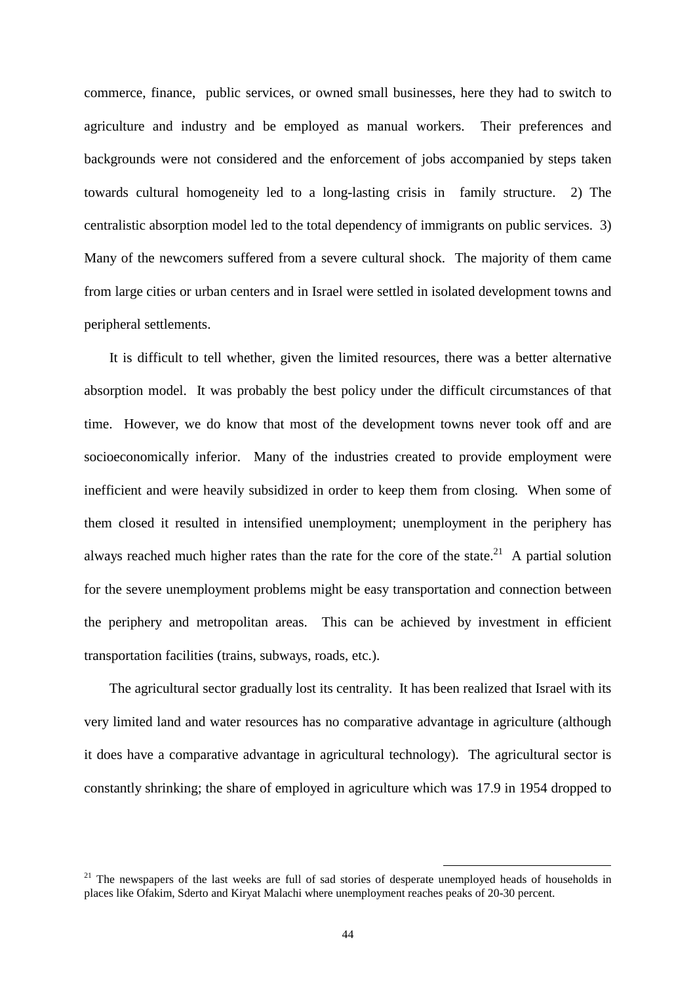commerce, finance, public services, or owned small businesses, here they had to switch to agriculture and industry and be employed as manual workers. Their preferences and backgrounds were not considered and the enforcement of jobs accompanied by steps taken towards cultural homogeneity led to a long-lasting crisis in family structure. 2) The centralistic absorption model led to the total dependency of immigrants on public services. 3) Many of the newcomers suffered from a severe cultural shock. The majority of them came from large cities or urban centers and in Israel were settled in isolated development towns and peripheral settlements.

 It is difficult to tell whether, given the limited resources, there was a better alternative absorption model. It was probably the best policy under the difficult circumstances of that time. However, we do know that most of the development towns never took off and are socioeconomically inferior. Many of the industries created to provide employment were inefficient and were heavily subsidized in order to keep them from closing. When some of them closed it resulted in intensified unemployment; unemployment in the periphery has always reached much higher rates than the rate for the core of the state.<sup>21</sup> A partial solution for the severe unemployment problems might be easy transportation and connection between the periphery and metropolitan areas. This can be achieved by investment in efficient transportation facilities (trains, subways, roads, etc.).

 The agricultural sector gradually lost its centrality. It has been realized that Israel with its very limited land and water resources has no comparative advantage in agriculture (although it does have a comparative advantage in agricultural technology). The agricultural sector is constantly shrinking; the share of employed in agriculture which was 17.9 in 1954 dropped to

 $21$  The newspapers of the last weeks are full of sad stories of desperate unemployed heads of households in places like Ofakim, Sderto and Kiryat Malachi where unemployment reaches peaks of 20-30 percent.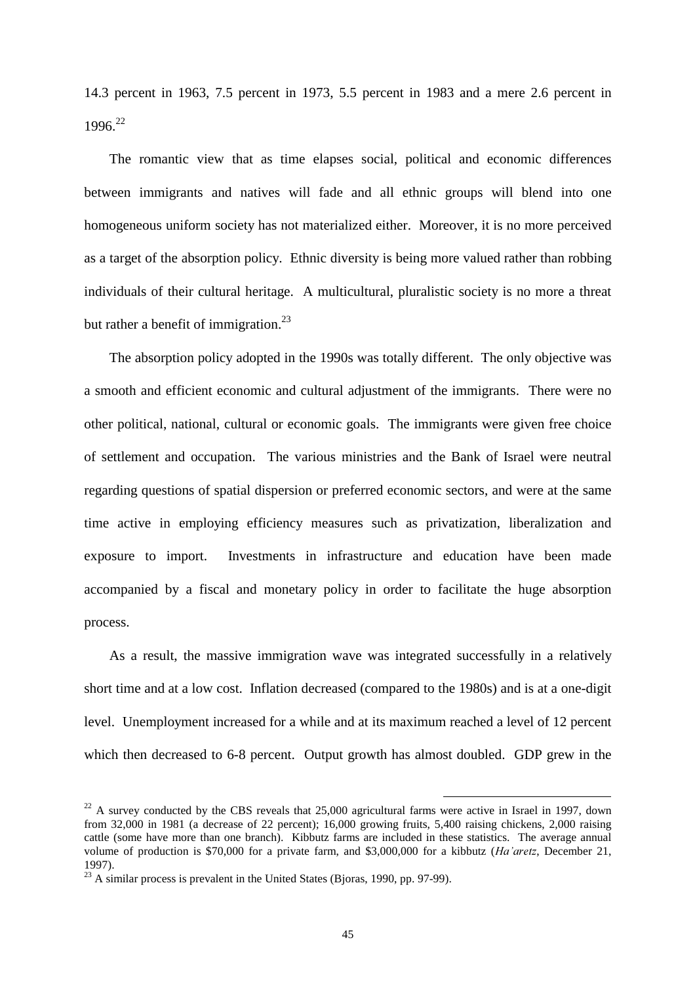14.3 percent in 1963, 7.5 percent in 1973, 5.5 percent in 1983 and a mere 2.6 percent in 1996.22

 The romantic view that as time elapses social, political and economic differences between immigrants and natives will fade and all ethnic groups will blend into one homogeneous uniform society has not materialized either. Moreover, it is no more perceived as a target of the absorption policy. Ethnic diversity is being more valued rather than robbing individuals of their cultural heritage. A multicultural, pluralistic society is no more a threat but rather a benefit of immigration.<sup>23</sup>

 The absorption policy adopted in the 1990s was totally different. The only objective was a smooth and efficient economic and cultural adjustment of the immigrants. There were no other political, national, cultural or economic goals. The immigrants were given free choice of settlement and occupation. The various ministries and the Bank of Israel were neutral regarding questions of spatial dispersion or preferred economic sectors, and were at the same time active in employing efficiency measures such as privatization, liberalization and exposure to import. Investments in infrastructure and education have been made accompanied by a fiscal and monetary policy in order to facilitate the huge absorption process.

 As a result, the massive immigration wave was integrated successfully in a relatively short time and at a low cost. Inflation decreased (compared to the 1980s) and is at a one-digit level. Unemployment increased for a while and at its maximum reached a level of 12 percent which then decreased to 6-8 percent. Output growth has almost doubled. GDP grew in the

 $^{22}$  A survey conducted by the CBS reveals that 25,000 agricultural farms were active in Israel in 1997, down from 32,000 in 1981 (a decrease of 22 percent); 16,000 growing fruits, 5,400 raising chickens, 2,000 raising cattle (some have more than one branch). Kibbutz farms are included in these statistics. The average annual volume of production is \$70,000 for a private farm, and \$3,000,000 for a kibbutz ( $Ha'aretz$ , December 21, 1997).

 $^{23}$  A similar process is prevalent in the United States (Bjoras, 1990, pp. 97-99).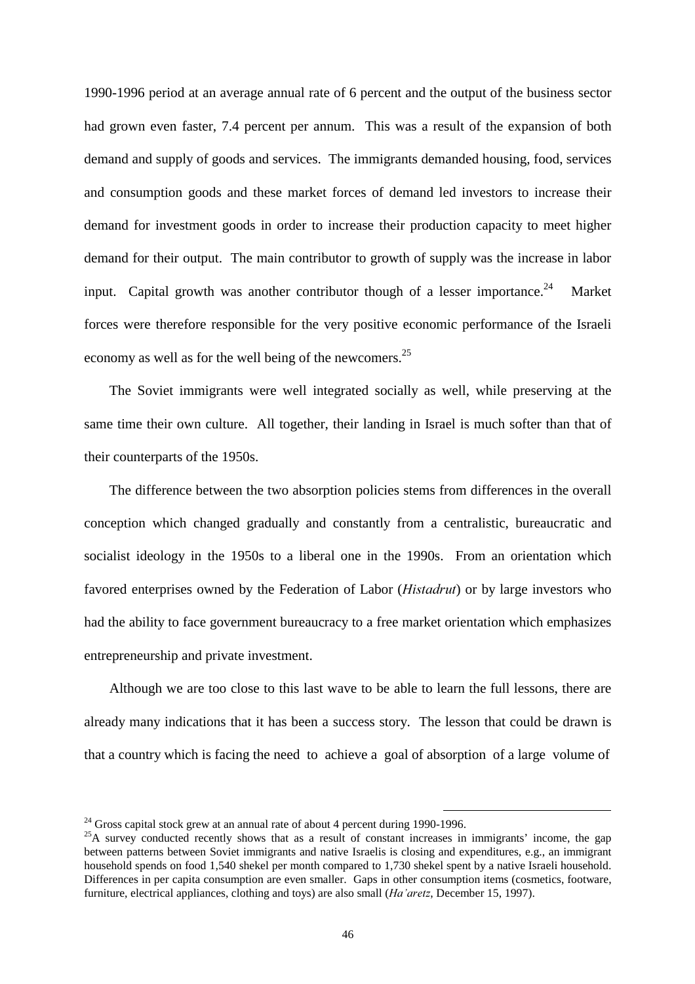1990-1996 period at an average annual rate of 6 percent and the output of the business sector had grown even faster, 7.4 percent per annum. This was a result of the expansion of both demand and supply of goods and services. The immigrants demanded housing, food, services and consumption goods and these market forces of demand led investors to increase their demand for investment goods in order to increase their production capacity to meet higher demand for their output. The main contributor to growth of supply was the increase in labor input. Capital growth was another contributor though of a lesser importance.<sup>24</sup> Market forces were therefore responsible for the very positive economic performance of the Israeli economy as well as for the well being of the newcomers.<sup>25</sup>

 The Soviet immigrants were well integrated socially as well, while preserving at the same time their own culture. All together, their landing in Israel is much softer than that of their counterparts of the 1950s.

 The difference between the two absorption policies stems from differences in the overall conception which changed gradually and constantly from a centralistic, bureaucratic and socialist ideology in the 1950s to a liberal one in the 1990s. From an orientation which favored enterprises owned by the Federation of Labor (*Histadrut*) or by large investors who had the ability to face government bureaucracy to a free market orientation which emphasizes entrepreneurship and private investment.

 Although we are too close to this last wave to be able to learn the full lessons, there are already many indications that it has been a success story. The lesson that could be drawn is that a country which is facing the need to achieve a goal of absorption of a large volume of

<sup>&</sup>lt;sup>24</sup> Gross capital stock grew at an annual rate of about 4 percent during 1990-1996.<br><sup>25</sup>A survey conducted recently shows that as a result of constant increases in immigrants' income, the gap between patterns between Soviet immigrants and native Israelis is closing and expenditures, e.g., an immigrant household spends on food 1,540 shekel per month compared to 1,730 shekel spent by a native Israeli household. Differences in per capita consumption are even smaller. Gaps in other consumption items (cosmetics, footware, furniture, electrical appliances, clothing and toys) are also small  $(Ha'aretz, December 15, 1997)$ .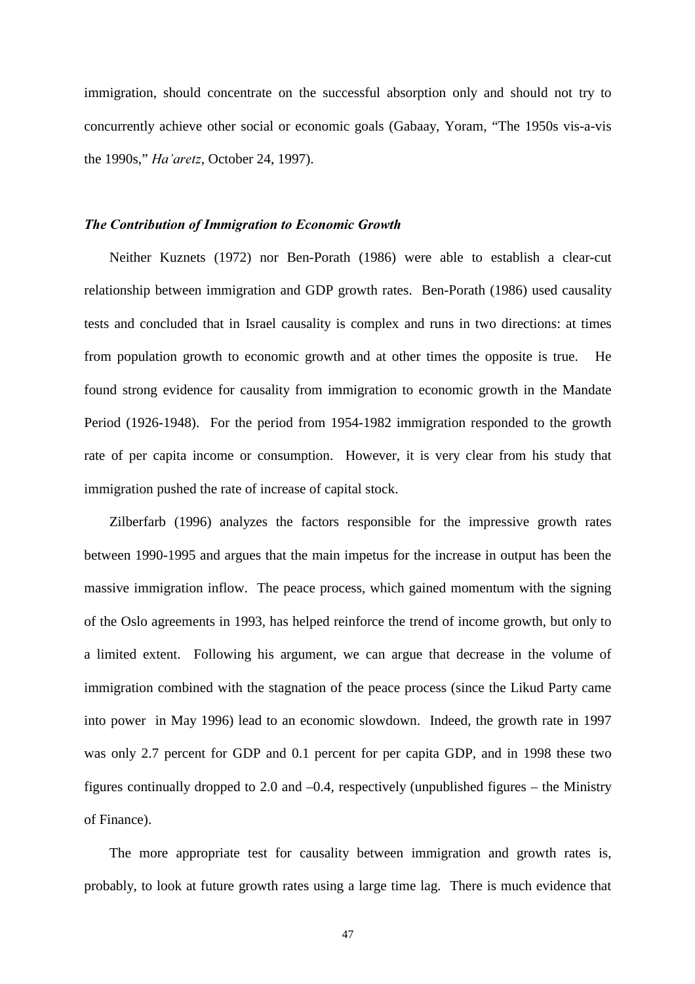immigration, should concentrate on the successful absorption only and should not try to concurrently achieve other social or economic goals (Gabaay, Yoram, "The 1950s vis-a-vis the 1990s," *Ha'aretz*, October 24, 1997).

#### The Contribution of Immigration to Economic Growth

 Neither Kuznets (1972) nor Ben-Porath (1986) were able to establish a clear-cut relationship between immigration and GDP growth rates. Ben-Porath (1986) used causality tests and concluded that in Israel causality is complex and runs in two directions: at times from population growth to economic growth and at other times the opposite is true. He found strong evidence for causality from immigration to economic growth in the Mandate Period (1926-1948). For the period from 1954-1982 immigration responded to the growth rate of per capita income or consumption. However, it is very clear from his study that immigration pushed the rate of increase of capital stock.

 Zilberfarb (1996) analyzes the factors responsible for the impressive growth rates between 1990-1995 and argues that the main impetus for the increase in output has been the massive immigration inflow. The peace process, which gained momentum with the signing of the Oslo agreements in 1993, has helped reinforce the trend of income growth, but only to a limited extent. Following his argument, we can argue that decrease in the volume of immigration combined with the stagnation of the peace process (since the Likud Party came into power in May 1996) lead to an economic slowdown. Indeed, the growth rate in 1997 was only 2.7 percent for GDP and 0.1 percent for per capita GDP, and in 1998 these two figures continually dropped to 2.0 and –0.4, respectively (unpublished figures – the Ministry of Finance).

 The more appropriate test for causality between immigration and growth rates is, probably, to look at future growth rates using a large time lag. There is much evidence that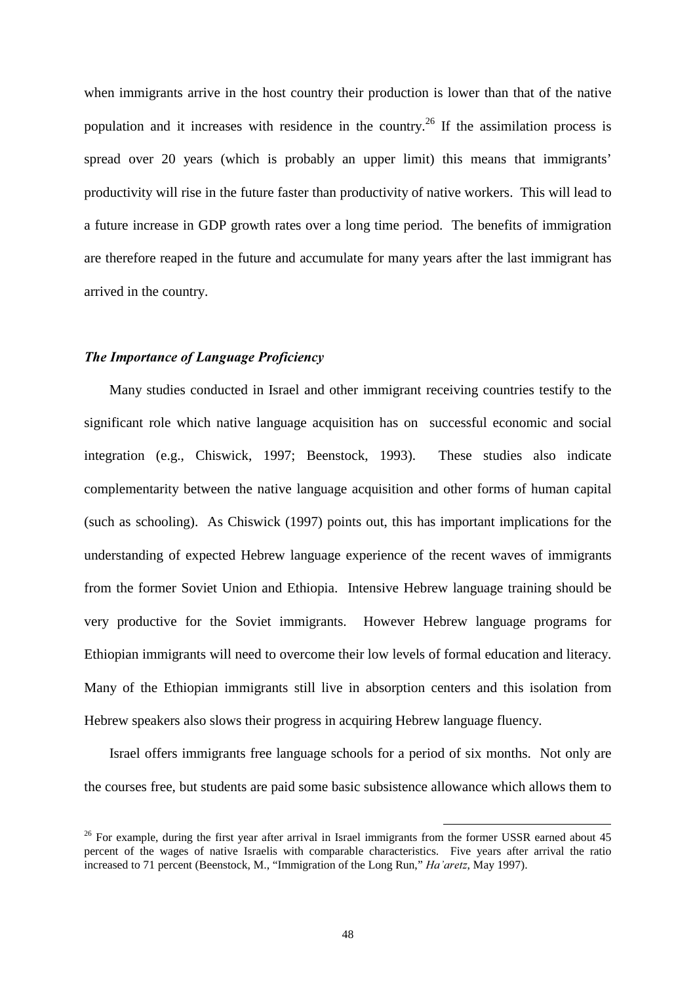when immigrants arrive in the host country their production is lower than that of the native population and it increases with residence in the country.<sup>26</sup> If the assimilation process is spread over 20 years (which is probably an upper limit) this means that immigrants' productivity will rise in the future faster than productivity of native workers. This will lead to a future increase in GDP growth rates over a long time period. The benefits of immigration are therefore reaped in the future and accumulate for many years after the last immigrant has arrived in the country.

#### The Importance of Language Proficiency

 Many studies conducted in Israel and other immigrant receiving countries testify to the significant role which native language acquisition has on successful economic and social integration (e.g., Chiswick, 1997; Beenstock, 1993). These studies also indicate complementarity between the native language acquisition and other forms of human capital (such as schooling). As Chiswick (1997) points out, this has important implications for the understanding of expected Hebrew language experience of the recent waves of immigrants from the former Soviet Union and Ethiopia. Intensive Hebrew language training should be very productive for the Soviet immigrants. However Hebrew language programs for Ethiopian immigrants will need to overcome their low levels of formal education and literacy. Many of the Ethiopian immigrants still live in absorption centers and this isolation from Hebrew speakers also slows their progress in acquiring Hebrew language fluency.

 Israel offers immigrants free language schools for a period of six months. Not only are the courses free, but students are paid some basic subsistence allowance which allows them to

<sup>&</sup>lt;sup>26</sup> For example, during the first year after arrival in Israel immigrants from the former USSR earned about 45 percent of the wages of native Israelis with comparable characteristics. Five years after arrival the ratio increased to 71 percent (Beenstock, M., "Immigration of the Long Run,"  $Ha'$  aretz, May 1997).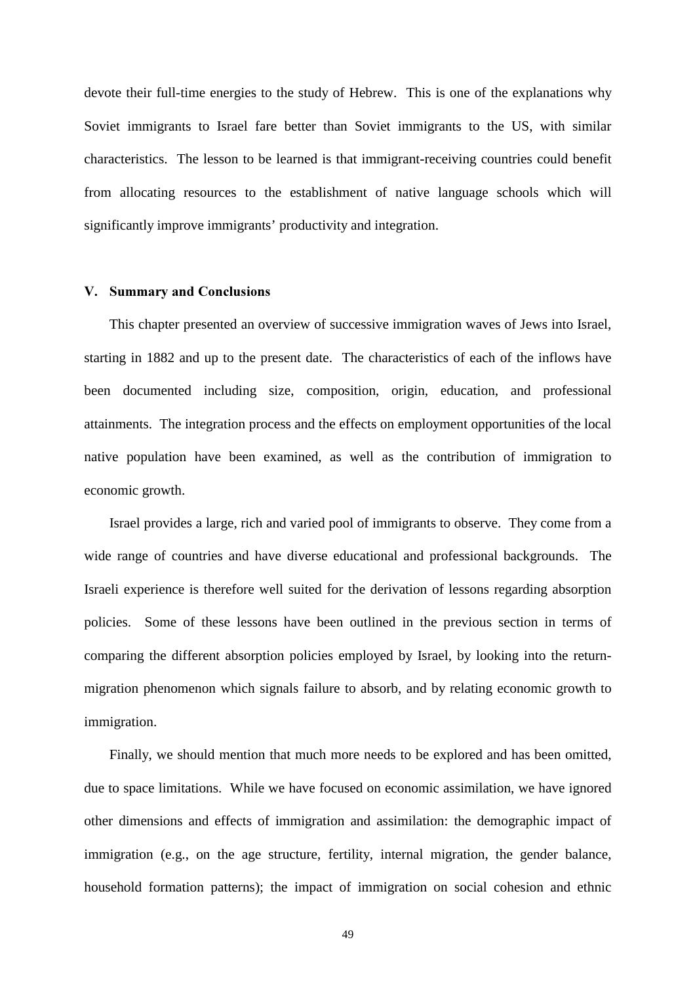devote their full-time energies to the study of Hebrew. This is one of the explanations why Soviet immigrants to Israel fare better than Soviet immigrants to the US, with similar characteristics. The lesson to be learned is that immigrant-receiving countries could benefit from allocating resources to the establishment of native language schools which will significantly improve immigrants' productivity and integration.

#### V. Summary and Conclusions

 This chapter presented an overview of successive immigration waves of Jews into Israel, starting in 1882 and up to the present date. The characteristics of each of the inflows have been documented including size, composition, origin, education, and professional attainments. The integration process and the effects on employment opportunities of the local native population have been examined, as well as the contribution of immigration to economic growth.

 Israel provides a large, rich and varied pool of immigrants to observe. They come from a wide range of countries and have diverse educational and professional backgrounds. The Israeli experience is therefore well suited for the derivation of lessons regarding absorption policies. Some of these lessons have been outlined in the previous section in terms of comparing the different absorption policies employed by Israel, by looking into the returnmigration phenomenon which signals failure to absorb, and by relating economic growth to immigration.

 Finally, we should mention that much more needs to be explored and has been omitted, due to space limitations. While we have focused on economic assimilation, we have ignored other dimensions and effects of immigration and assimilation: the demographic impact of immigration (e.g., on the age structure, fertility, internal migration, the gender balance, household formation patterns); the impact of immigration on social cohesion and ethnic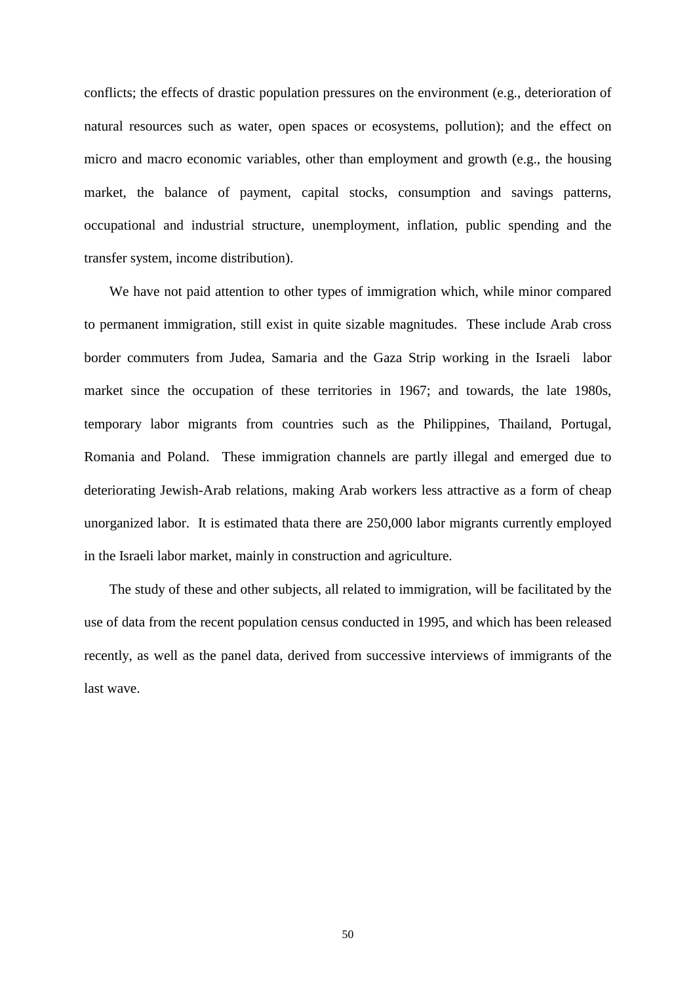conflicts; the effects of drastic population pressures on the environment (e.g., deterioration of natural resources such as water, open spaces or ecosystems, pollution); and the effect on micro and macro economic variables, other than employment and growth (e.g., the housing market, the balance of payment, capital stocks, consumption and savings patterns, occupational and industrial structure, unemployment, inflation, public spending and the transfer system, income distribution).

 We have not paid attention to other types of immigration which, while minor compared to permanent immigration, still exist in quite sizable magnitudes. These include Arab cross border commuters from Judea, Samaria and the Gaza Strip working in the Israeli labor market since the occupation of these territories in 1967; and towards, the late 1980s, temporary labor migrants from countries such as the Philippines, Thailand, Portugal, Romania and Poland. These immigration channels are partly illegal and emerged due to deteriorating Jewish-Arab relations, making Arab workers less attractive as a form of cheap unorganized labor. It is estimated thata there are 250,000 labor migrants currently employed in the Israeli labor market, mainly in construction and agriculture.

 The study of these and other subjects, all related to immigration, will be facilitated by the use of data from the recent population census conducted in 1995, and which has been released recently, as well as the panel data, derived from successive interviews of immigrants of the last wave.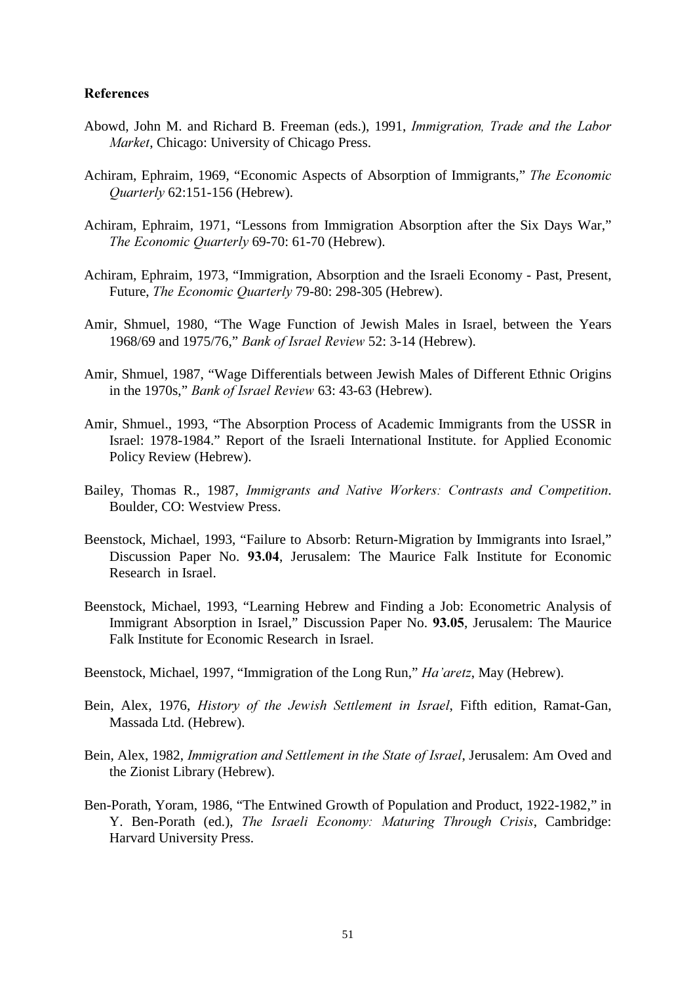#### References

- Abowd, John M. and Richard B. Freeman (eds.), 1991, Immigration, Trade and the Labor Market, Chicago: University of Chicago Press.
- Achiram, Ephraim, 1969, "Economic Aspects of Absorption of Immigrants," The Economic Quarterly 62:151-156 (Hebrew).
- Achiram, Ephraim, 1971, "Lessons from Immigration Absorption after the Six Days War," The Economic Quarterly 69-70: 61-70 (Hebrew).
- Achiram, Ephraim, 1973, "Immigration, Absorption and the Israeli Economy Past, Present, Future, The Economic Quarterly 79-80: 298-305 (Hebrew).
- Amir, Shmuel, 1980, "The Wage Function of Jewish Males in Israel, between the Years 1968/69 and 1975/76," Bank of Israel Review 52: 3-14 (Hebrew).
- Amir, Shmuel, 1987, "Wage Differentials between Jewish Males of Different Ethnic Origins in the 1970s," *Bank of Israel Review* 63: 43-63 (Hebrew).
- Amir, Shmuel., 1993, "The Absorption Process of Academic Immigrants from the USSR in Israel: 1978-1984." Report of the Israeli International Institute. for Applied Economic Policy Review (Hebrew).
- Bailey, Thomas R., 1987, Immigrants and Native Workers: Contrasts and Competition. Boulder, CO: Westview Press.
- Beenstock, Michael, 1993, "Failure to Absorb: Return-Migration by Immigrants into Israel," Discussion Paper No. 93.04, Jerusalem: The Maurice Falk Institute for Economic Research in Israel.
- Beenstock, Michael, 1993, "Learning Hebrew and Finding a Job: Econometric Analysis of Immigrant Absorption in Israel," Discussion Paper No. 93.05, Jerusalem: The Maurice Falk Institute for Economic Research in Israel.
- Beenstock, Michael, 1997, "Immigration of the Long Run," *Ha'aretz*, May (Hebrew).
- Bein, Alex, 1976, *History of the Jewish Settlement in Israel*, Fifth edition, Ramat-Gan, Massada Ltd. (Hebrew).
- Bein, Alex, 1982, Immigration and Settlement in the State of Israel, Jerusalem: Am Oved and the Zionist Library (Hebrew).
- Ben-Porath, Yoram, 1986, "The Entwined Growth of Population and Product, 1922-1982," in Y. Ben-Porath (ed.), The Israeli Economy: Maturing Through Crisis, Cambridge: Harvard University Press.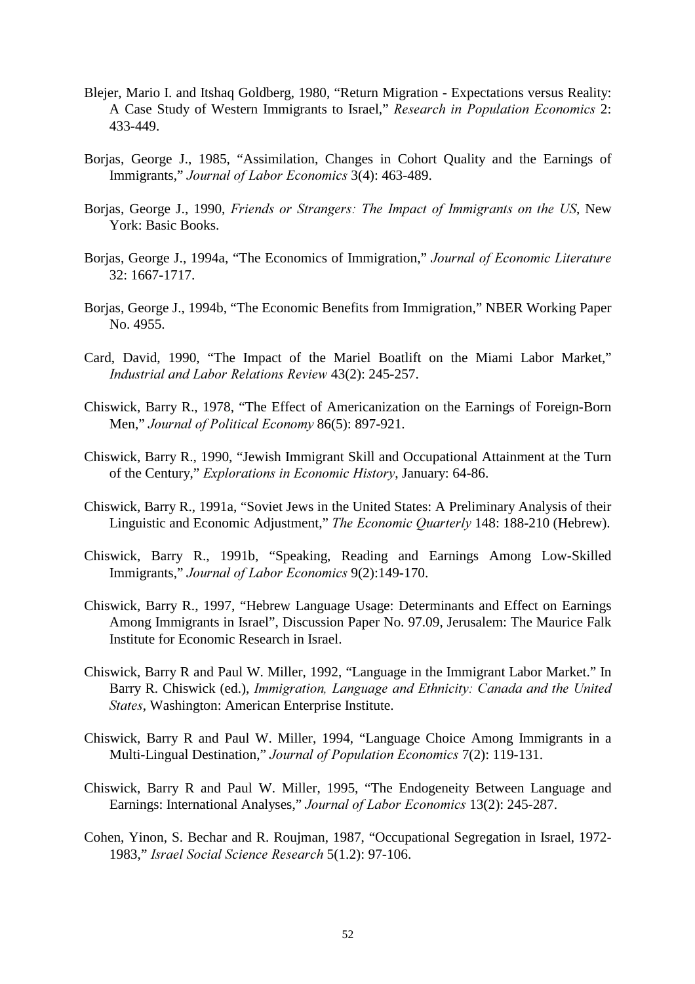- Blejer, Mario I. and Itshaq Goldberg, 1980, "Return Migration Expectations versus Reality: A Case Study of Western Immigrants to Israel," Research in Population Economics 2: 433-449.
- Borjas, George J., 1985, "Assimilation, Changes in Cohort Quality and the Earnings of Immigrants," Journal of Labor Economics 3(4): 463-489.
- Borjas, George J., 1990, Friends or Strangers: The Impact of Immigrants on the US, New York: Basic Books.
- Borjas, George J., 1994a, "The Economics of Immigration," Journal of Economic Literature 32: 1667-1717.
- Borjas, George J., 1994b, "The Economic Benefits from Immigration," NBER Working Paper No. 4955.
- Card, David, 1990, "The Impact of the Mariel Boatlift on the Miami Labor Market," Industrial and Labor Relations Review 43(2): 245-257.
- Chiswick, Barry R., 1978, "The Effect of Americanization on the Earnings of Foreign-Born Men," Journal of Political Economy 86(5): 897-921.
- Chiswick, Barry R., 1990, "Jewish Immigrant Skill and Occupational Attainment at the Turn of the Century," Explorations in Economic History, January: 64-86.
- Chiswick, Barry R., 1991a, "Soviet Jews in the United States: A Preliminary Analysis of their Linguistic and Economic Adjustment," The Economic Quarterly 148: 188-210 (Hebrew).
- Chiswick, Barry R., 1991b, "Speaking, Reading and Earnings Among Low-Skilled Immigrants," Journal of Labor Economics 9(2):149-170.
- Chiswick, Barry R., 1997, "Hebrew Language Usage: Determinants and Effect on Earnings Among Immigrants in Israel", Discussion Paper No. 97.09, Jerusalem: The Maurice Falk Institute for Economic Research in Israel.
- Chiswick, Barry R and Paul W. Miller, 1992, "Language in the Immigrant Labor Market." In Barry R. Chiswick (ed.), Immigration, Language and Ethnicity: Canada and the United , Washington: American Enterprise Institute.
- Chiswick, Barry R and Paul W. Miller, 1994, "Language Choice Among Immigrants in a Multi-Lingual Destination," Journal of Population Economics 7(2): 119-131.
- Chiswick, Barry R and Paul W. Miller, 1995, "The Endogeneity Between Language and Earnings: International Analyses," Journal of Labor Economics 13(2): 245-287.
- Cohen, Yinon, S. Bechar and R. Roujman, 1987, "Occupational Segregation in Israel, 1972- 1983," Israel Social Science Research 5(1.2): 97-106.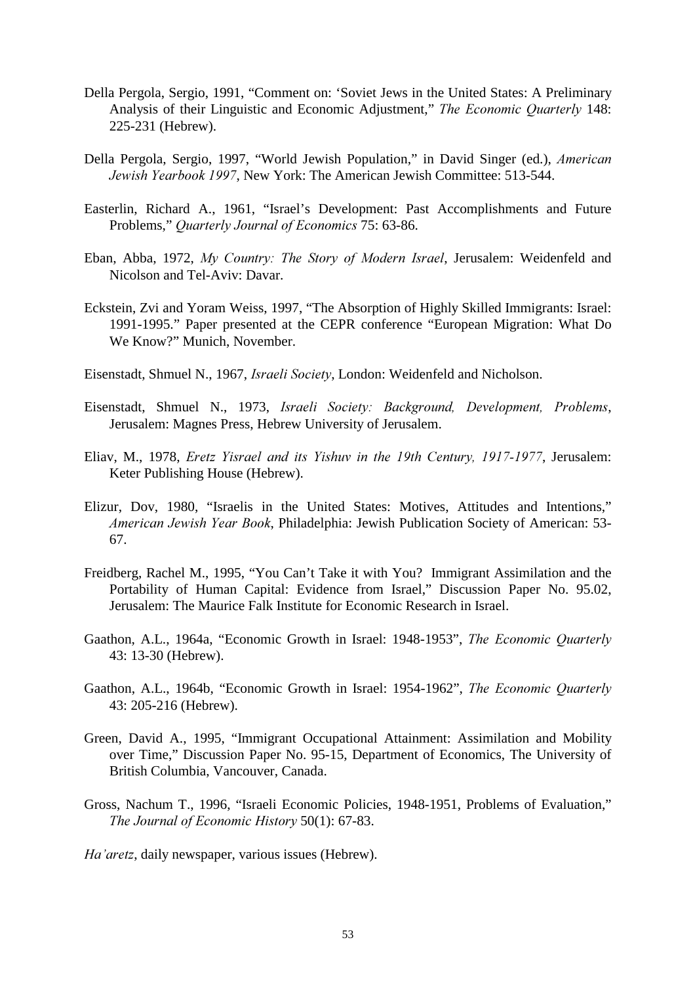- Della Pergola, Sergio, 1991, "Comment on: 'Soviet Jews in the United States: A Preliminary Analysis of their Linguistic and Economic Adjustment," The Economic Quarterly 148: 225-231 (Hebrew).
- Della Pergola, Sergio, 1997, "World Jewish Population," in David Singer (ed.), American Jewish Yearbook 1997, New York: The American Jewish Committee: 513-544.
- Easterlin, Richard A., 1961, "Israel's Development: Past Accomplishments and Future Problems," Quarterly Journal of Economics 75: 63-86.
- Eban, Abba, 1972, My Country: The Story of Modern Israel, Jerusalem: Weidenfeld and Nicolson and Tel-Aviv: Davar.
- Eckstein, Zvi and Yoram Weiss, 1997, "The Absorption of Highly Skilled Immigrants: Israel: 1991-1995." Paper presented at the CEPR conference "European Migration: What Do We Know?" Munich, November.
- Eisenstadt, Shmuel N., 1967, Israeli Society, London: Weidenfeld and Nicholson.
- Eisenstadt, Shmuel N., 1973, Israeli Society: Background, Development, Problems, Jerusalem: Magnes Press, Hebrew University of Jerusalem.
- Eliav, M., 1978, *Eretz Yisrael and its Yishuv in the 19th Century*, 1917-1977, Jerusalem: Keter Publishing House (Hebrew).
- Elizur, Dov, 1980, "Israelis in the United States: Motives, Attitudes and Intentions," American Jewish Year Book, Philadelphia: Jewish Publication Society of American: 53-67.
- Freidberg, Rachel M., 1995, "You Can't Take it with You? Immigrant Assimilation and the Portability of Human Capital: Evidence from Israel," Discussion Paper No. 95.02, Jerusalem: The Maurice Falk Institute for Economic Research in Israel.
- Gaathon, A.L., 1964a, "Economic Growth in Israel: 1948-1953", The Economic Quarterly 43: 13-30 (Hebrew).
- Gaathon, A.L., 1964b, "Economic Growth in Israel: 1954-1962", The Economic Quarterly 43: 205-216 (Hebrew).
- Green, David A., 1995, "Immigrant Occupational Attainment: Assimilation and Mobility over Time," Discussion Paper No. 95-15, Department of Economics, The University of British Columbia, Vancouver, Canada.
- Gross, Nachum T., 1996, "Israeli Economic Policies, 1948-1951, Problems of Evaluation," The Journal of Economic History 50(1): 67-83.

Ha'aretz, daily newspaper, various issues (Hebrew).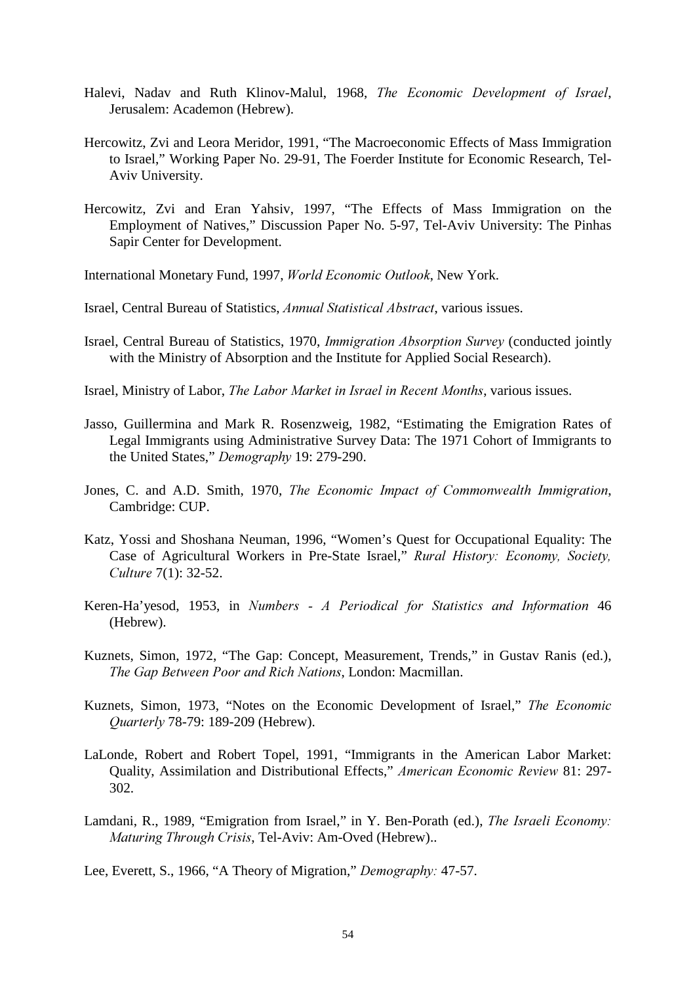- Halevi, Nadav and Ruth Klinov-Malul, 1968, The Economic Development of Israel, Jerusalem: Academon (Hebrew).
- Hercowitz, Zvi and Leora Meridor, 1991, "The Macroeconomic Effects of Mass Immigration to Israel," Working Paper No. 29-91, The Foerder Institute for Economic Research, Tel-Aviv University.
- Hercowitz, Zvi and Eran Yahsiv, 1997, "The Effects of Mass Immigration on the Employment of Natives," Discussion Paper No. 5-97, Tel-Aviv University: The Pinhas Sapir Center for Development.
- International Monetary Fund, 1997, World Economic Outlook, New York.
- Israel, Central Bureau of Statistics, Annual Statistical Abstract, various issues.
- Israel, Central Bureau of Statistics, 1970, Immigration Absorption Survey (conducted jointly with the Ministry of Absorption and the Institute for Applied Social Research).
- Israel, Ministry of Labor, The Labor Market in Israel in Recent Months, various issues.
- Jasso, Guillermina and Mark R. Rosenzweig, 1982, "Estimating the Emigration Rates of Legal Immigrants using Administrative Survey Data: The 1971 Cohort of Immigrants to the United States," Demography 19: 279-290.
- Jones, C. and A.D. Smith, 1970, The Economic Impact of Commonwealth Immigration, Cambridge: CUP.
- Katz, Yossi and Shoshana Neuman, 1996, "Women's Quest for Occupational Equality: The Case of Agricultural Workers in Pre-State Israel," Rural History: Economy, Society, Culture 7(1): 32-52.
- Keren-Ha'yesod, 1953, in Numbers A Periodical for Statistics and Information 46 (Hebrew).
- Kuznets, Simon, 1972, "The Gap: Concept, Measurement, Trends," in Gustav Ranis (ed.), The Gap Between Poor and Rich Nations, London: Macmillan.
- Kuznets, Simon, 1973, "Notes on the Economic Development of Israel," The Economic Quarterly 78-79: 189-209 (Hebrew).
- LaLonde, Robert and Robert Topel, 1991, "Immigrants in the American Labor Market: Quality, Assimilation and Distributional Effects," American Economic Review 81: 297-302.
- Lamdani, R., 1989, "Emigration from Israel," in Y. Ben-Porath (ed.), The Israeli Economy: Maturing Through Crisis, Tel-Aviv: Am-Oved (Hebrew)..

Lee, Everett, S., 1966, "A Theory of Migration," Demography: 47-57.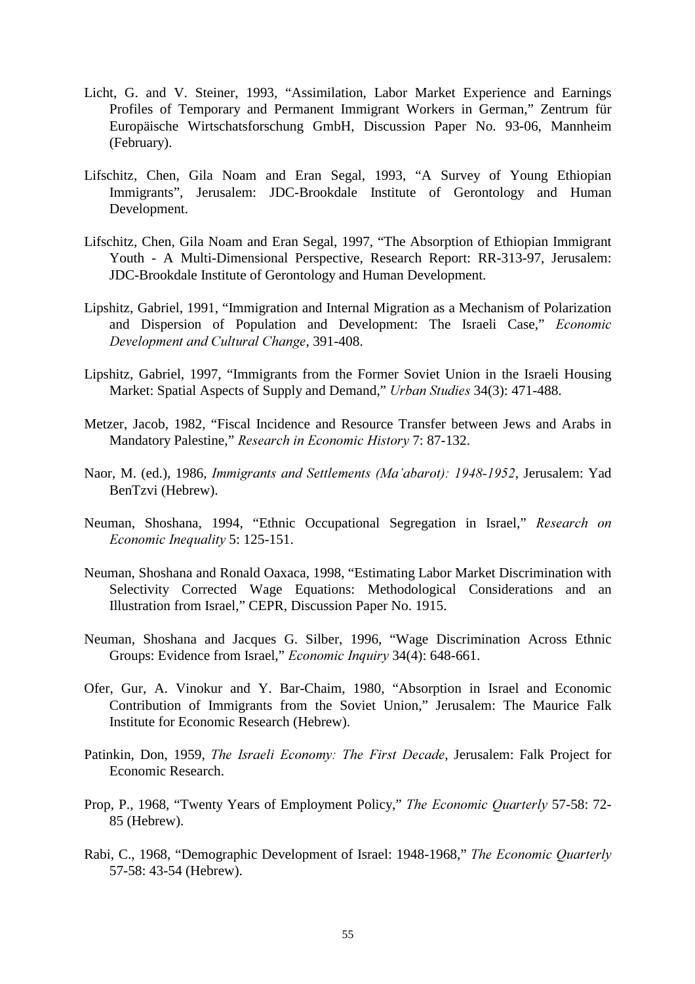- Licht, G. and V. Steiner, 1993, "Assimilation, Labor Market Experience and Earnings Profiles of Temporary and Permanent Immigrant Workers in German," Zentrum für Europäische Wirtschatsforschung GmbH, Discussion Paper No. 93-06, Mannheim (February).
- Lifschitz, Chen, Gila Noam and Eran Segal, 1993, "A Survey of Young Ethiopian Immigrants", Jerusalem: JDC-Brookdale Institute of Gerontology and Human Development.
- Lifschitz, Chen, Gila Noam and Eran Segal, 1997, "The Absorption of Ethiopian Immigrant Youth - A Multi-Dimensional Perspective, Research Report: RR-313-97, Jerusalem: JDC-Brookdale Institute of Gerontology and Human Development.
- Lipshitz, Gabriel, 1991, "Immigration and Internal Migration as a Mechanism of Polarization and Dispersion of Population and Development: The Israeli Case," Economic Development and Cultural Change, 391-408.
- Lipshitz, Gabriel, 1997, "Immigrants from the Former Soviet Union in the Israeli Housing Market: Spatial Aspects of Supply and Demand," *Urban Studies* 34(3): 471-488.
- Metzer, Jacob, 1982, "Fiscal Incidence and Resource Transfer between Jews and Arabs in Mandatory Palestine," Research in Economic History 7: 87-132.
- Naor, M. (ed.), 1986, Immigrants and Settlements (Ma'abarot): 1948-1952, Jerusalem: Yad BenTzvi (Hebrew).
- Neuman, Shoshana, 1994, "Ethnic Occupational Segregation in Israel," Research on Economic Inequality 5: 125-151.
- Neuman, Shoshana and Ronald Oaxaca, 1998, "Estimating Labor Market Discrimination with Selectivity Corrected Wage Equations: Methodological Considerations and an Illustration from Israel," CEPR, Discussion Paper No. 1915.
- Neuman, Shoshana and Jacques G. Silber, 1996, "Wage Discrimination Across Ethnic Groups: Evidence from Israel," *Economic Inquiry* 34(4): 648-661.
- Ofer, Gur, A. Vinokur and Y. Bar-Chaim, 1980, "Absorption in Israel and Economic Contribution of Immigrants from the Soviet Union," Jerusalem: The Maurice Falk Institute for Economic Research (Hebrew).
- Patinkin, Don, 1959, The Israeli Economy: The First Decade, Jerusalem: Falk Project for Economic Research.
- Prop, P., 1968, "Twenty Years of Employment Policy," The Economic Quarterly 57-58: 72-85 (Hebrew).
- Rabi, C., 1968, "Demographic Development of Israel: 1948-1968," The Economic Quarterly 57-58: 43-54 (Hebrew).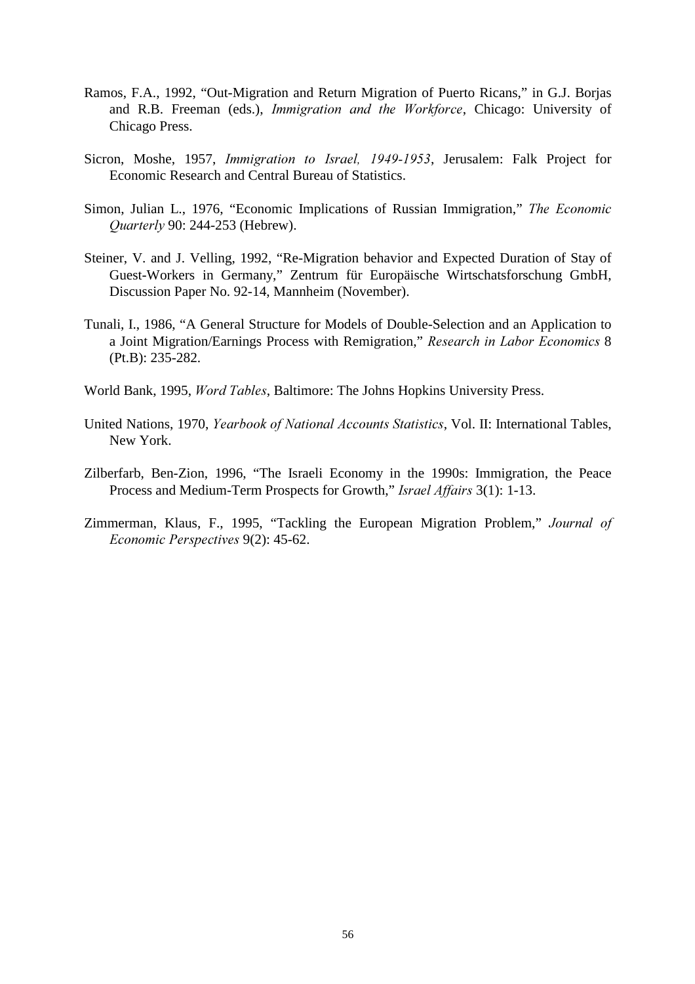- Ramos, F.A., 1992, "Out-Migration and Return Migration of Puerto Ricans," in G.J. Borjas and R.B. Freeman (eds.), Immigration and the Workforce, Chicago: University of Chicago Press.
- Sicron, Moshe, 1957, Immigration to Israel, 1949-1953, Jerusalem: Falk Project for Economic Research and Central Bureau of Statistics.
- Simon, Julian L., 1976, "Economic Implications of Russian Immigration," The Economic Quarterly 90: 244-253 (Hebrew).
- Steiner, V. and J. Velling, 1992, "Re-Migration behavior and Expected Duration of Stay of Guest-Workers in Germany," Zentrum für Europäische Wirtschatsforschung GmbH, Discussion Paper No. 92-14, Mannheim (November).
- Tunali, I., 1986, "A General Structure for Models of Double-Selection and an Application to a Joint Migration/Earnings Process with Remigration," Research in Labor Economics 8 (Pt.B): 235-282.
- World Bank, 1995, Word Tables, Baltimore: The Johns Hopkins University Press.
- United Nations, 1970, Yearbook of National Accounts Statistics, Vol. II: International Tables, New York.
- Zilberfarb, Ben-Zion, 1996, "The Israeli Economy in the 1990s: Immigration, the Peace Process and Medium-Term Prospects for Growth," Israel Affairs 3(1): 1-13.
- Zimmerman, Klaus, F., 1995, "Tackling the European Migration Problem," Journal of Economic Perspectives 9(2): 45-62.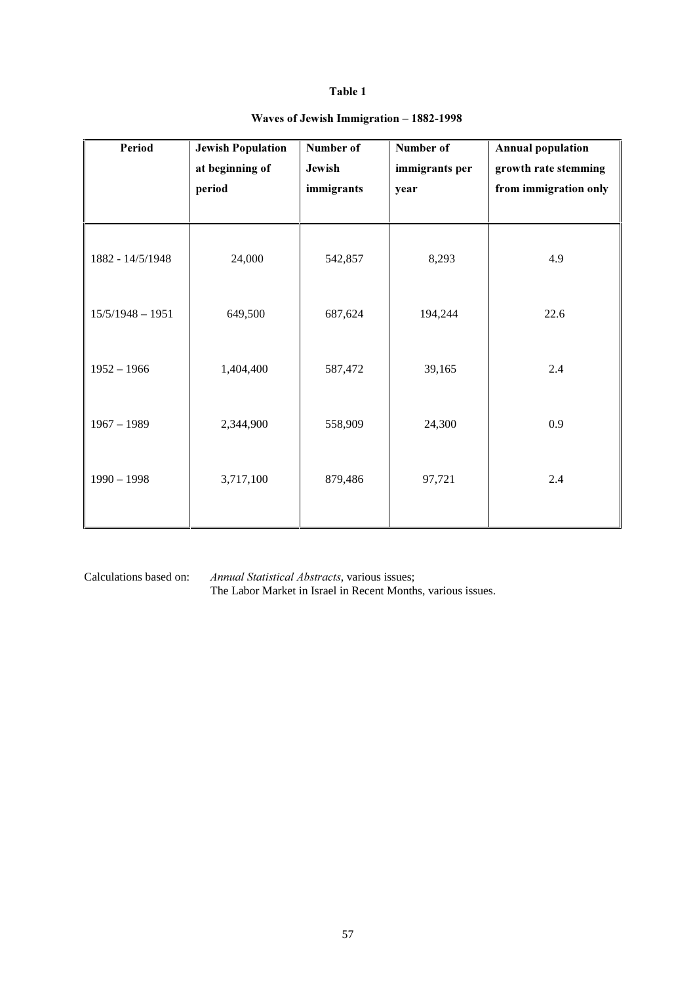| Period             | <b>Jewish Population</b><br>at beginning of | Number of<br>Jewish | Number of<br>immigrants per | <b>Annual population</b><br>growth rate stemming |
|--------------------|---------------------------------------------|---------------------|-----------------------------|--------------------------------------------------|
|                    | period                                      | immigrants          | year                        | from immigration only                            |
|                    |                                             |                     |                             |                                                  |
| 1882 - 14/5/1948   | 24,000                                      | 542,857             | 8,293                       | 4.9                                              |
| $15/5/1948 - 1951$ | 649,500                                     | 687,624             | 194,244                     | 22.6                                             |
| $1952 - 1966$      | 1,404,400                                   | 587,472             | 39,165                      | 2.4                                              |
| $1967 - 1989$      | 2,344,900                                   | 558,909             | 24,300                      | 0.9                                              |
| $1990 - 1998$      | 3,717,100                                   | 879,486             | 97,721                      | 2.4                                              |
|                    |                                             |                     |                             |                                                  |

#### Waves of Jewish Immigration - 1882-1998

Calculations based on:

Statistical Abstracts, various issues; The Labor Market in Israel in Recent Months, various issues.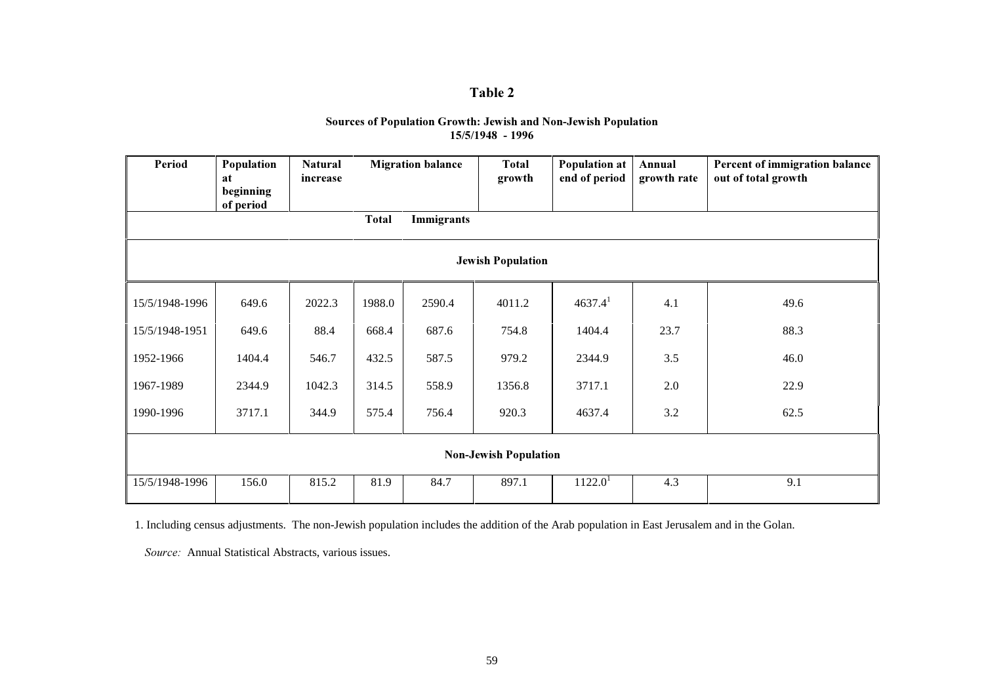#### Sources of Population Growth: Jewish and Non-Jewish Population 15/5/1948 - 1996

| Period                       | Population<br>at<br>beginning<br>of period | <b>Natural</b><br>increase |              | <b>Migration balance</b> | Total<br>growth          | Population at<br>end of period | Annual<br>growth rate | Percent of immigration balance<br>out of total growth |
|------------------------------|--------------------------------------------|----------------------------|--------------|--------------------------|--------------------------|--------------------------------|-----------------------|-------------------------------------------------------|
|                              |                                            |                            | <b>Total</b> | Immigrants               |                          |                                |                       |                                                       |
|                              |                                            |                            |              |                          | <b>Jewish Population</b> |                                |                       |                                                       |
| 15/5/1948-1996               | 649.6                                      | 2022.3                     | 1988.0       | 2590.4                   | 4011.2                   | 4637.4 <sup>1</sup>            | 4.1                   | 49.6                                                  |
| 15/5/1948-1951               | 649.6                                      | 88.4                       | 668.4        | 687.6                    | 754.8                    | 1404.4                         | 23.7                  | 88.3                                                  |
| 1952-1966                    | 1404.4                                     | 546.7                      | 432.5        | 587.5                    | 979.2                    | 2344.9                         | 3.5                   | 46.0                                                  |
| 1967-1989                    | 2344.9                                     | 1042.3                     | 314.5        | 558.9                    | 1356.8                   | 3717.1                         | 2.0                   | 22.9                                                  |
| 1990-1996                    | 3717.1                                     | 344.9                      | 575.4        | 756.4                    | 920.3                    | 4637.4                         | 3.2                   | 62.5                                                  |
| <b>Non-Jewish Population</b> |                                            |                            |              |                          |                          |                                |                       |                                                       |
| 15/5/1948-1996               | 156.0                                      | 815.2                      | 81.9         | 84.7                     | 897.1                    | 1122.0 <sup>1</sup>            | 4.3                   | 9.1                                                   |

1. Including census adjustments. The non-Jewish population includes the addition of the Arab population in East Jerusalem and in the Golan.

Source: Annual Statistical Abstracts, various issues.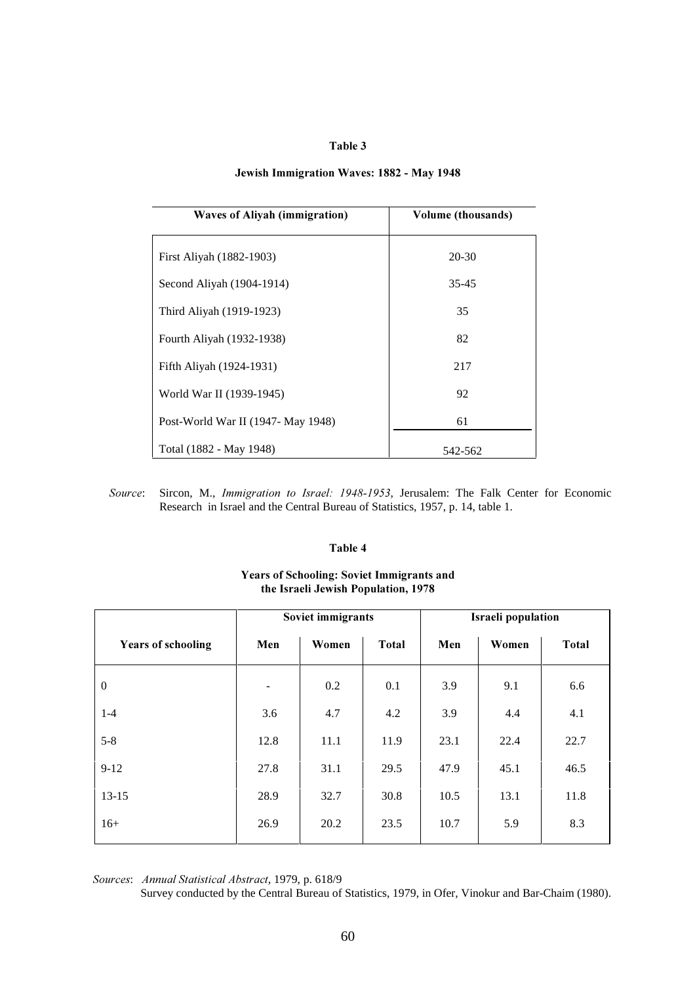#### Jewish Immigration Waves: 1882 - May 1948

| <b>Waves of Aliyah (immigration)</b> | Volume (thousands) |
|--------------------------------------|--------------------|
| First Aliyah (1882-1903)             | 20-30              |
| Second Aliyah (1904-1914)            | $35 - 45$          |
| Third Aliyah (1919-1923)             | 35                 |
| Fourth Aliyah (1932-1938)            | 82                 |
| Fifth Aliyah (1924-1931)             | 217                |
| World War II (1939-1945)             | 92                 |
| Post-World War II (1947- May 1948)   | 61                 |
| Total (1882 - May 1948)              | 542-562            |

Source: urce: Sircon, M., *Immigration to Israel: 1948-1953*, Jerusalem: The Falk Center for Economic Research in Israel and the Central Bureau of Statistics, 1957, p. 14, table 1.

#### Table 4

|                           | Soviet immigrants        |       |       | <b>Israeli</b> population |       |              |
|---------------------------|--------------------------|-------|-------|---------------------------|-------|--------------|
| <b>Years of schooling</b> | Men                      | Women | Total | Men                       | Women | <b>Total</b> |
| $\boldsymbol{0}$          | $\overline{\phantom{a}}$ | 0.2   | 0.1   | 3.9                       | 9.1   | 6.6          |
| $1-4$                     | 3.6                      | 4.7   | 4.2   | 3.9                       | 4.4   | 4.1          |
| $5 - 8$                   | 12.8                     | 11.1  | 11.9  | 23.1                      | 22.4  | 22.7         |
| $9-12$                    | 27.8                     | 31.1  | 29.5  | 47.9                      | 45.1  | 46.5         |
| $13-15$                   | 28.9                     | 32.7  | 30.8  | 10.5                      | 13.1  | 11.8         |
| $16+$                     | 26.9                     | 20.2  | 23.5  | 10.7                      | 5.9   | 8.3          |

#### Years of Schooling: Soviet Immigrants and the Israeli Jewish Population, 1978

Sources: Annual Statistical Abstract, 1979, p. 618/9

Survey conducted by the Central Bureau of Statistics, 1979, in Ofer, Vinokur and Bar-Chaim (1980).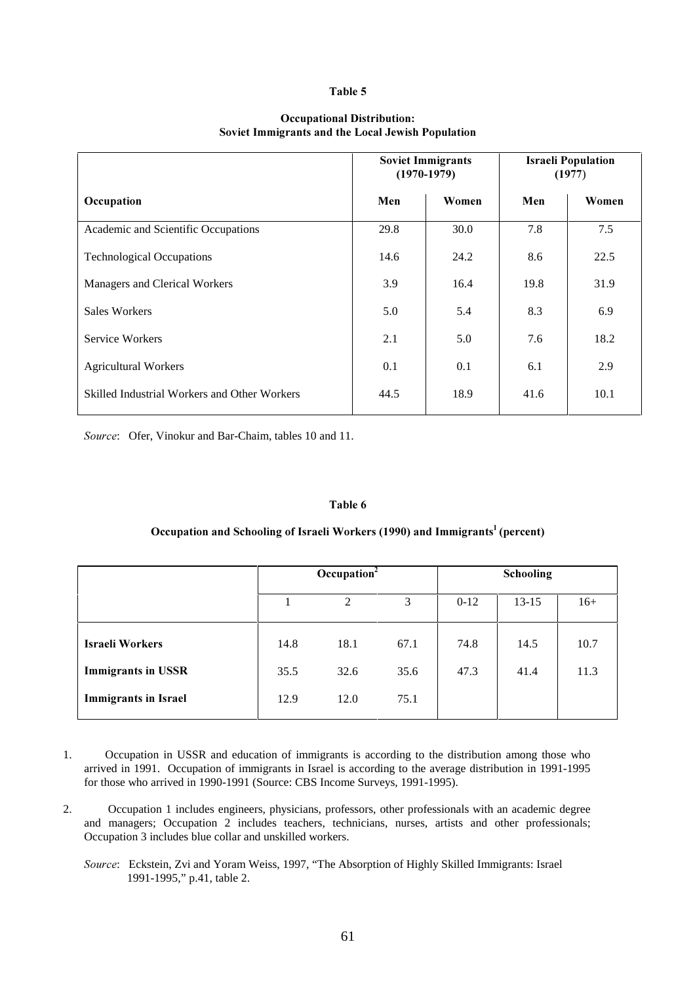#### **Occupational Distribution:** Soviet Immigrants and the Local Jewish Population

|                                              |      | <b>Soviet Immigrants</b><br>$(1970-1979)$ | <b>Israeli Population</b><br>(1977) |       |
|----------------------------------------------|------|-------------------------------------------|-------------------------------------|-------|
| Occupation                                   | Men  | Women                                     | Men                                 | Women |
| Academic and Scientific Occupations          | 29.8 | 30.0                                      | 7.8                                 | 7.5   |
| <b>Technological Occupations</b>             | 14.6 | 24.2                                      | 8.6                                 | 22.5  |
| Managers and Clerical Workers                | 3.9  | 16.4                                      | 19.8                                | 31.9  |
| Sales Workers                                | 5.0  | 5.4                                       | 8.3                                 | 6.9   |
| Service Workers                              | 2.1  | 5.0                                       | 7.6                                 | 18.2  |
| <b>Agricultural Workers</b>                  | 0.1  | 0.1                                       | 6.1                                 | 2.9   |
| Skilled Industrial Workers and Other Workers | 44.5 | 18.9                                      | 41.6                                | 10.1  |

Source: Ofer, Vinokur and Bar-Chaim, tables 10 and 11.

#### Table 6

#### Occupation and Schooling of Israeli Workers (1990) and Immigrants<sup>1</sup> (percent)

|                             | Occupation <sup>2</sup> |                |      | Schooling |           |       |
|-----------------------------|-------------------------|----------------|------|-----------|-----------|-------|
|                             |                         | $\overline{2}$ | 3    | $0 - 12$  | $13 - 15$ | $16+$ |
| Israeli Workers             | 14.8                    | 18.1           | 67.1 | 74.8      | 14.5      | 10.7  |
| <b>Immigrants in USSR</b>   | 35.5                    | 32.6           | 35.6 | 47.3      | 41.4      | 11.3  |
| <b>Immigrants in Israel</b> | 12.9                    | 12.0           | 75.1 |           |           |       |

- 1. Occupation in USSR and education of immigrants is according to the distribution among those who arrived in 1991. Occupation of immigrants in Israel is according to the average distribution in 1991-1995 for those who arrived in 1990-1991 (Source: CBS Income Surveys, 1991-1995).
- 2. Occupation 1 includes engineers, physicians, professors, other professionals with an academic degree and managers; Occupation 2 includes teachers, technicians, nurses, artists and other professionals; Occupation 3 includes blue collar and unskilled workers.
	- Source: Eckstein, Zvi and Yoram Weiss, 1997, "The Absorption of Highly Skilled Immigrants: Israel 1991-1995," p.41, table 2.